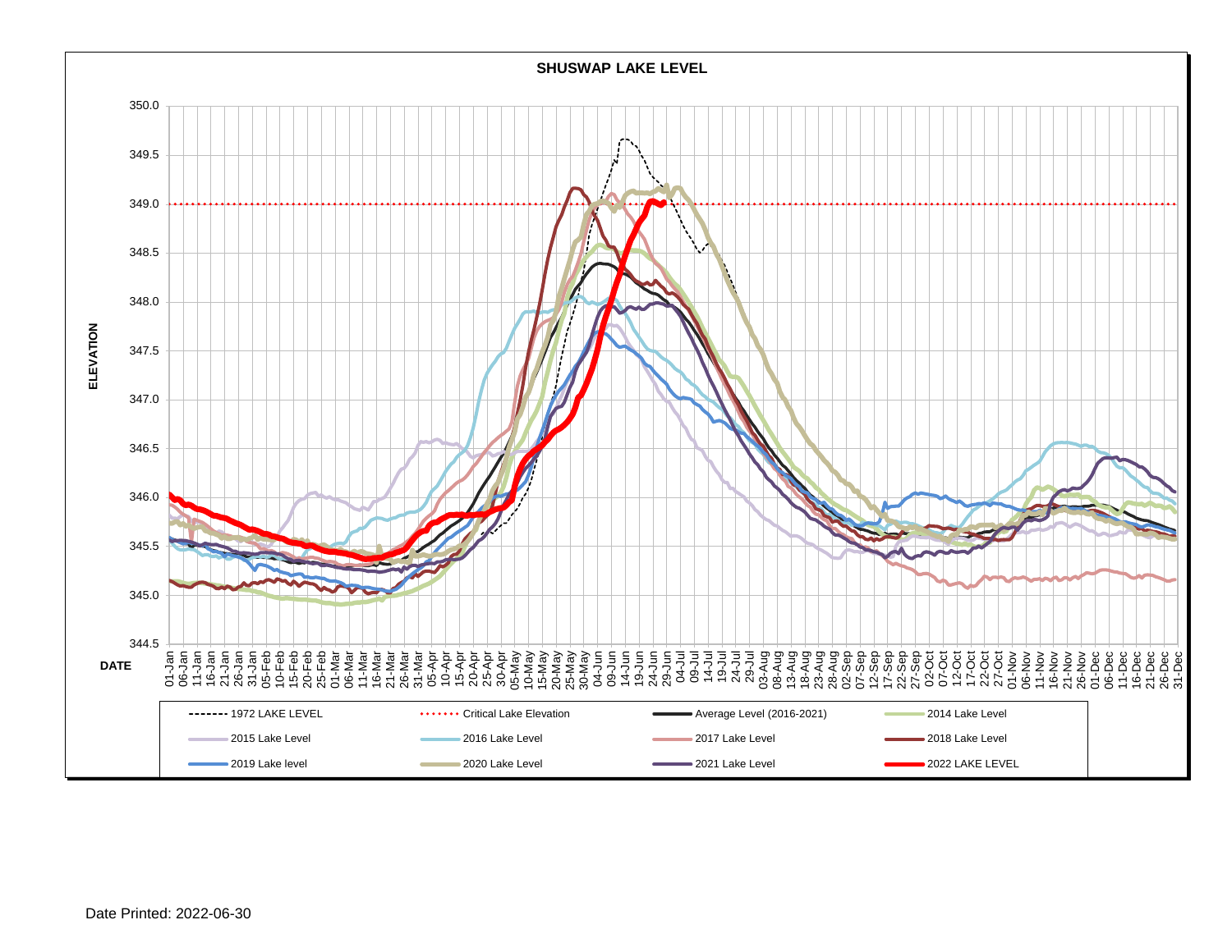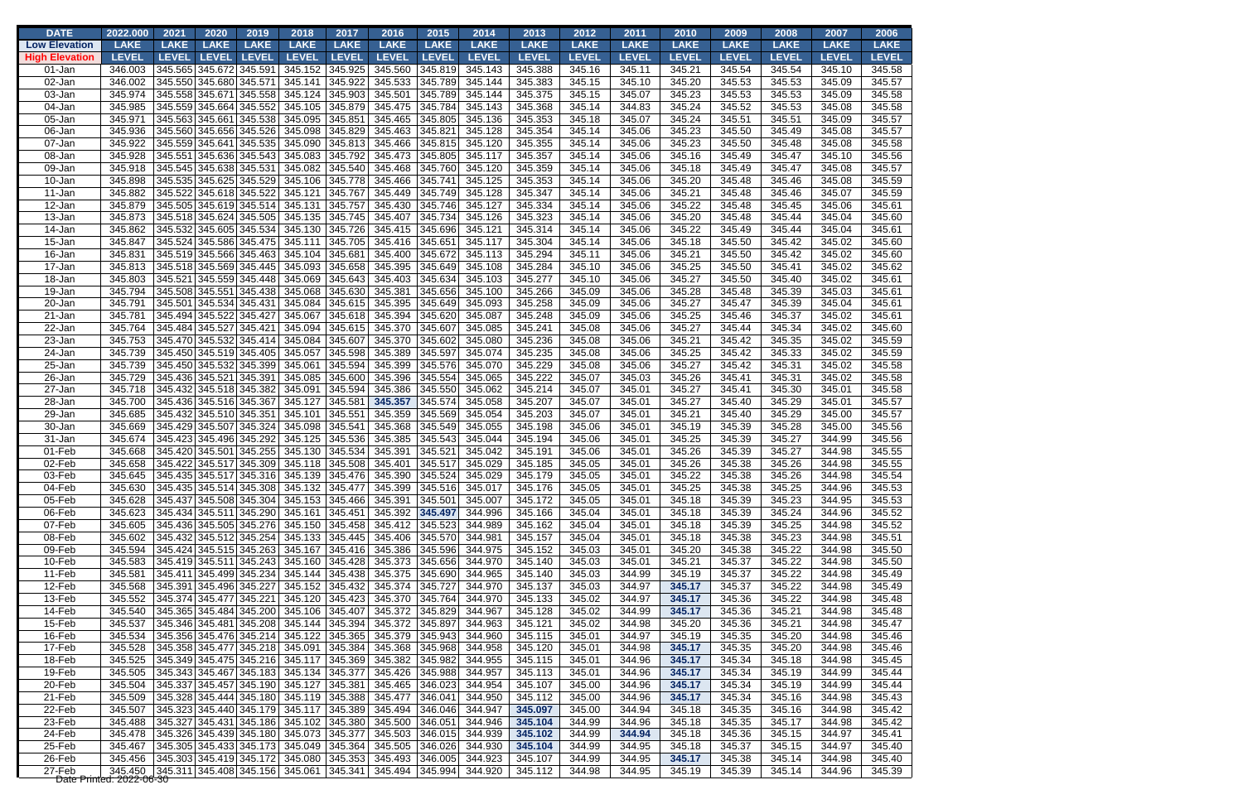| <b>DATE</b>           | 2022.000                                    | 2021         | 2020                                               | 2019         | 2018                                                                                                                                                                                                                                                                                                                  | 2017               | 2016               | 2015               | 2014               | 2013               | 2012             | 2011             | 2010             | 2009             | 2008             | 2007             | 2006             |
|-----------------------|---------------------------------------------|--------------|----------------------------------------------------|--------------|-----------------------------------------------------------------------------------------------------------------------------------------------------------------------------------------------------------------------------------------------------------------------------------------------------------------------|--------------------|--------------------|--------------------|--------------------|--------------------|------------------|------------------|------------------|------------------|------------------|------------------|------------------|
| <b>Low Elevation</b>  | <b>LAKE</b>                                 | <b>LAKE</b>  | <b>LAKE</b>                                        | <b>LAKE</b>  | <b>LAKE</b>                                                                                                                                                                                                                                                                                                           | <b>LAKE</b>        | <b>LAKE</b>        | <b>LAKE</b>        | <b>LAKE</b>        | <b>LAKE</b>        | <b>LAKE</b>      | <b>LAKE</b>      | <b>LAKE</b>      | <b>LAKE</b>      | <b>LAKE</b>      | <b>LAKE</b>      | <b>LAKE</b>      |
| <b>High Elevation</b> | <b>LEVEL</b>                                | <b>LEVEL</b> | <b>LEVEL</b>                                       | <b>LEVEL</b> | <b>LEVEL</b>                                                                                                                                                                                                                                                                                                          | <b>LEVEL</b>       | <b>LEVEL</b>       | <b>LEVEL</b>       | <b>LEVEL</b>       | <b>LEVEL</b>       | <b>LEVEL</b>     | <b>LEVEL</b>     | <b>LEVEL</b>     | LEVEL            | <b>LEVEL</b>     | <b>LEVEL</b>     | <b>LEVEL</b>     |
| 01-Jan                | 346.003                                     |              | 345.565 345.672 345.591                            |              | 345.152                                                                                                                                                                                                                                                                                                               | 345.925            | 345.560            | 345.819            | 345.143            | 345.388            | 345.16           | 345.11           | 345.21           | 345.54           | 345.54           | 345.10           | 345.58           |
| 02-Jan                | 346.002                                     |              | 345.550 345.680 345.571                            |              | 345.141                                                                                                                                                                                                                                                                                                               | 345.922            | 345.533            | 345.789            | 345.144            | 345.383            | 345.15           | 345.10           | 345.20           | 345.53           | 345.53           | 345.09           | 345.57           |
| 03-Jan                | 345.974                                     |              | 345.558 345.671 345.558                            |              | 345.124                                                                                                                                                                                                                                                                                                               | 345.903            | 345.501            | 345.789            | 345.144            | 345.375            | 345.15           | 345.07           | 345.23           | 345.53           | 345.53           | 345.09           | 345.58           |
| 04-Jan                | 345.985                                     |              | 345.559 345.664 345.552                            |              | 345.105                                                                                                                                                                                                                                                                                                               | 345.879            | 345.475            | 345.784            | 345.143            | 345.368            | 345.14           | 344.83           | 345.24           | 345.52           | 345.53           | 345.08           | 345.58           |
| 05-Jan                | 345.971                                     |              | 345.563 345.661 345.538                            |              | 345.095                                                                                                                                                                                                                                                                                                               | 345.851            | 345.465            | 345.805            | 345.136            | 345.353            | 345.18           | 345.07           | 345.24           | 345.51           | 345.51           | 345.09           | 345.57           |
| 06-Jan                | 345.936                                     |              | 345.560 345.656 345.526                            |              | 345.098                                                                                                                                                                                                                                                                                                               | 345.829            | 345.463            | 345.821            | 345.128            | 345.354            | 345.14           | 345.06           | 345.23           | 345.50           | 345.49           | 345.08           | 345.57           |
| 07-Jan                | 345.922                                     |              | 345.559 345.641 345.535                            |              | 345.090                                                                                                                                                                                                                                                                                                               | 345.813            | 345.466            | 345.815            | 345.120            | 345.355            | 345.14           | 345.06           | 345.23           | 345.50           | 345.48           | 345.08           | 345.58           |
| 08-Jan                | 345.928                                     |              | 345.551 345.636 345.543                            |              | 345.083                                                                                                                                                                                                                                                                                                               | 345.792            | 345.473            | 345.805            | 345.117            | 345.357            | 345.14           | 345.06           | 345.16           | 345.49           | 345.47           | 345.10           | 345.56           |
| 09-Jan                | 345.918                                     |              | 345.545 345.638 345.531                            |              | 345.082                                                                                                                                                                                                                                                                                                               | 345.540            | 345.468            | 345.760            | 345.120            | 345.359            | 345.14           | 345.06           | 345.18           | 345.49           | 345.47           | 345.08           | 345.57           |
| 10-Jan                | 345.898                                     |              | 345.535 345.625 345.529                            |              | 345.106                                                                                                                                                                                                                                                                                                               | 345.778            | 345.466            | 345.741            | 345.125            | 345.353            | 345.14           | 345.06           | 345.20           | 345.48           | 345.46           | 345.08           | 345.59           |
| 11-Jan                | 345.882                                     |              | 345.522 345.618 345.522                            |              | 345.121                                                                                                                                                                                                                                                                                                               | 345.767            | 345.449            | 345.749            | 345.128            | 345.347            | 345.14           | 345.06           | 345.21           | 345.48           | 345.46           | 345.07           | 345.59           |
| 12-Jan                | 345.879                                     |              | 345.505 345.619 345.514                            |              | 345.131                                                                                                                                                                                                                                                                                                               | 345.757            | 345.430            | 345.746            | 345.127            | 345.334            | 345.14           | 345.06           | 345.22           | 345.48           | 345.45           | 345.06           | 345.61           |
| 13-Jan                | 345.873                                     |              | 345.518 345.624 345.505                            |              | 345.135                                                                                                                                                                                                                                                                                                               | 345.745            | 345.407            | 345.734            | 345.126            | 345.323            | 345.14           | 345.06           | 345.20           | 345.48           | 345.44           | 345.04           | 345.60           |
| 14-Jan                | 345.862                                     |              | 345.532 345.605 345.534                            |              | 345.130                                                                                                                                                                                                                                                                                                               | 345.726            | 345.415            | 345.696            | 345.121            | 345.314            | 345.14           | 345.06           | 345.22           | 345.49           | 345.44           | 345.04           | 345.61           |
| 15-Jan                | 345.847                                     |              | 345.524 345.586 345.475                            |              | 345.111                                                                                                                                                                                                                                                                                                               | 345.705            | 345.416            | 345.651            | 345.117            | 345.304            | 345.14           | 345.06           | 345.18           | 345.50           | 345.42           | 345.02           | 345.60           |
| 16-Jan                | 345.831                                     |              | 345.519 345.566 345.463                            |              | 345.104                                                                                                                                                                                                                                                                                                               | 345.681            | 345.400            | 345.672            | 345.113            | 345.294            | 345.11           | 345.06           | 345.21           | 345.50           | 345.42           | 345.02           | 345.60           |
| 17-Jan                | 345.813                                     |              | 345.518 345.569 345.445                            |              | 345.093                                                                                                                                                                                                                                                                                                               | 345.658            | 345.395            | 345.649            | 345.108            | 345.284            | 345.10           | 345.06           | 345.25           | 345.50           | 345.41           | 345.02           | 345.62           |
| 18-Jan                | 345.803                                     |              | 345.521 345.559 345.448                            |              | 345.069                                                                                                                                                                                                                                                                                                               | 345.643            | 345.403            | 345.634            | 345.103            | 345.277            | 345.10           | 345.06           | 345.27           | 345.50           | 345.40           | 345.02           | 345.61           |
| 19-Jan                | 345.794                                     |              | 345.508 345.551 345.438                            |              | 345.068                                                                                                                                                                                                                                                                                                               | 345.630            | 345.381            | 345.656            | 345.100            | 345.266            | 345.09           | 345.06           | 345.28           | 345.48           | 345.39           | 345.03           | 345.61           |
| 20-Jan                | 345.791                                     |              | 345.501 345.534 345.431                            |              | 345.084                                                                                                                                                                                                                                                                                                               | 345.615            | 345.395            | 345.649            | 345.093            | 345.258            | 345.09           | 345.06           | 345.27           | 345.47           | 345.39           | 345.04           | 345.61           |
| 21-Jan                | 345.781                                     |              | 345.494 345.522 345.427                            |              | 345.067                                                                                                                                                                                                                                                                                                               | 345.618            | 345.394            | 345.620            | 345.087            | 345.248            | 345.09           | 345.06           | 345.25           | 345.46           | 345.37           | 345.02           | 345.61           |
| 22-Jan                | 345.764                                     |              | 345.484 345.527 345.421                            |              | 345.094                                                                                                                                                                                                                                                                                                               | 345.615            | 345.370            | 345.607            | 345.085            | 345.241            | 345.08           | 345.06           | 345.27           | 345.44           | 345.34           | 345.02           | 345.60           |
| 23-Jan                | 345.753                                     |              | 345.470 345.532 345.414                            |              | 345.084                                                                                                                                                                                                                                                                                                               | 345.607            | 345.370            | 345.602            | 345.080            | 345.236            | 345.08           | 345.06           | 345.21           | 345.42           | 345.35           | 345.02           | 345.59           |
| 24-Jan                | 345.739<br>345.739                          |              | 345.450 345.519 345.405                            |              | 345.057                                                                                                                                                                                                                                                                                                               | 345.598<br>345.594 | 345.389<br>345.399 | 345.597            | 345.074<br>345.070 | 345.235<br>345.229 | 345.08           | 345.06           | 345.25           | 345.42           | 345.33           | 345.02           | 345.59           |
| 25-Jan                |                                             |              | 345.450 345.532 345.399                            |              | 345.061                                                                                                                                                                                                                                                                                                               |                    | 345.396            | 345.576<br>345.554 |                    | 345.222            | 345.08           | 345.06           | 345.27           | 345.42           | 345.31           | 345.02           | 345.58           |
| 26-Jan<br>27-Jan      | 345.729<br>345.718                          |              | 345.436 345.521 345.391                            |              | 345.085                                                                                                                                                                                                                                                                                                               | 345.600<br>345.594 | 345.386            | 345.550            | 345.065<br>345.062 | 345.214            | 345.07<br>345.07 | 345.03<br>345.01 | 345.26<br>345.27 | 345.41           | 345.31<br>345.30 | 345.02           | 345.58<br>345.58 |
|                       | 345.700                                     |              | 345.432 345.518 345.382                            |              | 345.091<br>345.127                                                                                                                                                                                                                                                                                                    | 345.581            | 345.357            | 345.574            | 345.058            | 345.207            | 345.07           | 345.01           |                  | 345.41           | 345.29           | 345.01<br>345.01 | 345.57           |
| 28-Jan<br>29-Jan      | 345.685                                     |              | 345.436 345.516 345.367<br>345.432 345.510 345.351 |              | 345.101                                                                                                                                                                                                                                                                                                               | 345.551            | 345.359            | 345.569            | 345.054            | 345.203            | 345.07           | 345.01           | 345.27<br>345.21 | 345.40<br>345.40 | 345.29           | 345.00           | 345.57           |
| 30-Jan                | 345.669                                     |              | 345.429 345.507 345.324                            |              | 345.098                                                                                                                                                                                                                                                                                                               | 345.541            | 345.368            | 345.549            | 345.055            | 345.198            | 345.06           | 345.01           | 345.19           | 345.39           | 345.28           | 345.00           | 345.56           |
| 31-Jan                | 345.674                                     |              | 345.423 345.496 345.292                            |              | 345.125                                                                                                                                                                                                                                                                                                               | 345.536            | 345.385            | 345.543            | 345.044            | 345.194            | 345.06           | 345.01           | 345.25           | 345.39           | 345.27           | 344.99           | 345.56           |
| 01-Feb                | 345.668                                     |              | 345.420 345.501 345.255                            |              | 345.130                                                                                                                                                                                                                                                                                                               | 345.534            | 345.391            | 345.521            | 345.042            | 345.191            | 345.06           | 345.01           | 345.26           | 345.39           | 345.27           | 344.98           | 345.55           |
| 02-Feb                | 345.658                                     |              | 345.422 345.517 345.309                            |              | 345.118                                                                                                                                                                                                                                                                                                               | 345.508            | 345.401            | 345.517            | 345.029            | 345.185            | 345.05           | 345.01           | 345.26           | 345.38           | 345.26           | 344.98           | 345.55           |
| 03-Feb                | 345.645                                     |              | 345.435 345.517 345.316                            |              | 345.139                                                                                                                                                                                                                                                                                                               | 345.476            | 345.390            | 345.524            | 345.029            | 345.179            | 345.05           | 345.01           | 345.22           | 345.38           | 345.26           | 344.98           | 345.54           |
| 04-Feb                |                                             |              |                                                    |              | 345.630 345.435 345.514 345.308 345.132 345.477                                                                                                                                                                                                                                                                       |                    | 345.399 345.516    |                    | 345.017            | 345.176            | 345.05           | 345.01           | 345.25           | 345.38           | 345.25           | 344.96           | 345.53           |
| 05-Feb                | 345.628                                     |              | 345.437 345.508 345.304                            |              | 345.153 345.466                                                                                                                                                                                                                                                                                                       |                    | 345.391            | 345.501            | 345.007            | 345.172            | 345.05           | 345.01           | 345.18           | 345.39           | 345.23           | 344.95           | 345.53           |
| 06-Feb                | 345.623                                     |              | 345.434 345.511 345.290                            |              | 345.161 345.451                                                                                                                                                                                                                                                                                                       |                    | 345.392            | 345.497            | 344.996            | 345.166            | 345.04           | 345.01           | 345.18           | 345.39           | 345.24           | 344.96           | 345.52           |
| 07-Feb                | 345.605                                     |              | 345.436 345.505 345.276                            |              | 345.150 345.458                                                                                                                                                                                                                                                                                                       |                    | 345.412            | 345.523            | 344.989            | 345.162            | 345.04           | 345.01           | 345.18           | 345.39           | 345.25           | 344.98           | 345.52           |
| 08-Feb                | 345.602                                     |              | 345.432 345.512 345.254                            |              | 345.133 345.445                                                                                                                                                                                                                                                                                                       |                    | 345.406            | 345.570            | 344.981            | 345.157            | 345.04           | 345.01           | 345.18           | 345.38           | 345.23           | 344.98           | 345.51           |
| 09-Feb                | 345.594                                     |              | 345.424 345.515 345.263                            |              | 345.167                                                                                                                                                                                                                                                                                                               | 345.416            | 345.386            | 345.596            | 344.975            | 345.152            | 345.03           | 345.01           | 345.20           | 345.38           | 345.22           | 344.98           | 345.50           |
| 10-Feb                | 345.583                                     |              | 345.419 345.511 345.243                            |              | 345.160 345.428                                                                                                                                                                                                                                                                                                       |                    | 345.373            | 345.656            | 344.970            | 345.140            | 345.03           | 345.01           | 345.21           | 345.37           | 345.22           | 344.98           | 345.50           |
| 11-Feb                | 345.581                                     |              | 345.411 345.499 345.234                            |              | 345.144 345.438                                                                                                                                                                                                                                                                                                       |                    | 345.375            | 345.690            | 344.965            | 345.140            | 345.03           | 344.99           | 345.19           | 345.37           | 345.22           | 344.98           | 345.49           |
| 12-Feb                | 345.568                                     |              | 345.391 345.496 345.227                            |              | 345.152 345.432                                                                                                                                                                                                                                                                                                       |                    | 345.374            | 345.727            | 344.970            | 345.137            | 345.03           | 344.97           | 345.17           | 345.37           | 345.22           | 344.98           | 345.49           |
| 13-Feb                | 345.552                                     |              | 345.374 345.477 345.221                            |              | 345.120                                                                                                                                                                                                                                                                                                               | 345.423            | 345.370            | 345.764            | 344.970            | 345.133            | 345.02           | 344.97           | 345.17           | 345.36           | 345.22           | 344.98           | 345.48           |
| 14-Feb                | 345.540                                     |              | 345.365 345.484 345.200                            |              | 345.106                                                                                                                                                                                                                                                                                                               | 345.407            | 345.372            | 345.829            | 344.967            | 345.128            | 345.02           | 344.99           | 345.17           | 345.36           | 345.21           | 344.98           | 345.48           |
| 15-Feb                | 345.537                                     |              | 345.346 345.481 345.208                            |              | 345.144 345.394                                                                                                                                                                                                                                                                                                       |                    | 345.372            | 345.897            | 344.963            | 345.121            | 345.02           | 344.98           | 345.20           | 345.36           | 345.21           | 344.98           | 345.47           |
| 16-Feb                | 345.534                                     |              | 345.356 345.476 345.214                            |              | 345.122 345.365                                                                                                                                                                                                                                                                                                       |                    | 345.379            | 345.943            | 344.960            | 345.115            | 345.01           | 344.97           | 345.19           | 345.35           | 345.20           | 344.98           | 345.46           |
| 17-Feb                | 345.528                                     |              | 345.358 345.477 345.218                            |              | 345.091                                                                                                                                                                                                                                                                                                               | 345.384            | 345.368            | 345.968            | 344.958            | 345.120            | 345.01           | 344.98           | 345.17           | 345.35           | 345.20           | 344.98           | 345.46           |
| 18-Feb                | 345.525                                     |              | 345.349 345.475 345.216                            |              | 345.117 345.369                                                                                                                                                                                                                                                                                                       |                    | 345.382            | 345.982            | 344.955            | 345.115            | 345.01           | 344.96           | 345.17           | 345.34           | 345.18           | 344.98           | 345.45           |
| 19-Feb                | 345.505                                     |              |                                                    |              | 345.343 345.467 345.183 345.134 345.377                                                                                                                                                                                                                                                                               |                    | 345.426 345.988    |                    | 344.957            | 345.113            | 345.01           | 344.96           | 345.17           | 345.34           | 345.19           | 344.99           | 345.44           |
| 20-Feb                | 345.504                                     |              | 345.337 345.457 345.190                            |              | 345.127 345.381                                                                                                                                                                                                                                                                                                       |                    | 345.465 346.023    |                    | 344.954            | 345.107            | 345.00           | 344.96           | 345.17           | 345.34           | 345.19           | 344.99           | 345.44           |
| 21-Feb                | 345.509                                     |              | 345.328 345.444 345.180                            |              | 345.119 345.388                                                                                                                                                                                                                                                                                                       |                    | 345.477            | 346.041            | 344.950            | 345.112            | 345.00           | 344.96           | 345.17           | 345.34           | 345.16           | 344.98           | 345.43           |
| 22-Feb                | 345.507                                     |              | 345.323 345.440 345.179                            |              | 345.117 345.389                                                                                                                                                                                                                                                                                                       |                    | 345.494            | 346.046            | 344.947            | 345.097            | 345.00           | 344.94           | 345.18           | 345.35           | 345.16           | 344.98           | 345.42           |
| 23-Feb                | 345.488                                     |              | 345.327 345.431 345.186                            |              | 345.102 345.380                                                                                                                                                                                                                                                                                                       |                    | 345.500            | 346.051            | 344.946            | 345.104            | 344.99           | 344.96           | 345.18           | 345.35           | 345.17           | 344.98           | 345.42           |
| 24-Feb                | 345.478                                     |              | 345.326 345.439 345.180                            |              | 345.073 345.377                                                                                                                                                                                                                                                                                                       |                    | 345.503            | 346.015            | 344.939            | 345.102            | 344.99           | 344.94           | 345.18           | 345.36           | 345.15           | 344.97           | 345.41           |
| 25-Feb                | 345.467                                     |              | 345.305 345.433 345.173                            |              | 345.049 345.364                                                                                                                                                                                                                                                                                                       |                    | 345.505            | 346.026            | 344.930            | 345.104            | 344.99           | 344.95           | 345.18           | 345.37           | 345.15           | 344.97           | 345.40           |
| 26-Feb                | 345.456                                     |              | 345.303   345.419   345.172                        |              | 345.080 345.353                                                                                                                                                                                                                                                                                                       |                    | 345.493            | 346.005            | 344.923            | 345.107            | 344.99           | 344.95           | 345.17           | 345.38           | 345.14           | 344.98           | 345.40           |
| 27-Feb                | Feb 345.450 345<br>Date Printed: 2022-06-30 |              |                                                    |              | $\sqrt{345.311}\sqrt{345.408}\sqrt{345.156}\sqrt{345.061}\sqrt{345.341}\sqrt{345.361}\sqrt{345.361}\sqrt{345.361}\sqrt{345.361}\sqrt{345.361}\sqrt{345.361}\sqrt{345.361}\sqrt{345.361}\sqrt{345.361}\sqrt{345.361}\sqrt{345.361}\sqrt{345.361}\sqrt{345.361}\sqrt{345.361}\sqrt{345.361}\sqrt{345.361}\sqrt{345.361$ |                    | 345.494 345.994    |                    | 344.920            | 345.112            | 344.98           | 344.95           | 345.19           | 345.39           | 345.14           | 344.96           | 345.39           |
|                       |                                             |              |                                                    |              |                                                                                                                                                                                                                                                                                                                       |                    |                    |                    |                    |                    |                  |                  |                  |                  |                  |                  |                  |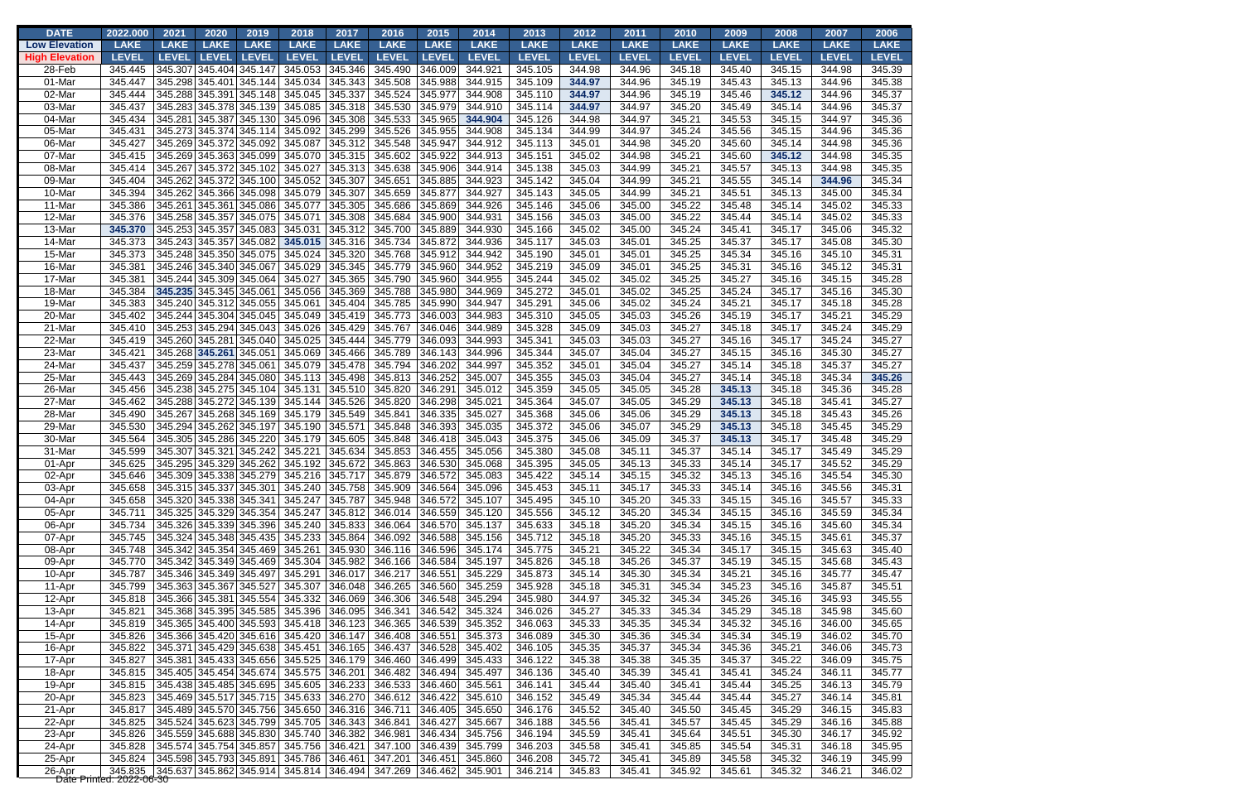| <b>DATE</b>           | 2022.000                                        | 2021         | 2020                      | 2019         | 2018            | 2017            | 2016         | 2015         | 2014         | 2013         | 2012         | 2011         | 2010         | 2009         | 2008         | 2007         | 2006         |
|-----------------------|-------------------------------------------------|--------------|---------------------------|--------------|-----------------|-----------------|--------------|--------------|--------------|--------------|--------------|--------------|--------------|--------------|--------------|--------------|--------------|
| <b>Low Elevation</b>  | <b>LAKE</b>                                     | <b>LAKE</b>  | <b>LAKE</b>               | <b>LAKE</b>  | <b>LAKE</b>     | <b>LAKE</b>     | <b>LAKE</b>  | <b>LAKE</b>  | <b>LAKE</b>  | <b>LAKE</b>  | <b>LAKE</b>  | <b>LAKE</b>  | <b>LAKE</b>  | <b>LAKE</b>  | <b>LAKE</b>  | <b>LAKE</b>  | <b>LAKE</b>  |
| <b>High Elevation</b> | <b>LEVEL</b>                                    | <b>LEVEL</b> | <b>LEVEL</b>              | <b>LEVEL</b> | <b>LEVEL</b>    | <b>LEVEL</b>    | <b>LEVEL</b> | <b>LEVEL</b> | <b>LEVEL</b> | <b>LEVEL</b> | <b>LEVEL</b> | <b>LEVEL</b> | <b>LEVEL</b> | <b>LEVEL</b> | <b>LEVEL</b> | <b>LEVEL</b> | <b>LEVEL</b> |
| 28-Feb                | 345.445                                         |              | 345.307 345.404 345.147   |              | 345.053         | 345.346         | 345.490      | 346.009      | 344.921      | 345.105      | 344.98       | 344.96       | 345.18       | 345.40       | 345.15       | 344.98       | 345.39       |
| 01-Mar                | 345.447                                         |              | 345.298 345.401 345.144   |              | 345.034         | 345.343         | 345.508      | 345.988      | 344.915      | 345.109      | 344.97       | 344.96       | 345.19       | 345.43       | 345.13       | 344.96       | 345.38       |
| 02-Mar                | 345.444                                         |              | 345.288 345.391 345.148   |              | 345.045         | 345.337         | 345.524      | 345.977      | 344.908      | 345.110      | 344.97       | 344.96       | 345.19       | 345.46       | 345.12       | 344.96       | 345.37       |
| 03-Mar                | 345.437                                         |              | 345.283 345.378 345.139   |              | 345.085         | 345.318         | 345.530      | 345.979      | 344.910      | 345.114      | 344.97       | 344.97       | 345.20       | 345.49       | 345.14       | 344.96       | 345.37       |
| 04-Mar                | 345.434                                         |              | 345.281 345.387 345.130   |              | 345.096         | 345.308         | 345.533      | 345.965      | 344.904      | 345.126      | 344.98       | 344.97       | 345.21       | 345.53       | 345.15       | 344.97       | 345.36       |
| 05-Mar                | 345.431                                         |              | 345.273 345.374 345.114   |              | 345.092         | 345.299         | 345.526      | 345.955      | 344.908      | 345.134      | 344.99       | 344.97       | 345.24       | 345.56       | 345.15       | 344.96       | 345.36       |
| 06-Mar                | 345.427                                         |              | 345.269 345.372 345.092   |              | 345.087         | 345.312         | 345.548      | 345.947      | 344.912      | 345.113      | 345.01       | 344.98       | 345.20       | 345.60       | 345.14       | 344.98       | 345.36       |
| 07-Mar                | 345.415                                         |              | 345.269 345.363 345.099   |              | 345.070         | 345.315         | 345.602      | 345.922      | 344.913      | 345.151      | 345.02       | 344.98       | 345.21       | 345.60       | 345.12       | 344.98       | 345.35       |
| 08-Mar                | 345.414                                         |              | 345.267 345.372 345.102   |              | 345.027         | 345.313         | 345.638      | 345.906      | 344.914      | 345.138      | 345.03       | 344.99       | 345.21       | 345.57       | 345.13       | 344.98       | 345.35       |
| 09-Mar                | 345.404                                         |              | 345.262 345.372 345.100   |              | 345.052         | 345.307         | 345.651      | 345.885      | 344.923      | 345.142      | 345.04       | 344.99       | 345.21       | 345.55       | 345.14       | 344.96       | 345.34       |
| 10-Mar                | 345.394                                         |              | 345.262 345.366 345.098   |              | 345.079         | 345.307         | 345.659      | 345.877      | 344.927      | 345.143      | 345.05       | 344.99       | 345.21       | 345.51       | 345.13       | 345.00       | 345.34       |
| 11-Mar                | 345.386                                         |              | 345.261 345.361 345.086   |              | 345.077         | 345.305         | 345.686      | 345.869      | 344.926      | 345.146      | 345.06       | 345.00       | 345.22       | 345.48       | 345.14       | 345.02       | 345.33       |
| 12-Mar                | 345.376                                         |              | 345.258 345.357 345.075   |              | 345.071         | 345.308         | 345.684      | 345.900      | 344.931      | 345.156      | 345.03       | 345.00       | 345.22       | 345.44       | 345.14       | 345.02       | 345.33       |
| 13-Mar                | 345.370                                         |              | 345.253 345.357 345.083   |              | 345.031         | 345.312         | 345.700      | 345.889      | 344.930      | 345.166      | 345.02       | 345.00       | 345.24       | 345.41       | 345.17       | 345.06       | 345.32       |
| 14-Mar                | 345.373                                         |              | 345.243 345.357 345.082   |              | 345.015         | 345.316         | 345.734      | 345.872      | 344.936      | 345.117      | 345.03       | 345.01       | 345.25       | 345.37       | 345.17       | 345.08       | 345.30       |
| 15-Mar                | 345.373                                         |              | 345.248 345.350 345.075   |              | 345.024         | 345.320         | 345.768      | 345.912      | 344.942      | 345.190      | 345.01       | 345.01       | 345.25       | 345.34       | 345.16       | 345.10       | 345.31       |
| 16-Mar                | 345.381                                         |              | 345.246 345.340 345.067   |              | 345.029         | 345.345         | 345.779      | 345.960      | 344.952      | 345.219      | 345.09       | 345.01       | 345.25       | 345.31       | 345.16       | 345.12       | 345.31       |
| 17-Mar                | 345.381                                         |              | 345.244 345.309 345.064   |              | 345.027         | 345.365         | 345.790      | 345.960      | 344.955      | 345.244      | 345.02       | 345.02       | 345.25       | 345.27       | 345.16       | 345.15       | 345.28       |
| 18-Mar                | 345.384                                         |              | 345.235 345.345 345.061   |              | 345.056         | 345.369         | 345.788      | 345.980      | 344.969      | 345.272      | 345.01       | 345.02       | 345.25       | 345.24       | 345.17       | 345.16       | 345.30       |
| 19-Mar                | 345.383                                         |              | 345.240 345.312 345.055   |              | 345.061         | 345.404         | 345.785      | 345.990      | 344.947      | 345.291      | 345.06       | 345.02       | 345.24       | 345.21       | 345.17       | 345.18       | 345.28       |
| 20-Mar                | 345.402                                         |              | 345.244 345.304 345.045   |              | 345.049         | 345.419         | 345.773      | 346.003      | 344.983      | 345.310      | 345.05       | 345.03       | 345.26       | 345.19       | 345.17       | 345.21       | 345.29       |
| 21-Mar                | 345.410                                         |              | 345.253 345.294 345.043   |              | 345.026         | 345.429         | 345.767      | 346.046      | 344.989      | 345.328      | 345.09       | 345.03       | 345.27       | 345.18       | 345.17       | 345.24       | 345.29       |
| 22-Mar                | 345.419                                         |              | 345.260 345.281 345.040   |              | 345.025         | 345.444         | 345.779      | 346.093      | 344.993      | 345.341      | 345.03       | 345.03       | 345.27       | 345.16       | 345.17       | 345.24       | 345.27       |
| 23-Mar                | 345.421                                         |              | 345.268 345.261 345.051   |              | 345.069         | 345.466         | 345.789      | 346.143      | 344.996      | 345.344      | 345.07       | 345.04       | 345.27       | 345.15       | 345.16       | 345.30       | 345.27       |
| 24-Mar                | 345.437                                         |              | 345.259 345.278 345.061   |              | 345.079         | 345.478         | 345.794      | 346.202      | 344.997      | 345.352      | 345.01       | 345.04       | 345.27       | 345.14       | 345.18       | 345.37       | 345.27       |
| 25-Mar                | 345.443                                         |              | 345.269 345.284 345.080   |              | 345.113         | 345.498         | 345.813      | 346.252      | 345.007      | 345.355      | 345.03       | 345.04       | 345.27       | 345.14       | 345.18       | 345.34       | 345.26       |
| 26-Mar                | 345.456                                         |              | 345.238 345.275 345.104   |              | 345.131         | 345.510         | 345.820      | 346.291      | 345.012      | 345.359      | 345.05       | 345.05       | 345.28       | 345.13       | 345.18       | 345.36       | 345.28       |
| 27-Mar                | 345.462                                         |              | 345.288 345.272 345.139   |              | 345.144         | 345.526         | 345.820      | 346.298      | 345.021      | 345.364      | 345.07       | 345.05       | 345.29       | 345.13       | 345.18       | 345.41       | 345.27       |
| 28-Mar                | 345.490                                         |              | 345.267 345.268 345.169   |              | 345.179         | 345.549         | 345.841      | 346.335      | 345.027      | 345.368      | 345.06       | 345.06       | 345.29       | 345.13       | 345.18       | 345.43       | 345.26       |
| 29-Mar                | 345.530                                         |              | 345.294 345.262 345.197   |              | 345.190         | 345.571         | 345.848      | 346.393      | 345.035      | 345.372      | 345.06       | 345.07       | 345.29       | 345.13       | 345.18       | 345.45       | 345.29       |
| 30-Mar                | 345.564                                         |              | 345.305 345.286 345.220   |              | 345.179         | 345.605         | 345.848      | 346.418      | 345.043      | 345.375      | 345.06       | 345.09       | 345.37       | 345.13       | 345.17       | 345.48       | 345.29       |
| 31-Mar                | 345.599                                         |              | 345.307 345.321 345.242   |              | 345.221         | 345.634         | 345.853      | 346.455      | 345.056      | 345.380      | 345.08       | 345.11       | 345.37       | 345.14       | 345.17       | 345.49       | 345.29       |
| 01-Apr                | 345.625                                         |              | 345.295 345.329 345.262   |              | 345.192         | 345.672         | 345.863      | 346.530      | 345.068      | 345.395      | 345.05       | 345.13       | 345.33       | 345.14       | 345.17       | 345.52       | 345.29       |
| 02-Apr                | 345.646                                         |              | 345.309 345.338 345.279   |              | 345.216         | 345.717         | 345.879      | 346.572      | 345.083      | 345.422      | 345.14       | 345.15       | 345.32       | 345.13       | 345.16       | 345.54       | 345.30       |
| 03-Apr                | 345.658                                         |              | 345.315 345.337 345.301   |              |                 | 345.240 345.758 | 345.909      | 346.564      | 345.096      | 345.453      | 345.11       | 345.17       | 345.33       | 345.14       | 345.16       | 345.56       | 345.31       |
| 04-Apr                | 345.658                                         |              | 345.320 345.338 345.341   |              | 345.247         | 345.787         | 345.948      | 346.572      | 345.107      | 345.495      | 345.10       | 345.20       | 345.33       | 345.15       | 345.16       | 345.57       | 345.33       |
| 05-Apr                | 345.711                                         |              | 345.325 345.329 345.354   |              | 345.247 345.812 |                 | 346.014      | 346.559      | 345.120      | 345.556      | 345.12       | 345.20       | 345.34       | 345.15       | 345.16       | 345.59       | 345.34       |
| 06-Apr                | 345.734                                         |              | 345.326 345.339 345.396   |              | 345.240 345.833 |                 | 346.064      | 346.570      | 345.137      | 345.633      | 345.18       | 345.20       | 345.34       | 345.15       | 345.16       | 345.60       | 345.34       |
| 07-Apr                | 345.745                                         |              | 345.324 345.348 345.435   |              | 345.233 345.864 |                 | 346.092      | 346.588      | 345.156      | 345.712      | 345.18       | 345.20       | 345.33       | 345.16       | 345.15       | 345.61       | 345.37       |
| 08-Apr                | 345.748                                         |              | 345.342 345.354 345.469   |              | 345.261         | 345.930         | 346.116      | 346.596      | 345.174      | 345.775      | 345.21       | 345.22       | 345.34       | 345.17       | 345.15       | 345.63       | 345.40       |
| 09-Apr                | 345.770                                         |              | 345.342 345.349 345.469   |              | 345.304         | 345.982         | 346.166      | 346.584      | 345.197      | 345.826      | 345.18       | 345.26       | 345.37       | 345.19       | 345.15       | 345.68       | 345.43       |
| 10-Apr                | 345.787                                         |              | 345.346 345.349 345.497   |              | 345.291         | 346.017         | 346.217      | 346.551      | 345.229      | 345.873      | 345.14       | 345.30       | 345.34       | 345.21       | 345.16       | 345.77       | 345.47       |
| 11-Apr                | 345.799                                         |              | 345.363 345.367 345.527   |              | 345.307         | 346.048         | 346.265      | 346.560      | 345.259      | 345.928      | 345.18       | 345.31       | 345.34       | 345.23       | 345.16       | 345.87       | 345.51       |
| 12-Apr                | 345.818                                         |              | 345.366 345.381 345.554   |              | 345.332         | 346.069         | 346.306      | 346.548      | 345.294      | 345.980      | 344.97       | 345.32       | 345.34       | 345.26       | 345.16       | 345.93       | 345.55       |
| 13-Apr                | 345.821                                         |              | 345.368 345.395 345.585   |              | 345.396         | 346.095         | 346.341      | 346.542      | 345.324      | 346.026      | 345.27       | 345.33       | 345.34       | 345.29       | 345.18       | 345.98       | 345.60       |
| 14-Apr                | 345.819                                         |              | 345.365 345.400 345.593   |              | 345.418         | 346.123         | 346.365      | 346.539      | 345.352      | 346.063      | 345.33       | 345.35       | 345.34       | 345.32       | 345.16       | 346.00       | 345.65       |
| 15-Apr                | 345.826                                         |              | 345.366 345.420 345.616   |              | 345.420         | 346.147         | 346.408      | 346.551      | 345.373      | 346.089      | 345.30       | 345.36       | 345.34       | 345.34       | 345.19       | 346.02       | 345.70       |
| 16-Apr                | 345.822                                         |              | 345.371 345.429 345.638   |              | 345.451         | 346.165         | 346.437      | 346.528      | 345.402      | 346.105      | 345.35       | 345.37       | 345.34       | 345.36       | 345.21       | 346.06       | 345.73       |
| 17-Apr                | 345.827                                         |              | 345.381 345.433 345.656   |              | 345.525         | 346.179         | 346.460      | 346.499      | 345.433      | 346.122      | 345.38       | 345.38       | 345.35       | 345.37       | 345.22       | 346.09       | 345.75       |
| 18-Apr                | 345.815                                         |              | 345.405 345.454 345.674   |              | 345.575 346.201 |                 | 346.482      | 346.494      | 345.497      | 346.136      | 345.40       | 345.39       | 345.41       | 345.41       | 345.24       | 346.11       | 345.77       |
| 19-Apr                | 345.815                                         |              | 345.438 345.485 345.695   |              | 345.605 346.233 |                 | 346.533      | 346.460      | 345.561      | 346.141      | 345.44       | 345.40       | 345.41       | 345.44       | 345.25       | 346.13       | 345.79       |
| 20-Apr                | 345.823                                         |              | 345.469 345.517 345.715   |              |                 | 345.633 346.270 | 346.612      | 346.422      | 345.610      | 346.152      | 345.49       | 345.34       | 345.44       | 345.44       | 345.27       | 346.14       | 345.81       |
| 21-Apr                | 345.817                                         |              | 345.489 345.570 345.756   |              |                 | 345.650 346.316 | 346.711      | 346.405      | 345.650      | 346.176      | 345.52       | 345.40       | 345.50       | 345.45       | 345.29       | 346.15       | 345.83       |
| 22-Apr                | 345.825                                         |              | 345.524 345.623 345.799   |              | 345.705         | 346.343         | 346.841      | 346.427      | 345.667      | 346.188      | 345.56       | 345.41       | 345.57       | 345.45       | 345.29       | 346.16       | 345.88       |
| 23-Apr                | 345.826                                         |              | 345.559 345.688 345.830   |              | 345.740 346.382 |                 | 346.981      | 346.434      | 345.756      | 346.194      | 345.59       | 345.41       | 345.64       | 345.51       | 345.30       | 346.17       | 345.92       |
| 24-Apr                | 345.828                                         |              | 345.574 345.754 345.857   |              | 345.756         | 346.421         | 347.100      | 346.439      | 345.799      | 346.203      | 345.58       | 345.41       | 345.85       | 345.54       | 345.31       | 346.18       | 345.95       |
| 25-Apr                | 345.824                                         |              | 345.598 345.793 345.891   |              | 345.786 346.461 |                 | 347.201      | 346.451      | 345.860      | 346.208      | 345.72       | 345.41       | 345.89       | 345.58       | 345.32       | 346.19       | 345.99       |
| 26-Apr                |                                                 |              | $345.637$ 345.862 345.914 |              |                 | 345.814 346.494 | 347.269      | 346.462      | 345.901      | 346.214      | 345.83       | 345.41       | 345.92       | 345.61       | 345.32       | 346.21       | 346.02       |
|                       | 345.835 345.836 345<br>Date Printed: 2022-06-30 |              |                           |              |                 |                 |              |              |              |              |              |              |              |              |              |              |              |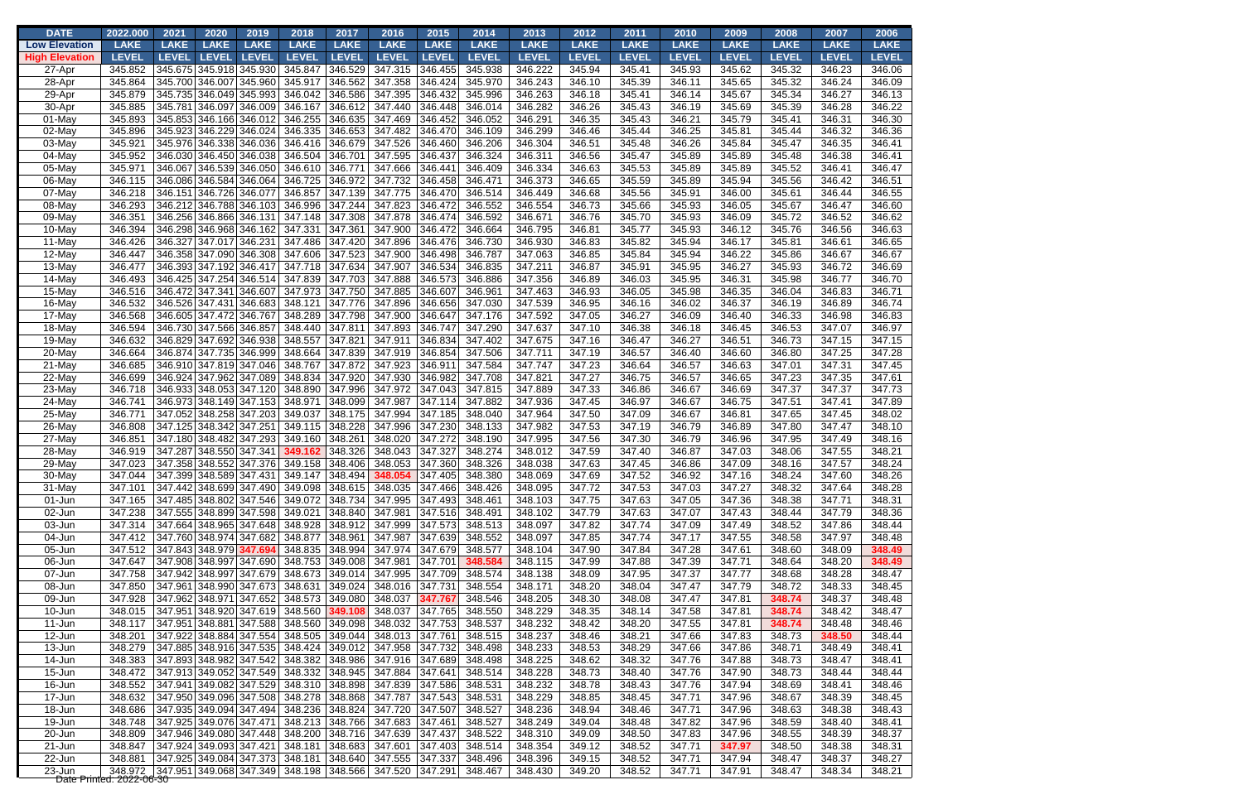| <b>DATE</b>           | 2022.000                                    | 2021         | 2020                        | 2019         | 2018                                      | 2017         | 2016            | 2015         | 2014               | 2013               | 2012             | 2011             | 2010         | 2009         | 2008         | 2007         | 2006         |
|-----------------------|---------------------------------------------|--------------|-----------------------------|--------------|-------------------------------------------|--------------|-----------------|--------------|--------------------|--------------------|------------------|------------------|--------------|--------------|--------------|--------------|--------------|
| <b>Low Elevation</b>  | <b>LAKE</b>                                 | <b>LAKE</b>  | <b>LAKE</b>                 | <b>LAKE</b>  | <b>LAKE</b>                               | <b>LAKE</b>  | <b>LAKE</b>     | <b>LAKE</b>  | <b>LAKE</b>        | <b>LAKE</b>        | <b>LAKE</b>      | <b>LAKE</b>      | <b>LAKE</b>  | <b>LAKE</b>  | <b>LAKE</b>  | <b>LAKE</b>  | <b>LAKE</b>  |
| <b>High Elevation</b> | <b>LEVEL</b>                                | <b>LEVEL</b> | <b>LEVEL</b>                | <b>LEVEL</b> | <b>LEVEL</b>                              | <b>LEVEL</b> | <b>LEVEL</b>    | <b>LEVEL</b> | <b>LEVEL</b>       | <b>LEVEL</b>       | <b>LEVEL</b>     | <b>LEVEL</b>     | <b>LEVEL</b> | <b>LEVEL</b> | <b>LEVEL</b> | <b>LEVEL</b> | <b>LEVEL</b> |
| 27-Apr                | 345.852                                     |              | 345.675 345.918 345.930     |              | 345.847                                   | 346.529      | 347.315         | 346.455      | 345.938            | 346.222            | 345.94           | 345.41           | 345.93       | 345.62       | 345.32       | 346.23       | 346.06       |
| 28-Apr                | 345.864                                     |              | 345.700 346.007 345.960     |              | 345.917                                   | 346.562      | 347.358         | 346.424      | 345.970            | 346.243            | 346.10           | 345.39           | 346.11       | 345.65       | 345.32       | 346.24       | 346.09       |
| 29-Apr                | 345.879                                     |              | 345.735 346.049 345.993     |              | 346.042                                   | 346.586      | 347.395         | 346.432      | 345.996            | 346.263            | 346.18           | 345.41           | 346.14       | 345.67       | 345.34       | 346.27       | 346.13       |
| 30-Apr                | 345.885                                     |              | 345.781 346.097 346.009     |              | 346.167                                   | 346.612      | 347.440         | 346.448      | 346.014            | 346.282            | 346.26           | 345.43           | 346.19       | 345.69       | 345.39       | 346.28       | 346.22       |
| 01-May                | 345.893                                     |              | 345.853 346.166 346.012     |              | 346.255                                   | 346.635      | 347.469         | 346.452      | 346.052            | 346.291            | 346.35           | 345.43           | 346.21       | 345.79       | 345.41       | 346.31       | 346.30       |
| 02-May                | 345.896                                     |              | 345.923 346.229 346.024     |              | 346.335                                   | 346.653      | 347.482         | 346.470      | 346.109            | 346.299            | 346.46           | 345.44           | 346.25       | 345.81       | 345.44       | 346.32       | 346.36       |
| 03-May                | 345.921                                     |              | 345.976 346.338 346.036     |              | 346.416                                   | 346.679      | 347.526         | 346.460      | 346.206            | 346.304            | 346.51           | 345.48           | 346.26       | 345.84       | 345.47       | 346.35       | 346.41       |
| 04-May                | 345.952                                     |              | 346.030 346.450 346.038     |              | 346.504                                   | 346.701      | 347.595         | 346.437      | 346.324            | 346.311            | 346.56           | 345.47           | 345.89       | 345.89       | 345.48       | 346.38       | 346.41       |
| 05-May                | 345.971                                     |              | 346.067 346.539 346.050     |              | 346.610                                   | 346.771      | 347.666         | 346.441      | 346.409            | 346.334            | 346.63           | 345.53           | 345.89       | 345.89       | 345.52       | 346.41       | 346.47       |
| 06-May                | 346.115                                     |              | 346.086 346.584 346.064     |              | 346.725                                   | 346.972      | 347.732         | 346.458      | 346.471            | 346.373            | 346.65           | 345.59           | 345.89       | 345.94       | 345.56       | 346.42       | 346.51       |
| 07-May                | 346.218                                     |              | 346.151 346.726 346.077     |              | 346.857                                   | 347.139      | 347.775         | 346.470      | 346.514            | 346.449            | 346.68           | 345.56           | 345.91       | 346.00       | 345.61       | 346.44       | 346.55       |
| 08-May                | 346.293                                     |              | 346.212 346.788 346.103     |              | 346.996                                   | 347.244      | 347.823         | 346.472      | 346.552            | 346.554            | 346.73           | 345.66           | 345.93       | 346.05       | 345.67       | 346.47       | 346.60       |
| 09-May                | 346.351                                     |              | 346.256 346.866 346.131     |              | 347.148                                   | 347.308      | 347.878         | 346.474      | 346.592            | 346.671            | 346.76           | 345.70           | 345.93       | 346.09       | 345.72       | 346.52       | 346.62       |
| 10-May                | 346.394                                     |              | 346.298 346.968 346.162     |              | 347.331                                   | 347.361      | 347.900         | 346.472      | 346.664            | 346.795            | 346.81           | 345.77           | 345.93       | 346.12       | 345.76       | 346.56       | 346.63       |
| 11-May                | 346.426                                     |              | 346.327 347.017 346.231     |              | 347.486                                   | 347.420      | 347.896         | 346.476      | 346.730            | 346.930            | 346.83           | 345.82           | 345.94       | 346.17       | 345.81       | 346.61       | 346.65       |
| 12-May                | 346.447                                     |              | 346.358 347.090 346.308     |              | 347.606                                   | 347.523      | 347.900         | 346.498      | 346.787            | 347.063            | 346.85           | 345.84           | 345.94       | 346.22       | 345.86       | 346.67       | 346.67       |
| 13-May                | 346.477                                     |              | 346.393 347.192 346.417     |              | 347.718                                   | 347.634      | 347.907         | 346.534      | 346.835            | 347.211            | 346.87           | 345.91           | 345.95       | 346.27       | 345.93       | 346.72       | 346.69       |
| 14-May                | 346.493                                     |              | 346.425 347.254 346.514     |              | 347.839                                   | 347.703      | 347.888         | 346.573      | 346.886            | 347.356            | 346.89           | 346.03           | 345.95       | 346.31       | 345.98       | 346.77       | 346.70       |
| 15-May                | 346.516                                     |              | 346.472 347.341 346.607     |              | 347.973                                   | 347.750      | 347.885         | 346.607      | 346.961            | 347.463            | 346.93           | 346.05           | 345.98       | 346.35       | 346.04       | 346.83       | 346.71       |
| 16-May                | 346.532                                     |              | 346.526 347.431 346.683     |              | 348.121                                   | 347.776      | 347.896         | 346.656      | 347.030            | 347.539            | 346.95           | 346.16           | 346.02       | 346.37       | 346.19       | 346.89       | 346.74       |
| 17-May                | 346.568                                     |              | 346.605 347.472 346.767     |              | 348.289                                   | 347.798      | 347.900         | 346.647      | 347.176            | 347.592            | 347.05           | 346.27           | 346.09       | 346.40       | 346.33       | 346.98       | 346.83       |
| 18-May                | 346.594                                     |              | 346.730 347.566 346.857     |              | 348.440                                   | 347.811      | 347.893         | 346.747      | 347.290            | 347.637            | 347.10           | 346.38           | 346.18       | 346.45       | 346.53       | 347.07       | 346.97       |
| 19-May                | 346.632                                     |              | 346.829 347.692 346.938     |              | 348.557                                   | 347.821      | 347.911         | 346.834      | 347.402            | 347.675            | 347.16           | 346.47           | 346.27       | 346.51       | 346.73       | 347.15       | 347.15       |
| 20-May                | 346.664                                     |              | 346.874 347.735 346.999     |              | 348.664                                   | 347.839      | 347.919         | 346.854      | 347.506            | 347.711            | 347.19           | 346.57           | 346.40       | 346.60       | 346.80       | 347.25       | 347.28       |
| 21-May                | 346.685                                     |              | 346.910 347.819 347.046     |              | 348.767                                   | 347.872      | 347.923         | 346.911      | 347.584            | 347.747            | 347.23           | 346.64           | 346.57       | 346.63       | 347.01       | 347.31       | 347.45       |
| 22-May                | 346.699                                     |              | 346.924 347.962 347.089     |              | 348.834                                   | 347.920      | 347.930         | 346.982      | 347.708            | 347.821            | 347.27           | 346.75           | 346.57       | 346.65       | 347.23       | 347.35       | 347.61       |
| 23-May                | 346.718                                     |              | 346.933 348.053 347.120     |              | 348.890                                   | 347.996      | 347.972         | 347.043      | 347.815            | 347.889            | 347.33           | 346.86           | 346.67       | 346.69       | 347.37       | 347.37       | 347.73       |
| 24-May                | 346.741                                     |              | 346.973 348.149 347.153     |              | 348.971                                   | 348.099      | 347.987         | 347.114      | 347.882            | 347.936            | 347.45           | 346.97           | 346.67       | 346.75       | 347.51       | 347.41       | 347.89       |
| 25-May                | 346.771                                     |              | 347.052 348.258 347.203     |              | 349.037                                   | 348.175      | 347.994         | 347.185      | 348.040            | 347.964            | 347.50           | 347.09           | 346.67       | 346.81       | 347.65       | 347.45       | 348.02       |
| 26-May                | 346.808                                     |              | 347.125 348.342 347.251     |              | 349.115                                   | 348.228      | 347.996         | 347.230      | 348.133            | 347.982            | 347.53           | 347.19           | 346.79       | 346.89       | 347.80       | 347.47       | 348.10       |
| 27-May                | 346.851                                     |              | 347.180 348.482 347.293     |              | 349.160                                   | 348.261      | 348.020         | 347.272      | 348.190            | 347.995            | 347.56           | 347.30           | 346.79       | 346.96       | 347.95       | 347.49       | 348.16       |
| 28-May                | 346.919                                     |              | 347.287 348.550 347.341     |              | 349.162                                   | 348.326      | 348.043         | 347.327      | 348.274            | 348.012            | 347.59           | 347.40           | 346.87       | 347.03       | 348.06       | 347.55       | 348.21       |
| 29-May                | 347.023                                     |              | 347.358 348.552 347.376     |              | 349.158                                   | 348.406      | 348.053         | 347.360      | 348.326            | 348.038            | 347.63           | 347.45           | 346.86       | 347.09       | 348.16       | 347.57       | 348.24       |
| 30-May                | 347.044                                     |              | 347.399 348.589 347.431     |              | 349.147                                   | 348.494      | 348.054         | 347.405      | 348.380            | 348.069            | 347.69           | 347.52           | 346.92       | 347.16       | 348.24       | 347.60       | 348.26       |
| 31-May                | 347.101 347.442 348.699 347.490             |              |                             |              | 349.098 348.615                           |              | 348.035 347.466 |              | 348.426            | 348.095            | 347.72           | 347.53           | 347.03       | 347.27       | 348.32       | 347.64       | 348.28       |
| 01-Jun                | 347.165                                     |              | 347.485 348.802 347.546     |              | 349.072                                   | 348.734      | 347.995         | 347.493      | 348.461            | 348.103            | 347.75           | 347.63           | 347.05       | 347.36       | 348.38       | 347.71       | 348.31       |
| 02-Jun                | 347.238                                     |              | 347.555 348.899 347.598     |              | 349.021                                   | 348.840      | 347.981         | 347.516      | 348.491            | 348.102            | 347.79           | 347.63           | 347.07       | 347.43       | 348.44       | 347.79       | 348.36       |
| 03-Jun                | 347.314                                     |              | 347.664 348.965 347.648     |              | 348.928 348.912                           |              | 347.999         | 347.573      | 348.513            | 348.097            | 347.82           | 347.74           | 347.09       | 347.49       | 348.52       | 347.86       | 348.44       |
| 04-Jun                | 347.412                                     |              | 347.760 348.974 347.682     |              | 348.877                                   | 348.961      | 347.987         | 347.639      | 348.552            | 348.097            | 347.85           | 347.74           | 347.17       | 347.55       | 348.58       | 347.97       | 348.48       |
| 05-Jun                | 347.512                                     |              | 347.843 348.979 347.694     |              | 348.835                                   | 348.994      | 347.974         | 347.679      | 348.577            | 348.104            | 347.90           | 347.84           | 347.28       | 347.61       | 348.60       | 348.09       | 348.49       |
| 06-Jun                | 347.647                                     |              | 347.908 348.997 347.690     |              | 348.753 349.008                           |              | 347.981         | 347.701      | 348.584            | 348.115            | 347.99           | 347.88           | 347.39       | 347.71       | 348.64       | 348.20       | 348.49       |
| 07-Jun                | 347.758                                     |              | 347.942 348.997 347.679     |              | 348.673 349.014                           |              | 347.995         | 347.709      | 348.574            | 348.138            | 348.09           | 347.95           | 347.37       | 347.77       | 348.68       | 348.28       | 348.47       |
| 08-Jun                | 347.850                                     |              | 347.961 348.990 347.673     |              | 348.631                                   | 349.024      | 348.016         | 347.731      | 348.554            | 348.171            | 348.20           | 348.04           | 347.47       | 347.79       | 348.72       | 348.33       | 348.45       |
| 09-Jun                | 347.928                                     |              | 347.962 348.971 347.652     |              | 348.573                                   | 349.080      | 348.037         | 347.767      | 348.546            | 348.205            | 348.30           | 348.08           | 347.47       | 347.81       | 348.74       | 348.37       | 348.48       |
| 10-Jun                | 348.015                                     |              | 347.951 348.920 347.619     |              | 348.560                                   | 349.108      | 348.037         | 347.765      | 348.550            | 348.229            | 348.35           | 348.14           | 347.58       | 347.81       | 348.74       | 348.42       | 348.47       |
| 11-Jun                | 348.117                                     |              | 347.951 348.881 347.588     |              | 348.560                                   | 349.098      | 348.032         | 347.753      | 348.537            | 348.232            | 348.42           | 348.20           | 347.55       | 347.81       | 348.74       | 348.48       | 348.46       |
| 12-Jun                | 348.201                                     |              | 347.922 348.884 347.554     |              | 348.505                                   | 349.044      | 348.013         | 347.761      | 348.515            | 348.237            | 348.46           | 348.21           | 347.66       | 347.83       | 348.73       | 348.50       | 348.44       |
|                       | 348.279                                     |              |                             |              |                                           |              |                 |              | 348.498            | 348.233            |                  | 348.29           |              |              | 348.71       |              | 348.41       |
| 13-Jun<br>14-Jun      | 348.383                                     |              | 347.885 348.916 347.535     |              | 348.424 349.012<br>348.382 348.986        |              | 347.958         | 347.732      |                    |                    | 348.53<br>348.62 |                  | 347.66       | 347.86       |              | 348.49       |              |
| 15-Jun                |                                             |              | 347.893 348.982 347.542     |              |                                           |              | 347.916 347.689 |              | 348.498<br>348.514 | 348.225<br>348.228 |                  | 348.32<br>348.40 | 347.76       | 347.88       | 348.73       | 348.47       | 348.41       |
|                       | 348.472                                     |              | 347.913 349.052 347.549     |              | 348.332 348.945                           |              | 347.884 347.641 |              |                    |                    | 348.73           |                  | 347.76       | 347.90       | 348.73       | 348.44       | 348.44       |
| 16-Jun                | 348.552                                     |              | 347.941 349.082 347.529     |              | 348.310 348.898                           |              | 347.839         | 347.586      | 348.531            | 348.232            | 348.78           | 348.43           | 347.76       | 347.94       | 348.69       | 348.41       | 348.46       |
| 17-Jun                | 348.632                                     |              | 347.950 349.096 347.508     |              | 348.278 348.868                           |              | 347.787         | 347.543      | 348.531            | 348.229            | 348.85           | 348.45           | 347.71       | 347.96       | 348.67       | 348.39       | 348.45       |
| 18-Jun                | 348.686                                     |              | 347.935 349.094 347.494     |              | 348.236                                   | 348.824      | 347.720         | 347.507      | 348.527            | 348.236            | 348.94           | 348.46           | 347.71       | 347.96       | 348.63       | 348.38       | 348.43       |
| 19-Jun                | 348.748                                     |              | 347.925 349.076 347.471     |              | 348.213 348.766                           |              | 347.683         | 347.461      | 348.527            | 348.249            | 349.04           | 348.48           | 347.82       | 347.96       | 348.59       | 348.40       | 348.41       |
| 20-Jun                | 348.809                                     |              | 347.946 349.080 347.448     |              | 348.200 348.716                           |              | 347.639         | 347.437      | 348.522            | 348.310            | 349.09           | 348.50           | 347.83       | 347.96       | 348.55       | 348.39       | 348.37       |
| 21-Jun                | 348.847                                     |              | 347.924 349.093 347.421     |              | 348.181                                   | 348.683      | 347.601         | 347.403      | 348.514            | 348.354            | 349.12           | 348.52           | 347.71       | 347.97       | 348.50       | 348.38       | 348.31       |
| 22-Jun                | 348.881                                     |              | 347.925   349.084   347.373 |              | 348.181                                   | 348.640      | 347.555         | 347.337      | 348.496            | 348.396            | 349.15           | 348.52           | 347.71       | 347.94       | 348.47       | 348.37       | 348.27       |
| $23 - Jun$            | 348.972 348.974<br>Date Printed: 2022-06-30 |              |                             |              | 347.951 349.068 347.349  348.198  348.566 |              | 347.520 347.291 |              | 348.467            | 348.430            | 349.20           | 348.52           | 347.71       | 347.91       | 348.47       | 348.34       | 348.21       |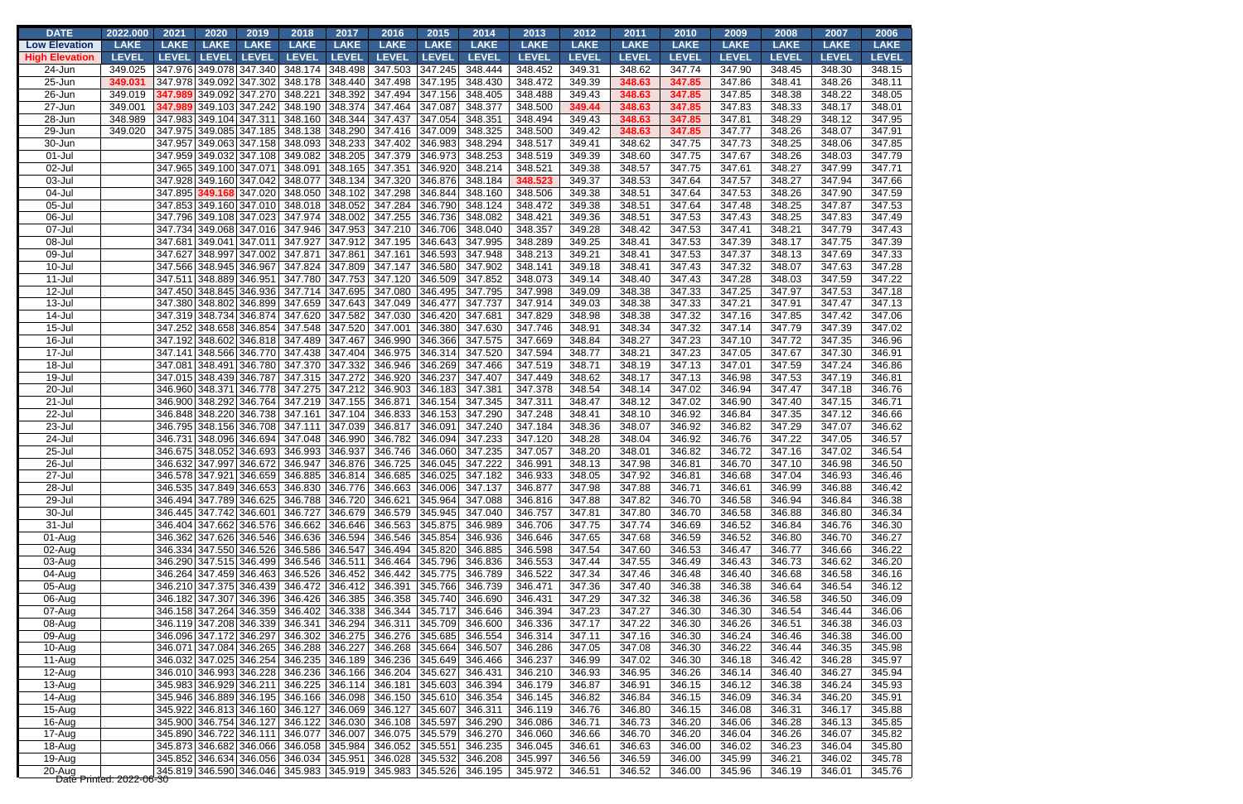| <b>DATE</b>                                   | 2022.000     | 2021         | 2020                    | 2019         | 2018                                    | 2017         | 2016         | 2015         | 2014         | 2013         | 2012         | 2011         | 2010         | 2009         | 2008         | 2007         | 2006         |
|-----------------------------------------------|--------------|--------------|-------------------------|--------------|-----------------------------------------|--------------|--------------|--------------|--------------|--------------|--------------|--------------|--------------|--------------|--------------|--------------|--------------|
| <b>Low Elevation</b>                          | <b>LAKE</b>  | <b>LAKE</b>  | <b>LAKE</b>             | <b>LAKE</b>  | <b>LAKE</b>                             | <b>LAKE</b>  | <b>LAKE</b>  | <b>LAKE</b>  | <b>LAKE</b>  | <b>LAKE</b>  | <b>LAKE</b>  | <b>LAKE</b>  | <b>LAKE</b>  | <b>LAKE</b>  | <b>LAKE</b>  | <b>LAKE</b>  | <b>LAKE</b>  |
| <b>High Elevation</b>                         | <b>LEVEL</b> | <b>LEVEL</b> | <b>LEVEL</b>            | <b>LEVEL</b> | <b>LEVEL</b>                            | <b>LEVEL</b> | <b>LEVEL</b> | <b>LEVEL</b> | <b>LEVEL</b> | <b>LEVEL</b> | <b>LEVEL</b> | <b>LEVEL</b> | <b>LEVEL</b> | <b>LEVEL</b> | <b>LEVEL</b> | <b>LEVEL</b> | <b>LEVEL</b> |
| 24-Jun                                        | 349.025      |              | 347.976 349.078 347.340 |              | 348.174                                 | 348.498      | 347.503      | 347.245      | 348.444      | 348.452      | 349.31       | 348.62       | 347.74       | 347.90       | 348.45       | 348.30       | 348.15       |
| 25-Jun                                        | 349.031      |              | 347.978 349.092 347.302 |              | 348.178                                 | 348.440      | 347.498      | 347.195      | 348.430      | 348.472      | 349.39       | 348.63       | 347.85       | 347.86       | 348.41       | 348.26       | 348.11       |
| 26-Jun                                        | 349.019      |              | 347.989 349.092 347.270 |              | 348.221                                 | 348.392      | 347.494      | 347.156      | 348.405      | 348.488      | 349.43       | 348.63       | 347.85       | 347.85       | 348.38       | 348.22       | 348.05       |
| 27-Jun                                        | 349.001      |              | 347.989 349.103 347.242 |              | 348.190                                 | 348.374      | 347.464      | 347.087      | 348.377      | 348.500      | 349.44       | 348.63       | 347.85       | 347.83       | 348.33       | 348.17       | 348.01       |
| 28-Jun                                        | 348.989      |              | 347.983 349.104 347.311 |              | 348.160                                 | 348.344      | 347.437      | 347.054      | 348.351      | 348.494      | 349.43       | 348.63       | 347.85       | 347.81       | 348.29       | 348.12       | 347.95       |
| 29-Jun                                        | 349.020      |              | 347.975 349.085 347.185 |              | 348.138                                 | 348.290      | 347.416      | 347.009      | 348.325      | 348.500      | 349.42       | 348.63       | 347.85       | 347.77       | 348.26       | 348.07       | 347.91       |
| 30-Jun                                        |              |              | 347.957 349.063 347.158 |              | 348.093                                 | 348.233      | 347.402      | 346.983      | 348.294      | 348.517      | 349.41       | 348.62       | 347.75       | 347.73       | 348.25       | 348.06       | 347.85       |
| $01 -$ Jul                                    |              |              | 347.959 349.032 347.108 |              | 349.082                                 | 348.205      | 347.379      | 346.973      | 348.253      | 348.519      | 349.39       | 348.60       | 347.75       | 347.67       | 348.26       | 348.03       | 347.79       |
| 02-Jul                                        |              |              | 347.965 349.100 347.071 |              | 348.091                                 | 348.165      | 347.351      | 346.920      | 348.214      | 348.521      | 349.38       | 348.57       | 347.75       | 347.61       | 348.27       | 347.99       | 347.71       |
| 03-Jul                                        |              |              | 347.928 349.160 347.042 |              | 348.077                                 | 348.134      | 347.320      | 346.876      | 348.184      | 348.523      | 349.37       | 348.53       | 347.64       | 347.57       | 348.27       | 347.94       | 347.66       |
| 04-Jul                                        |              |              | 347.895 349.168 347.020 |              | 348.050                                 | 348.102      | 347.298      | 346.844      | 348.160      | 348.506      | 349.38       | 348.51       | 347.64       | 347.53       | 348.26       | 347.90       | 347.59       |
| $05 -$ Jul                                    |              |              | 347.853 349.160 347.010 |              | 348.018                                 | 348.052      | 347.284      | 346.790      | 348.124      | 348.472      | 349.38       | 348.51       | 347.64       | 347.48       | 348.25       | 347.87       | 347.53       |
| 06-Jul                                        |              |              | 347.796 349.108 347.023 |              | 347.974                                 | 348.002      | 347.255      | 346.736      | 348.082      | 348.421      | 349.36       | 348.51       | 347.53       | 347.43       | 348.25       | 347.83       | 347.49       |
| 07-Jul                                        |              |              | 347.734 349.068 347.016 |              | 347.946                                 | 347.953      | 347.210      | 346.706      | 348.040      | 348.357      | 349.28       | 348.42       | 347.53       | 347.41       | 348.21       | 347.79       | 347.43       |
| 08-Jul                                        |              |              | 347.681 349.041 347.011 |              | 347.927                                 | 347.912      | 347.195      | 346.643      | 347.995      | 348.289      | 349.25       | 348.41       | 347.53       | 347.39       | 348.17       | 347.75       | 347.39       |
| 09-Jul                                        |              |              | 347.627 348.997 347.002 |              | 347.871                                 | 347.861      | 347.161      | 346.593      | 347.948      | 348.213      | 349.21       | 348.41       | 347.53       | 347.37       | 348.13       | 347.69       | 347.33       |
| 10-Jul                                        |              |              | 347.566 348.945 346.967 |              | 347.824                                 | 347.809      | 347.147      | 346.580      | 347.902      | 348.141      | 349.18       | 348.41       | 347.43       | 347.32       | 348.07       | 347.63       | 347.28       |
| $11 -$ Jul                                    |              |              | 347.511 348.889 346.951 |              | 347.780                                 | 347.753      | 347.120      | 346.509      | 347.852      | 348.073      | 349.14       | 348.40       | 347.43       | 347.28       | 348.03       | 347.59       | 347.22       |
| 12-Jul                                        |              |              | 347.450 348.845 346.936 |              | 347.714                                 | 347.695      | 347.080      | 346.495      | 347.795      | 347.998      | 349.09       | 348.38       | 347.33       | 347.25       | 347.97       | 347.53       | 347.18       |
| 13-Jul                                        |              |              | 347.380 348.802 346.899 |              | 347.659                                 | 347.643      | 347.049      | 346.477      | 347.737      | 347.914      | 349.03       | 348.38       | 347.33       | 347.21       | 347.91       | 347.47       | 347.13       |
| 14-Jul                                        |              |              | 347.319 348.734 346.874 |              | 347.620                                 | 347.582      | 347.030      | 346.420      | 347.681      | 347.829      | 348.98       | 348.38       | 347.32       | 347.16       | 347.85       | 347.42       | 347.06       |
| $15 -$ Jul                                    |              |              | 347.252 348.658 346.854 |              | 347.548                                 | 347.520      | 347.001      | 346.380      | 347.630      | 347.746      | 348.91       | 348.34       | 347.32       | 347.14       | 347.79       | 347.39       | 347.02       |
| 16-Jul                                        |              |              | 347.192 348.602 346.818 |              | 347.489                                 | 347.467      | 346.990      | 346.366      | 347.575      | 347.669      | 348.84       | 348.27       | 347.23       | 347.10       | 347.72       | 347.35       | 346.96       |
| 17-Jul                                        |              |              | 347.141 348.566 346.770 |              | 347.438                                 | 347.404      | 346.975      | 346.314      | 347.520      | 347.594      | 348.77       | 348.21       | 347.23       | 347.05       | 347.67       | 347.30       | 346.91       |
| 18-Jul                                        |              |              | 347.081 348.491 346.780 |              | 347.370                                 | 347.332      | 346.946      | 346.269      | 347.466      | 347.519      | 348.71       | 348.19       | 347.13       | 347.01       | 347.59       | 347.24       | 346.86       |
| 19-Jul                                        |              |              | 347.015 348.439 346.787 |              | 347.315 347.272                         |              | 346.920      | 346.237      | 347.407      | 347.449      | 348.62       | 348.17       | 347.13       | 346.98       | 347.53       | 347.19       | 346.81       |
| 20-Jul                                        |              |              | 346.960 348.371 346.778 |              | 347.275 347.212                         |              | 346.903      | 346.183      | 347.381      | 347.378      | 348.54       | 348.14       | 347.02       | 346.94       | 347.47       | 347.18       | 346.76       |
| $21 -$ Jul                                    |              |              | 346.900 348.292 346.764 |              | 347.219 347.155                         |              | 346.871      | 346.154      | 347.345      | 347.311      | 348.47       | 348.12       | 347.02       | 346.90       | 347.40       | 347.15       | 346.71       |
| 22-Jul                                        |              |              | 346.848 348.220 346.738 |              | 347.161                                 | 347.104      | 346.833      | 346.153      | 347.290      | 347.248      | 348.41       | 348.10       | 346.92       | 346.84       | 347.35       | 347.12       | 346.66       |
| 23-Jul                                        |              |              | 346.795 348.156 346.708 |              | 347.111                                 | 347.039      | 346.817      | 346.091      | 347.240      | 347.184      | 348.36       | 348.07       | 346.92       | 346.82       | 347.29       | 347.07       | 346.62       |
| 24-Jul                                        |              |              | 346.731 348.096 346.694 |              | 347.048                                 | 346.990      | 346.782      | 346.094      | 347.233      | 347.120      | 348.28       | 348.04       | 346.92       | 346.76       | 347.22       | 347.05       | 346.57       |
| 25-Jul                                        |              |              | 346.675 348.052 346.693 |              | 346.993                                 | 346.937      | 346.746      | 346.060      | 347.235      | 347.057      | 348.20       | 348.01       | 346.82       | 346.72       | 347.16       | 347.02       | 346.54       |
| 26-Jul                                        |              |              | 346.632 347.997 346.672 |              | 346.947                                 | 346.876      | 346.725      | 346.045      | 347.222      | 346.991      | 348.13       | 347.98       | 346.81       | 346.70       | 347.10       | 346.98       | 346.50       |
| 27-Jul                                        |              |              | 346.578 347.921 346.659 |              | 346.885                                 | 346.814      | 346.685      | 346.025      | 347.182      | 346.933      | 348.05       | 347.92       | 346.81       | 346.68       | 347.04       | 346.93       | 346.46       |
| 28-Jul                                        |              |              |                         |              | 346.535 347.849 346.653 346.830 346.776 |              | 346.663      | 346.006      | 347.137      | 346.877      | 347.98       | 347.88       | 346.71       | 346.61       | 346.99       | 346.88       | 346.42       |
| 29-Jul                                        |              |              | 346.494 347.789 346.625 |              | 346.788 346.720                         |              | 346.621      | 345.964      | 347.088      | 346.816      | 347.88       | 347.82       | 346.70       | 346.58       | 346.94       | 346.84       | 346.38       |
| 30-Jul                                        |              |              | 346.445 347.742 346.601 |              | 346.727 346.679                         |              | 346.579      | 345.945      | 347.040      | 346.757      | 347.81       | 347.80       | 346.70       | 346.58       | 346.88       | 346.80       | 346.34       |
| $31 -$ Jul                                    |              |              | 346.404 347.662 346.576 |              | 346.662 346.646                         |              | 346.563      | 345.875      | 346.989      | 346.706      | 347.75       | 347.74       | 346.69       | 346.52       | 346.84       | 346.76       | 346.30       |
| 01-Aug                                        |              |              | 346.362 347.626 346.546 |              | 346.636 346.594                         |              | 346.546      | 345.854      | 346.936      | 346.646      | 347.65       | 347.68       | 346.59       | 346.52       | 346.80       | 346.70       | 346.27       |
| 02-Aug                                        |              |              | 346.334 347.550 346.526 |              | 346.586 346.547                         |              | 346.494      | 345.820      | 346.885      | 346.598      | 347.54       | 347.60       | 346.53       | 346.47       | 346.77       | 346.66       | 346.22       |
| 03-Aug                                        |              |              | 346.290 347.515 346.499 |              | 346.546 346.511                         |              | 346.464      | 345.796      | 346.836      | 346.553      | 347.44       | 347.55       | 346.49       | 346.43       | 346.73       | 346.62       | 346.20       |
| 04-Aug                                        |              |              | 346.264 347.459 346.463 |              | 346.526 346.452                         |              | 346.442      | 345.775      | 346.789      | 346.522      | 347.34       | 347.46       | 346.48       | 346.40       | 346.68       | 346.58       | 346.16       |
| 05-Aug                                        |              |              | 346.210 347.375 346.439 |              | 346.472                                 | 346.412      | 346.391      | 345.766      | 346.739      | 346.471      | 347.36       | 347.40       | 346.38       | 346.38       | 346.64       | 346.54       | 346.12       |
| 06-Aug                                        |              |              | 346.182 347.307 346.396 |              | 346.426                                 | 346.385      | 346.358      | 345.740      | 346.690      | 346.431      | 347.29       | 347.32       | 346.38       | 346.36       | 346.58       | 346.50       | 346.09       |
| 07-Aug                                        |              |              | 346.158 347.264 346.359 |              | 346.402 346.338                         |              | 346.344      | 345.717      | 346.646      | 346.394      | 347.23       | 347.27       | 346.30       | 346.30       | 346.54       | 346.44       | 346.06       |
| 08-Aug                                        |              |              | 346.119 347.208 346.339 |              | 346.341                                 | 346.294      | 346.311      | 345.709      | 346.600      | 346.336      | 347.17       | 347.22       | 346.30       | 346.26       | 346.51       | 346.38       | 346.03       |
| 09-Aug                                        |              |              | 346.096 347.172 346.297 |              | 346.302                                 | 346.275      | 346.276      | 345.685      | 346.554      | 346.314      | 347.11       | 347.16       | 346.30       | 346.24       | 346.46       | 346.38       | 346.00       |
| 10-Aug                                        |              |              | 346.071 347.084 346.265 |              | 346.288                                 | 346.227      | 346.268      | 345.664      | 346.507      | 346.286      | 347.05       | 347.08       | 346.30       | 346.22       | 346.44       | 346.35       | 345.98       |
| 11-Aug                                        |              |              | 346.032 347.025 346.254 |              | 346.235 346.189                         |              | 346.236      | 345.649      | 346.466      | 346.237      | 346.99       | 347.02       | 346.30       | 346.18       | 346.42       | 346.28       | 345.97       |
| $12-Au\overline{g}$                           |              |              | 346.010 346.993 346.228 |              | 346.236 346.166                         |              | 346.204      | 345.627      | 346.431      | 346.210      | 346.93       | 346.95       | 346.26       | 346.14       | 346.40       | 346.27       | 345.94       |
| 13-Aug                                        |              |              | 345.983 346.929 346.211 |              | 346.225 346.114                         |              | 346.181      | 345.603      | 346.394      | 346.179      | 346.87       | 346.91       | 346.15       | 346.12       | 346.38       | 346.24       | 345.93       |
| 14-Aug                                        |              |              |                         |              |                                         |              |              |              | 346.354      | 346.145      |              | 346.84       |              |              |              |              |              |
|                                               |              |              | 345.946 346.889 346.195 |              | 346.166 346.098                         |              | 346.150      | 345.610      |              |              | 346.82       |              | 346.15       | 346.09       | 346.34       | 346.20       | 345.91       |
| $15-Auq$                                      |              |              | 345.922 346.813 346.160 |              | 346.127 346.069                         |              | 346.127      | 345.607      | 346.311      | 346.119      | 346.76       | 346.80       | 346.15       | 346.08       | 346.31       | 346.17       | 345.88       |
| 16-Aug                                        |              |              | 345.900 346.754 346.127 |              | 346.122 346.030                         |              | 346.108      | 345.597      | 346.290      | 346.086      | 346.71       | 346.73       | 346.20       | 346.06       | 346.28       | 346.13       | 345.85       |
| 17-Aug                                        |              |              | 345.890 346.722 346.111 |              | 346.077                                 | 346.007      | 346.075      | 345.579      | 346.270      | 346.060      | 346.66       | 346.70       | 346.20       | 346.04       | 346.26       | 346.07       | 345.82       |
| 18-Aug                                        |              |              | 345.873 346.682 346.066 |              | 346.058 345.984                         |              | 346.052      | 345.551      | 346.235      | 346.045      | 346.61       | 346.63       | 346.00       | 346.02       | 346.23       | 346.04       | 345.80       |
| 19-Aug                                        |              |              |                         |              | 345.852 346.634 346.056 346.034 345.951 |              | 346.028      | 345.532      | 346.208      | 345.997      | 346.56       | 346.59       | 346.00       | 345.99       | 346.21       | 346.02       | 345.78       |
| 20-Aug 2022-06-30<br>Date Printed: 2022-06-30 |              |              |                         |              |                                         |              | 345.983      | 345.526      | 346.195      | 345.972      | 346.51       | 346.52       | 346.00       | 345.96       | 346.19       | 346.01       | 345.76       |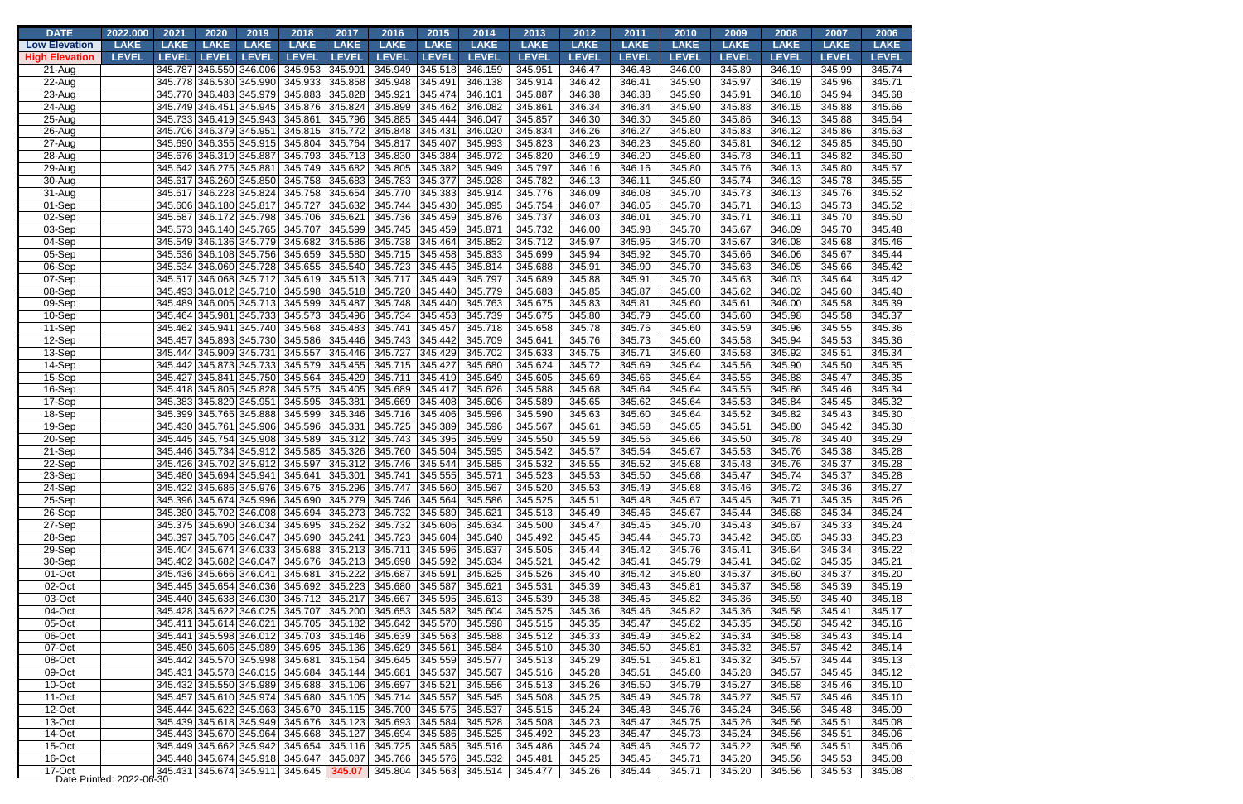| <b>DATE</b>           | 2022.000                 | 2021         | 2020         | 2019                                               | 2018                                                       | 2017         | 2016                       | 2015               | 2014               | 2013               | 2012             | 2011             | 2010             | 2009             | 2008             | 2007             | 2006             |
|-----------------------|--------------------------|--------------|--------------|----------------------------------------------------|------------------------------------------------------------|--------------|----------------------------|--------------------|--------------------|--------------------|------------------|------------------|------------------|------------------|------------------|------------------|------------------|
| <b>Low Elevation</b>  | <b>LAKE</b>              | <b>LAKE</b>  | <b>LAKE</b>  | <b>LAKE</b>                                        | <b>LAKE</b>                                                | <b>LAKE</b>  | <b>LAKE</b>                | <b>LAKE</b>        | <b>LAKE</b>        | <b>LAKE</b>        | <b>LAKE</b>      | <b>LAKE</b>      | <b>LAKE</b>      | <b>LAKE</b>      | <b>LAKE</b>      | <b>LAKE</b>      | <b>LAKE</b>      |
| <b>High Elevation</b> | <b>LEVEL</b>             | <b>LEVEL</b> | <b>LEVEL</b> | <b>LEVEL</b>                                       | <b>LEVEL</b>                                               | <b>LEVEL</b> | <b>LEVEL</b>               | <b>LEVEL</b>       | <b>LEVEL</b>       | <b>LEVEL</b>       | <b>LEVEL</b>     | <b>LEVEL</b>     | <b>LEVEL</b>     | <b>LEVEL</b>     | <b>LEVEL</b>     | <b>LEVEL</b>     | <b>LEVEL</b>     |
| 21-Aug                |                          |              |              | 345.787 346.550 346.006                            | 345.953                                                    | 345.901      | 345.949                    | 345.518            | 346.159            | 345.951            | 346.47           | 346.48           | 346.00           | 345.89           | 346.19           | 345.99           | 345.74           |
| 22-Aug                |                          |              |              | 345.778 346.530 345.990                            | 345.933                                                    | 345.858      | 345.948                    | 345.491            | 346.138            | 345.914            | 346.42           | 346.41           | 345.90           | 345.97           | 346.19           | 345.96           | 345.71           |
| 23-Aug                |                          |              |              | 345.770 346.483 345.979                            | 345.883                                                    | 345.828      | 345.921                    | 345.474            | 346.101            | 345.887            | 346.38           | 346.38           | 345.90           | 345.91           | 346.18           | 345.94           | 345.68           |
| 24-Aug                |                          |              |              | 345.749 346.451 345.945                            | 345.876                                                    | 345.824      | 345.899                    | 345.462            | 346.082            | 345.861            | 346.34           | 346.34           | 345.90           | 345.88           | 346.15           | 345.88           | 345.66           |
| 25-Aug                |                          |              |              | 345.733 346.419 345.943                            | 345.861                                                    | 345.796      | 345.885                    | 345.444            | 346.047            | 345.857            | 346.30           | 346.30           | 345.80           | 345.86           | 346.13           | 345.88           | 345.64           |
| 26-Aug                |                          |              |              | 345.706 346.379 345.951                            | 345.815                                                    | 345.772      | 345.848                    | 345.431            | 346.020            | 345.834            | 346.26           | 346.27           | 345.80           | 345.83           | 346.12           | 345.86           | 345.63           |
| 27-Aug                |                          |              |              | 345.690 346.355 345.915                            | 345.804                                                    | 345.764      | 345.817                    | 345.407            | 345.993            | 345.823            | 346.23           | 346.23           | 345.80           | 345.81           | 346.12           | 345.85           | 345.60           |
| 28-Aug                |                          |              |              | 345.676 346.319 345.887                            | 345.793 345.713                                            |              | 345.830                    | 345.384            | 345.972            | 345.820            | 346.19           | 346.20           | 345.80           | 345.78           | 346.11           | 345.82           | 345.60           |
| 29-Aug                |                          |              |              | 345.642 346.275 345.881                            | 345.749 345.682                                            |              | 345.805                    | 345.382            | 345.949            | 345.797            | 346.16           | 346.16           | 345.80           | 345.76           | 346.13           | 345.80           | 345.57           |
| 30-Aug                |                          |              |              | 345.617 346.260 345.850                            | 345.758 345.683                                            |              | 345.783                    | 345.377            | 345.928            | 345.782            | 346.13           | 346.11           | 345.80           | 345.74           | 346.13           | 345.78           | 345.55           |
| 31-Aug                |                          |              |              | 345.617 346.228 345.824                            | 345.758                                                    | 345.654      | 345.770                    | 345.383            | 345.914            | 345.776            | 346.09           | 346.08           | 345.70           | 345.73           | 346.13           | 345.76           | 345.52           |
| 01-Sep                |                          |              |              | 345.606 346.180 345.817                            | 345.727                                                    | 345.632      | 345.744                    | 345.430            | 345.895            | 345.754            | 346.07           | 346.05           | 345.70           | 345.71           | 346.13           | 345.73           | 345.52           |
| 02-Sep                |                          | 345.587      |              | 346.172 345.798                                    | 345.706                                                    | 345.621      | 345.736                    | 345.459            | 345.876            | 345.737            | 346.03           | 346.01           | 345.70           | 345.71           | 346.11           | 345.70           | 345.50           |
| 03-Sep                |                          |              |              | 345.573 346.140 345.765                            | 345.707                                                    | 345.599      | 345.745                    | 345.459            | 345.871            | 345.732            | 346.00           | 345.98           | 345.70           | 345.67           | 346.09           | 345.70           | 345.48           |
| 04-Sep                |                          |              |              | 345.549 346.136 345.779                            | 345.682                                                    | 345.586      | 345.738                    | 345.464            | 345.852            | 345.712            | 345.97           | 345.95           | 345.70           | 345.67           | 346.08           | 345.68           | 345.46           |
| 05-Sep                |                          |              |              | 345.536 346.108 345.756                            | 345.659                                                    | 345.580      | 345.715                    | 345.458            | 345.833            | 345.699            | 345.94           | 345.92           | 345.70           | 345.66           | 346.06           | 345.67           | 345.44           |
| 06-Sep                |                          |              |              | 345.534 346.060 345.728                            | 345.655                                                    | 345.540      | 345.723                    | 345.445            | 345.814            | 345.688            | 345.91           | 345.90           | 345.70           | 345.63           | 346.05           | 345.66           | 345.42           |
| 07-Sep                |                          | 345.517      |              | 346.068 345.712                                    | 345.619                                                    | 345.513      | 345.717                    | 345.449            | 345.797            | 345.689            | 345.88           | 345.91           | 345.70           | 345.63           | 346.03           | 345.64           | 345.42           |
| 08-Sep                |                          |              |              | 345.493 346.012 345.710                            | 345.598 345.518                                            |              | 345.720                    | 345.440            | 345.779            | 345.683            | 345.85           | 345.87           | 345.60           | 345.62           | 346.02           | 345.60           | 345.40           |
| 09-Sep                |                          |              |              | 345.489 346.005 345.713                            | 345.599 345.487                                            |              | 345.748                    | 345.440            | 345.763            | 345.675            | 345.83           | 345.81           | 345.60           | 345.61           | 346.00           | 345.58           | 345.39           |
| 10-Sep                |                          |              |              | 345.464 345.981 345.733                            | 345.573 345.496                                            |              | 345.734                    | 345.453            | 345.739            | 345.675            | 345.80           | 345.79           | 345.60           | 345.60           | 345.98           | 345.58           | 345.37           |
| 11-Sep                |                          |              |              | 345.462 345.941 345.740                            | 345.568 345.483                                            |              | 345.741                    | 345.457            | 345.718            | 345.658            | 345.78           | 345.76           | 345.60           | 345.59           | 345.96           | 345.55           | 345.36           |
| 12-Sep                |                          |              |              | 345.457 345.893 345.730                            | 345.586 345.446                                            |              | 345.743                    | 345.442            | 345.709            | 345.641            | 345.76           | 345.73           | 345.60           | 345.58           | 345.94           | 345.53           | 345.36           |
| 13-Sep                |                          |              |              | 345.444 345.909 345.731                            | 345.557                                                    | 345.446      | 345.727                    | 345.429            | 345.702            | 345.633            | 345.75           | 345.71           | 345.60           | 345.58           | 345.92           | 345.51           | 345.34           |
| 14-Sep                |                          |              |              | 345.442 345.873 345.733                            | 345.579                                                    | 345.455      | 345.715                    | 345.427            | 345.680            | 345.624            | 345.72           | 345.69           | 345.64           | 345.56           | 345.90           | 345.50           | 345.35           |
| 15-Sep                |                          |              |              | 345.427 345.841 345.750                            | 345.564                                                    | 345.429      | 345.711                    | 345.419            | 345.649            | 345.605            | 345.69           | 345.66           | 345.64           | 345.55           | 345.88           | 345.47           | 345.35           |
| 16-Sep                |                          |              |              | 345.418 345.805 345.828                            | 345.575                                                    | 345.405      | 345.689                    | 345.417            | 345.626            | 345.588            | 345.68           | 345.64           | 345.64           | 345.55           | 345.86           | 345.46           | 345.34           |
| 17-Sep                |                          |              |              | 345.383 345.829 345.951                            | 345.595                                                    | 345.381      | 345.669                    | 345.408            | 345.606            | 345.589            | 345.65           | 345.62           | 345.64           | 345.53           | 345.84           | 345.45           | 345.32           |
| 18-Sep                |                          |              |              | 345.399 345.765 345.888                            | 345.599                                                    | 345.346      | 345.716                    | 345.406            | 345.596            | 345.590            | 345.63           | 345.60           | 345.64           | 345.52           | 345.82           | 345.43           | 345.30           |
| 19-Sep                |                          |              |              | 345.430 345.761 345.906                            | 345.596                                                    | 345.331      | 345.725                    | 345.389            | 345.596            | 345.567            | 345.61           | 345.58           | 345.65           | 345.51           | 345.80           | 345.42           | 345.30           |
| 20-Sep                |                          |              |              | 345.445 345.754 345.908                            | 345.589                                                    | 345.312      | 345.743                    | 345.395            | 345.599            | 345.550            | 345.59           | 345.56           | 345.66           | 345.50           | 345.78           | 345.40           | 345.29           |
| $21-Sep$              |                          |              |              | 345.446 345.734 345.912                            | 345.585                                                    | 345.326      | 345.760                    | 345.504            | 345.595            | 345.542            | 345.57           | 345.54           | 345.67           | 345.53           | 345.76           | 345.38           | 345.28           |
| 22-Sep                |                          |              |              | 345.426 345.702 345.912                            | 345.597                                                    | 345.312      | 345.746                    | 345.544            | 345.585            | 345.532            | 345.55           | 345.52           | 345.68           | 345.48           | 345.76           | 345.37           | 345.28           |
| 23-Sep                |                          |              |              | 345.480 345.694 345.941                            | 345.641                                                    | 345.301      | 345.741                    | 345.555            | 345.571            | 345.523            | 345.53           | 345.50           | 345.68           | 345.47           | 345.74           | 345.37           | 345.28           |
| 24-Sep                |                          |              |              |                                                    | 345.422 345.686 345.976 345.675 345.296                    |              | 345.747 345.560            |                    | 345.567            | 345.520            | 345.53           | 345.49           | 345.68           | 345.46           | 345.72           | 345.36           | 345.27           |
| 25-Sep                |                          |              |              | 345.396 345.674 345.996                            | 345.690 345.279                                            |              | 345.746                    | 345.564            | 345.586            | 345.525            | 345.51           | 345.48           | 345.67           | 345.45           | 345.71           | 345.35           | 345.26           |
| 26-Sep                |                          |              |              | 345.380 345.702 346.008                            | 345.694 345.273                                            |              | 345.732                    | 345.589            | 345.621            | 345.513            | 345.49           | 345.46           | 345.67           | 345.44           | 345.68           | 345.34           | 345.24           |
| 27-Sep                |                          |              |              | 345.375 345.690 346.034                            | 345.695 345.262                                            |              | 345.732                    | 345.606            | 345.634            | 345.500            | 345.47           | 345.45           | 345.70           | 345.43           | 345.67           | 345.33           | 345.24           |
| 28-Sep                |                          |              |              | 345.397 345.706 346.047                            | 345.690 345.241                                            |              | 345.723                    | 345.604            | 345.640            | 345.492            | 345.45           | 345.44           | 345.73           | 345.42           | 345.65           | 345.33           | 345.23           |
| 29-Sep                |                          |              |              | 345.404 345.674 346.033                            | 345.688 345.213                                            |              | 345.711                    | 345.596            | 345.637            | 345.505            | 345.44           | 345.42           | 345.76           | 345.41           | 345.64           | 345.34           | 345.22           |
| 30-Sep                |                          |              |              | 345.402 345.682 346.047                            | 345.676 345.213                                            |              | 345.698                    | 345.592            | 345.634            | 345.521            | 345.42           | 345.41           | 345.79           | 345.41           | 345.62           | 345.35           | 345.21           |
| 01-Oct                |                          |              |              | 345.436 345.666 346.041                            | 345.681 345.222                                            |              | 345.687                    | 345.591            | 345.625            | 345.526            | 345.40           | 345.42           | 345.80           | 345.37           | 345.60           | 345.37           | 345.20           |
| 02-Oct                |                          |              |              | 345.445 345.654 346.036                            | 345.692 345.223                                            |              | 345.680                    | 345.587            | 345.621            | 345.531            | 345.39           | 345.43           | 345.81           | 345.37           | 345.58           | 345.39           | 345.19           |
| 03-Oct                |                          |              |              | 345.440 345.638 346.030                            | 345.712 345.217                                            |              | 345.667                    | 345.595            | 345.613            | 345.539            | 345.38           | 345.45           | 345.82           | 345.36           | 345.59           | 345.40           | 345.18           |
| 04-Oct                |                          |              |              | 345.428 345.622 346.025                            | 345.707 345.200                                            |              | 345.653                    | 345.582            | 345.604            | 345.525            | 345.36           | 345.46           | 345.82           | 345.36           | 345.58           | 345.41           | 345.17           |
| 05-Oct                |                          |              |              | 345.411 345.614 346.021                            | 345.705 345.182                                            |              |                            | 345.642 345.570    | 345.598            | 345.515            | 345.35           | 345.47           | 345.82           | 345.35           | 345.58           | 345.42           | 345.16           |
| 06-Oct                |                          |              |              | 345.441 345.598 346.012                            | 345.703 345.146                                            |              | 345.639 345.563            |                    | 345.588            | 345.512            | 345.33           | 345.49           | 345.82           | 345.34           | 345.58           | 345.43           | 345.14           |
| 07-Oct                |                          |              |              | 345.450 345.606 345.989                            | 345.695 345.136                                            |              | 345.629                    | 345.561            | 345.584            | 345.510            | 345.30           | 345.50           | 345.81           | 345.32           | 345.57           | 345.42           | 345.14           |
| 08-Oct                |                          |              |              | 345.442 345.570 345.998                            | 345.681 345.154                                            |              | 345.645                    | 345.559            | 345.577            | 345.513            | 345.29           | 345.51           | 345.81           | 345.32           | 345.57           | 345.44           | 345.13           |
| 09-Oct                |                          |              |              | 345.431 345.578 346.015                            | 345.684 345.144                                            |              | 345.681                    | 345.537            | 345.567            | 345.516            | 345.28           | 345.51           | 345.80           | 345.28           | 345.57           | 345.45           | 345.12           |
| 10-Oct                |                          |              |              | 345.432 345.550 345.989                            | 345.688 345.106                                            |              | 345.697                    | 345.521            | 345.556            | 345.513            | 345.26           | 345.50           | 345.79           | 345.27           | 345.58           | 345.46           | 345.10           |
| 11-Oct                |                          |              |              | 345.457 345.610 345.974                            | 345.680 345.105                                            |              |                            | 345.557            | 345.545            |                    |                  |                  |                  |                  |                  |                  |                  |
| 12-Oct                |                          |              |              |                                                    |                                                            |              | 345.714                    |                    |                    | 345.508            | 345.25           | 345.49           | 345.78           | 345.27           | 345.57           | 345.46           | 345.10           |
| 13-Oct                |                          |              |              | 345.444 345.622 345.963<br>345.439 345.618 345.949 | 345.670 345.115<br>345.676 345.123                         |              | 345.700<br>345.693         | 345.575<br>345.584 | 345.537<br>345.528 | 345.515<br>345.508 | 345.24<br>345.23 | 345.48<br>345.47 | 345.76<br>345.75 | 345.24<br>345.26 | 345.56<br>345.56 | 345.48<br>345.51 | 345.09<br>345.08 |
| 14-Oct                |                          |              |              |                                                    | 345.668 345.127                                            |              |                            |                    |                    |                    |                  |                  |                  |                  |                  |                  |                  |
| 15-Oct                |                          |              |              | 345.443 345.670 345.964                            |                                                            |              | 345.694                    | 345.586            | 345.525            | 345.492<br>345.486 | 345.23           | 345.47           | 345.73           | 345.24<br>345.22 | 345.56<br>345.56 | 345.51           | 345.06           |
| $16$ -Oct             |                          |              |              | 345.449 345.662 345.942                            | 345.654 345.116<br>345.448 345.674 345.918 345.647 345.087 |              | 345.725<br>345.766 345.576 | 345.585            | 345.516            |                    | 345.24           | 345.46           | 345.72           |                  |                  | 345.51           | 345.06           |
|                       |                          |              |              |                                                    |                                                            |              |                            |                    | 345.532            | 345.481            | 345.25           | 345.45           | 345.71           | 345.20           | 345.56           | 345.53           | 345.08           |
| $17 - Oct$            | Date Printed: 2022-06-30 |              |              |                                                    | 345.431 345.674 345.911 345.645                            | 345.07       | 345.804 345.563 345.514    |                    |                    | 345.477            | 345.26           | 345.44           | 345.71           | 345.20           | 345.56           | 345.53           | 345.08           |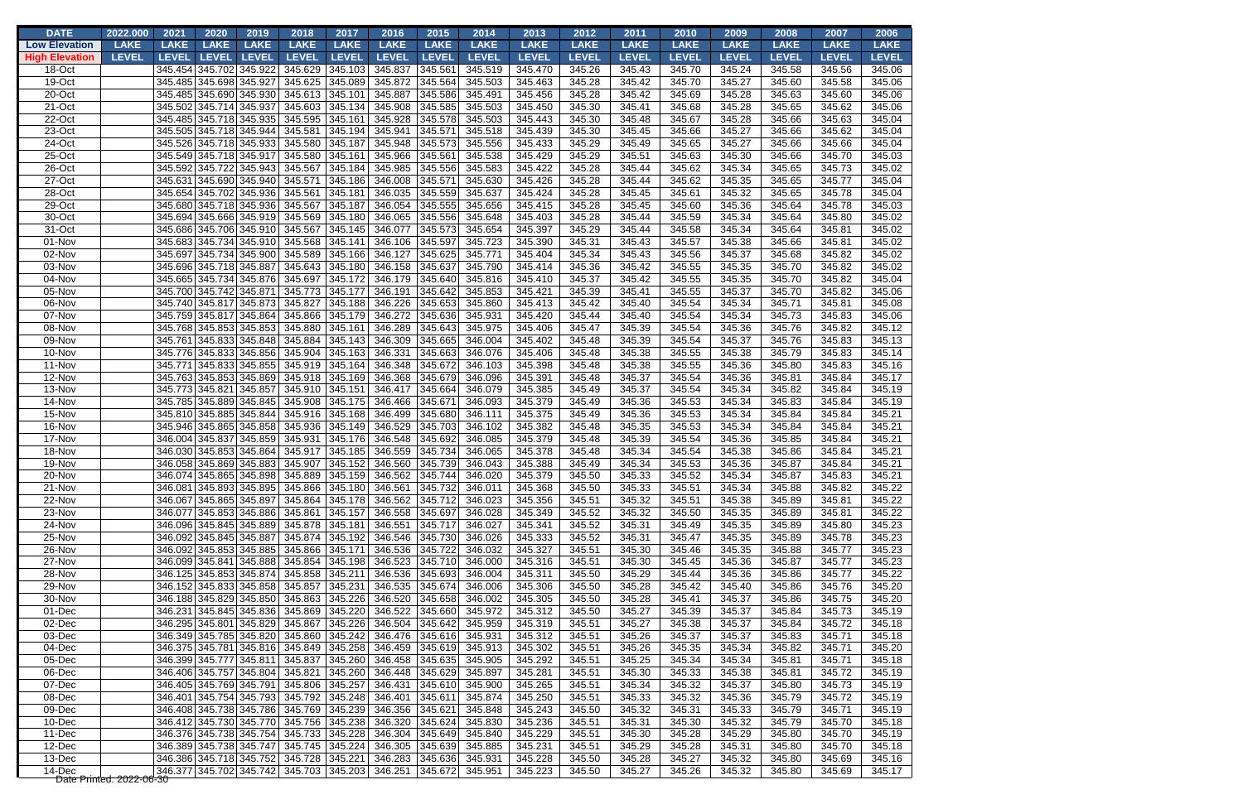| <b>DATE</b>                                           | 2022.000     | 2021         | 2020                                               | 2019         | 2018               | 2017                | 2016               | 2015               | 2014               | 2013               | 2012             | 2011             | 2010             | 2009             | 2008             | 2007             | 2006             |
|-------------------------------------------------------|--------------|--------------|----------------------------------------------------|--------------|--------------------|---------------------|--------------------|--------------------|--------------------|--------------------|------------------|------------------|------------------|------------------|------------------|------------------|------------------|
| <b>Low Elevation</b>                                  | <b>LAKE</b>  | <b>LAKE</b>  | <b>LAKE</b>                                        | <b>LAKE</b>  | <b>LAKE</b>        | <b>LAKE</b>         | <b>LAKE</b>        | <b>LAKE</b>        | <b>LAKE</b>        | <b>LAKE</b>        | <b>LAKE</b>      | <b>LAKE</b>      | <b>LAKE</b>      | <b>LAKE</b>      | <b>LAKE</b>      | <b>LAKE</b>      | <b>LAKE</b>      |
| <b>High Elevation</b>                                 | <b>LEVEL</b> | <b>LEVEL</b> | <b>LEVEL</b>                                       | <b>LEVEL</b> | <b>LEVEL</b>       | <b>LEVEL</b>        | <b>LEVEL</b>       | <b>LEVEL</b>       | <b>LEVEL</b>       | <b>LEVEL</b>       | <b>LEVEL</b>     | <b>LEVEL</b>     | <b>LEVEL</b>     | <b>LEVEL</b>     | <b>LEVEL</b>     | <b>LEVEL</b>     | <b>LEVEL</b>     |
| 18-Oct                                                |              |              | 345.454 345.702 345.922                            |              | 345.629            | 345.103             | 345.837            | 345.561            | 345.519            | 345.470            | 345.26           | 345.43           | 345.70           | 345.24           | 345.58           | 345.56           | 345.06           |
| 19-Oct                                                |              |              | 345.485 345.698 345.927                            |              | 345.625            | 345.089             | 345.872            | 345.564            | 345.503            | 345.463            | 345.28           | 345.42           | 345.70           | 345.27           | 345.60           | 345.58           | 345.06           |
| 20-Oct                                                |              |              | 345.485 345.690 345.930                            |              | 345.613            | 345.101             | 345.887            | 345.586            | 345.491            | 345.456            | 345.28           | 345.42           | 345.69           | 345.28           | 345.63           | 345.60           | 345.06           |
| 21-Oct                                                |              |              | 345.502 345.714 345.937                            |              | 345.603            | 345.134             | 345.908            | 345.585            | 345.503            | 345.450            | 345.30           | 345.41           | 345.68           | 345.28           | 345.65           | 345.62           | 345.06           |
| 22-Oct                                                |              |              | 345.485 345.718 345.935                            |              | 345.595            | 345.161             | 345.928            | 345.578            | 345.503            | 345.443            | 345.30           | 345.48           | 345.67           | 345.28           | 345.66           | 345.63           | 345.04           |
| 23-Oct                                                |              |              | 345.505 345.718 345.944                            |              | 345.581            | 345.194             | 345.941            | 345.571            | 345.518            | 345.439            | 345.30           | 345.45           | 345.66           | 345.27           | 345.66           | 345.62           | 345.04           |
| 24-Oct                                                |              |              | 345.526 345.718 345.933                            |              | 345.580            | 345.187             | 345.948            | 345.573            | 345.556            | 345.433            | 345.29           | 345.49           | 345.65           | 345.27           | 345.66           | 345.66           | 345.04           |
| 25-Oct                                                |              |              | 345.549 345.718 345.917                            |              | 345.580            | 345.161             | 345.966            | 345.561            | 345.538            | 345.429            | 345.29           | 345.51           | 345.63           | 345.30           | 345.66           | 345.70           | 345.03           |
| 26-Oct                                                |              |              | 345.592 345.722 345.943                            |              | 345.567            | 345.184             | 345.985            | 345.556            | 345.583            | 345.422            | 345.28           | 345.44           | 345.62           | 345.34           | 345.65           | 345.73           | 345.02           |
| 27-Oct                                                |              |              | 345.631 345.690 345.940                            |              | 345.571            | 345.186             | 346.008            | 345.571            | 345.630            | 345.426            | 345.28           | 345.44           | 345.62           | 345.35           | 345.65           | 345.77           | 345.04           |
| 28-Oct                                                |              |              | 345.654 345.702 345.936                            |              | 345.561            | 345.181             | 346.035            | 345.559            | 345.637            | 345.424            | 345.28           | 345.45           | 345.61           | 345.32           | 345.65           | 345.78           | 345.04           |
| 29-Oct                                                |              |              | 345.680 345.718 345.936                            |              | 345.567            | 345.187             | 346.054            | 345.555            | 345.656            | 345.415            | 345.28           | 345.45           | 345.60           | 345.36           | 345.64           | 345.78           | 345.03           |
| 30-Oct                                                |              |              | 345.694 345.666 345.919                            |              | 345.569            | 345.180             | 346.065            | 345.556            | 345.648            | 345.403            | 345.28           | 345.44           | 345.59           | 345.34           | 345.64           | 345.80           | 345.02           |
| 31-Oct                                                |              |              | 345.686 345.706 345.910                            |              | 345.567            | 345.145             | 346.077            | 345.573            | 345.654            | 345.397            | 345.29           | 345.44           | 345.58           | 345.34           | 345.64           | 345.81           | 345.02           |
| 01-Nov                                                |              |              | 345.683 345.734 345.910                            |              | 345.568            | 345.141             | 346.106            | 345.597            | 345.723            | 345.390            | 345.31           | 345.43           | 345.57           | 345.38           | 345.66           | 345.81           | 345.02           |
| 02-Nov                                                |              |              | 345.697 345.734 345.900                            |              | 345.589            | 345.166             | 346.127            | 345.625            | 345.771            | 345.404            | 345.34           | 345.43           | 345.56           | 345.37           | 345.68           | 345.82           | 345.02           |
| 03-Nov                                                |              |              | 345.696 345.718 345.887                            |              | 345.643            | 345.180             | 346.158            | 345.637            | 345.790            | 345.414<br>345.410 | 345.36           | 345.42           | 345.55           | 345.35           | 345.70           | 345.82           | 345.02           |
| 04-Nov<br>05-Nov                                      |              |              | 345.665 345.734 345.876                            |              | 345.697<br>345.773 | 345.172             | 346.179<br>346.191 | 345.640<br>345.642 | 345.816<br>345.853 | 345.421            | 345.37           | 345.42<br>345.41 | 345.55           | 345.35           | 345.70<br>345.70 | 345.82           | 345.04<br>345.06 |
| 06-Nov                                                |              |              | 345.700 345.742 345.871<br>345.740 345.817 345.873 |              | 345.827            | 345.177<br>345.188  | 346.226            | 345.653            | 345.860            | 345.413            | 345.39<br>345.42 | 345.40           | 345.55<br>345.54 | 345.37<br>345.34 | 345.71           | 345.82<br>345.81 | 345.08           |
| 07-Nov                                                |              |              | 345.759 345.817 345.864                            |              | 345.866            | 345.179             | 346.272            | 345.636            | 345.931            | 345.420            | 345.44           | 345.40           | 345.54           | 345.34           | 345.73           | 345.83           | 345.06           |
| 08-Nov                                                |              |              | 345.768 345.853 345.853                            |              | 345.880            | 345.161             | 346.289            | 345.643            | 345.975            | 345.406            | 345.47           | 345.39           | 345.54           | 345.36           | 345.76           | 345.82           | 345.12           |
| 09-Nov                                                |              |              | 345.761 345.833 345.848                            |              | 345.884            | 345.143             | 346.309            | 345.665            | 346.004            | 345.402            | 345.48           | 345.39           | 345.54           | 345.37           | 345.76           | 345.83           | 345.13           |
| 10-Nov                                                |              |              | 345.776 345.833 345.856                            |              | 345.904            | 345.163             | 346.331            | 345.663            | 346.076            | 345.406            | 345.48           | 345.38           | 345.55           | 345.38           | 345.79           | 345.83           | 345.14           |
| 11-Nov                                                |              |              | 345.771 345.833 345.855                            |              | 345.919            | 345.164             | 346.348            | 345.672            | 346.103            | 345.398            | 345.48           | 345.38           | 345.55           | 345.36           | 345.80           | 345.83           | 345.16           |
| 12-Nov                                                |              |              | 345.763 345.853 345.869                            |              | 345.918            | 345.169             | 346.368            | 345.679            | 346.096            | 345.391            | 345.48           | 345.37           | 345.54           | 345.36           | 345.81           | 345.84           | 345.17           |
| 13-Nov                                                |              |              | 345.773 345.821 345.857                            |              | 345.910            | 345.151             | 346.417            | 345.664            | 346.079            | 345.385            | 345.49           | 345.37           | 345.54           | 345.34           | 345.82           | 345.84           | 345.19           |
| 14-Nov                                                |              |              | 345.785 345.889 345.845                            |              | 345.908            | 345.175             | 346.466            | 345.671            | 346.093            | 345.379            | 345.49           | 345.36           | 345.53           | 345.34           | 345.83           | 345.84           | 345.19           |
| 15-Nov                                                |              |              | 345.810 345.885 345.844                            |              | 345.916            | 345.168             | 346.499            | 345.680            | 346.111            | 345.375            | 345.49           | 345.36           | 345.53           | 345.34           | 345.84           | 345.84           | 345.21           |
| 16-Nov                                                |              |              | 345.946 345.865 345.858                            |              | 345.936            | 345.149             | 346.529            | 345.703            | 346.102            | 345.382            | 345.48           | 345.35           | 345.53           | 345.34           | 345.84           | 345.84           | 345.21           |
| 17-Nov                                                |              |              | 346.004 345.837 345.859                            |              | 345.931            | 345.176             | 346.548            | 345.692            | 346.085            | 345.379            | 345.48           | 345.39           | 345.54           | 345.36           | 345.85           | 345.84           | 345.21           |
| 18-Nov                                                |              |              | 346.030 345.853 345.864                            |              | 345.917            | 345.185             | 346.559            | 345.734            | 346.065            | 345.378            | 345.48           | 345.34           | 345.54           | 345.38           | 345.86           | 345.84           | 345.21           |
| 19-Nov                                                |              |              | 346.058 345.869 345.883                            |              | 345.907            | 345.152             | 346.560            | 345.739            | 346.043            | 345.388            | 345.49           | 345.34           | 345.53           | 345.36           | 345.87           | 345.84           | 345.21           |
| 20-Nov                                                |              |              | 346.074 345.865 345.898                            |              | 345.889            | 345.159             | 346.562            | 345.744            | 346.020            | 345.379            | 345.50           | 345.33           | 345.52           | 345.34           | 345.87           | 345.83           | 345.21           |
| 21-Nov                                                |              |              | 346.081 345.893 345.895                            |              |                    | 345.866 345.180     | 346.561 345.732    |                    | 346.011            | 345.368            | 345.50           | 345.33           | 345.51           | 345.34           | 345.88           | 345.82           | 345.22           |
| 22-Nov                                                |              |              | 346.067 345.865 345.897                            |              | 345.864 345.178    |                     | 346.562            | 345.712            | 346.023            | 345.356            | 345.51           | 345.32           | 345.51           | 345.38           | 345.89           | 345.81           | 345.22           |
| 23-Nov                                                |              |              | 346.077 345.853 345.886                            |              | 345.861 345.157    |                     | 346.558            | 345.697            | 346.028            | 345.349            | 345.52           | 345.32           | 345.50           | 345.35           | 345.89           | 345.81           | 345.22           |
| 24-Nov                                                |              |              | 346.096 345.845 345.889                            |              | 345.878 345.181    |                     | 346.551            | 345.717            | 346.027            | 345.341            | 345.52           | 345.31           | 345.49           | 345.35           | 345.89           | 345.80           | 345.23           |
| 25-Nov                                                |              |              | 346.092 345.845 345.887                            |              | 345.874 345.192    |                     | 346.546            | 345.730            | 346.026            | 345.333            | 345.52           | 345.31           | 345.47           | 345.35           | 345.89           | 345.78           | 345.23           |
| 26-Nov                                                |              |              | 346.092 345.853 345.885                            |              | 345.866            | 345.171             | 346.536            | 345.722            | 346.032            | 345.327            | 345.51           | 345.30           | 345.46           | 345.35           | 345.88           | 345.77           | 345.23           |
| 27-Nov                                                |              |              | 346.099 345.841 345.888                            |              | 345.854 345.198    |                     | 346.523            | 345.710            | 346.000            | 345.316            | 345.51           | 345.30           | 345.45           | 345.36           | 345.87           | 345.77           | 345.23           |
| 28-Nov                                                |              |              | 346.125 345.853 345.874                            |              | 345.858 345.211    |                     | 346.536            | 345.693            | 346.004            | 345.311            | 345.50           | 345.29           | 345.44           | 345.36           | 345.86           | 345.77           | 345.22           |
| 29-Nov<br>30-Nov                                      |              |              | 346.152 345.833 345.858                            |              | 345.857            | 345.231<br> 345.226 | 346.535            | 345.674            | 346.006            | 345.306            | 345.50           | 345.28           | 345.42           | 345.40           | 345.86           | 345.76           | 345.20           |
| 01-Dec                                                |              |              | 346.188 345.829 345.850<br>346.231 345.845 345.836 |              | 345.863<br>345.869 | 345.220             | 346.520<br>346.522 | 345.658<br>345.660 | 346.002<br>345.972 | 345.305<br>345.312 | 345.50<br>345.50 | 345.28<br>345.27 | 345.41<br>345.39 | 345.37<br>345.37 | 345.86<br>345.84 | 345.75<br>345.73 | 345.20<br>345.19 |
| 02-Dec                                                |              |              | 346.295 345.801 345.829                            |              | 345.867            | 345.226             | 346.504            | 345.642            | 345.959            | 345.319            | 345.51           | 345.27           | 345.38           | 345.37           | 345.84           | 345.72           | 345.18           |
| 03-Dec                                                |              |              | 346.349 345.785 345.820                            |              | 345.860 345.242    |                     | 346.476            | 345.616            | 345.931            | 345.312            | 345.51           | 345.26           | 345.37           | 345.37           | 345.83           | 345.71           | 345.18           |
| 04-Dec                                                |              |              | 346.375 345.781 345.816                            |              |                    | 345.849 345.258     | 346.459            | 345.619            | 345.913            | 345.302            | 345.51           | 345.26           | 345.35           | 345.34           | 345.82           | 345.71           | 345.20           |
| 05-Dec                                                |              |              | 346.399 345.777 345.811                            |              | 345.837            | 345.260             | 346.458            | 345.635            | 345.905            | 345.292            | 345.51           | 345.25           | 345.34           | 345.34           | 345.81           | 345.71           | 345.18           |
| 06-Dec                                                |              |              | 346.406 345.757 345.804                            |              | 345.821            | 345.260             | 346.448            | 345.629            | 345.897            | 345.281            | 345.51           | 345.30           | 345.33           | 345.38           | 345.81           | 345.72           | 345.19           |
| 07-Dec                                                |              |              | 346.405 345.769 345.791                            |              | 345.806            | 345.257             | 346.431            | 345.610            | 345.900            | 345.265            | 345.51           | 345.34           | 345.32           | 345.37           | 345.80           | 345.73           | 345.19           |
| 08-Dec                                                |              |              | 346.401 345.754 345.793                            |              |                    | 345.792 345.248     | 346.401            | 345.611            | 345.874            | 345.250            | 345.51           | 345.33           | 345.32           | 345.36           | 345.79           | 345.72           | 345.19           |
| 09-Dec                                                |              |              | 346.408 345.738 345.786                            |              | 345.769 345.239    |                     | 346.356            | 345.621            | 345.848            | 345.243            | 345.50           | 345.32           | 345.31           | 345.33           | 345.79           | 345.71           | 345.19           |
| 10-Dec                                                |              |              | 346.412 345.730 345.770                            |              | 345.756            | 345.238             | 346.320            | 345.624            | 345.830            | 345.236            | 345.51           | 345.31           | 345.30           | 345.32           | 345.79           | 345.70           | 345.18           |
| 11-Dec                                                |              |              | 346.376 345.738 345.754                            |              | 345.733 345.228    |                     | 346.304            | 345.649            | 345.840            | 345.229            | 345.51           | 345.30           | 345.28           | 345.29           | 345.80           | 345.70           | 345.19           |
| 12-Dec                                                |              |              | 346.389 345.738 345.747                            |              | 345.745 345.224    |                     | 346.305            | 345.639            | 345.885            | 345.231            | 345.51           | 345.29           | 345.28           | 345.31           | 345.80           | 345.70           | 345.18           |
| 13-Dec                                                |              |              | 346.386 345.718 345.752                            |              | 345.728 345.221    |                     | 346.283            | 345.636            | 345.931            | 345.228            | 345.50           | 345.28           | 345.27           | 345.32           | 345.80           | 345.69           | 345.16           |
| 14-Dec   14-Dec   14-Dec   14-Dec   14-Dec   15-08-20 |              |              | 346.377 345.702 345.742                            |              | 345.703 345.203    |                     | 346.251            | 345.672            | 345.951            | 345.223            | 345.50           | 345.27           | 345.26           | 345.32           | 345.80           | 345.69           | 345.17           |
|                                                       |              |              |                                                    |              |                    |                     |                    |                    |                    |                    |                  |                  |                  |                  |                  |                  |                  |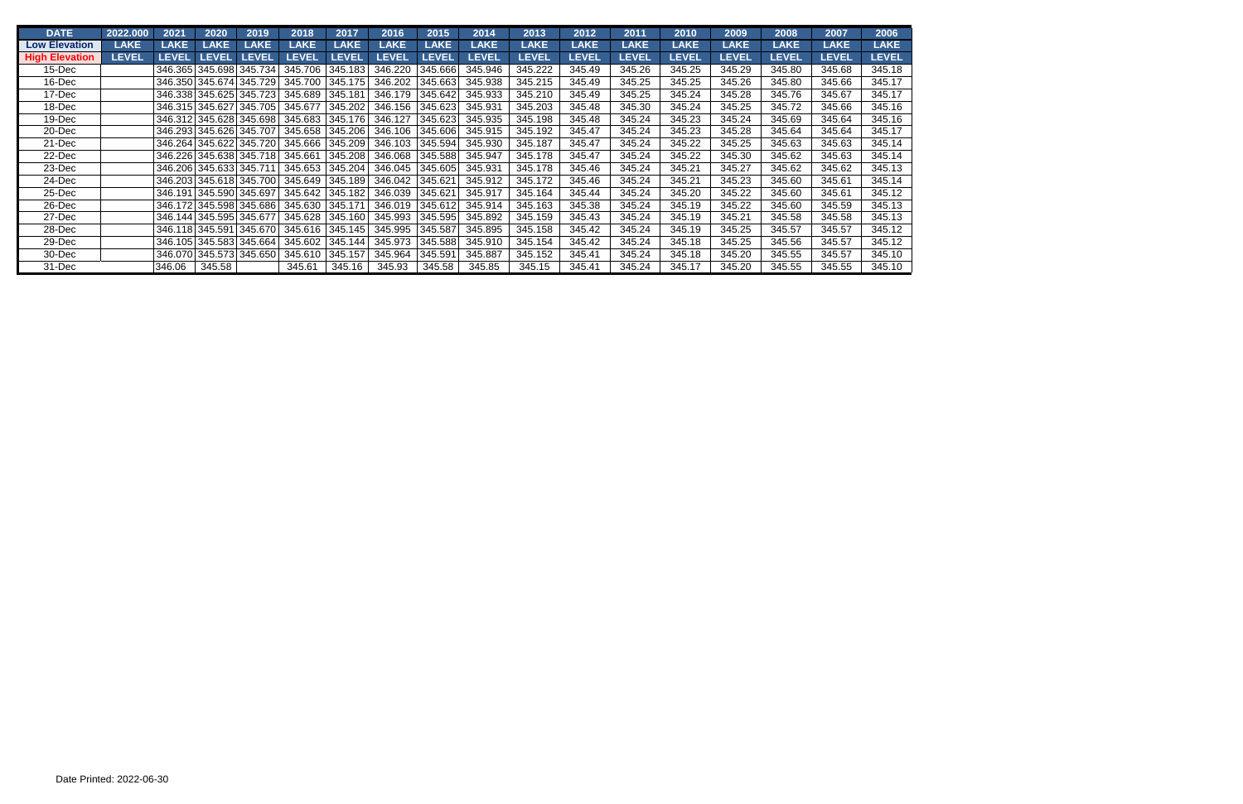| <b>DATE</b>           | 2022.000     | 2021         | 2020                    | 2019         | 2018            | 2017            | 2016         | 2015         | 2014         | 2013         | 2012         | 2011        | 2010         | 2009         | 2008         | 2007         | 2006         |
|-----------------------|--------------|--------------|-------------------------|--------------|-----------------|-----------------|--------------|--------------|--------------|--------------|--------------|-------------|--------------|--------------|--------------|--------------|--------------|
| <b>Low Elevation</b>  | <b>LAKE</b>  | <b>LAKE</b>  | <b>LAKE</b>             | <b>LAKE</b>  | <b>LAKE</b>     | <b>LAKE</b>     | <b>LAKE</b>  | <b>LAKE</b>  | <b>LAKE</b>  | <b>LAKE</b>  | <b>LAKE</b>  | <b>LAKE</b> | <b>LAKE</b>  | <b>LAKE</b>  | <b>LAKE</b>  | <b>LAKE</b>  | <b>LAKE</b>  |
| <b>High Elevation</b> | <b>LEVEL</b> | <b>LEVEL</b> | <b>LEVEL</b>            | <b>LEVEL</b> | <b>LEVEL</b>    | <b>LEVEL</b>    | <b>LEVEL</b> | <b>LEVEL</b> | <b>LEVEL</b> | <b>LEVEL</b> | <b>LEVEL</b> | LEVEL       | <b>LEVEL</b> | <b>LEVEL</b> | <b>LEVEL</b> | <b>LEVEL</b> | <b>LEVEL</b> |
| $15$ -Dec             |              |              | 346.365 345.698 345.734 |              | 345.706         | 345.183         | 346.220      | 345.666      | 345.946      | 345.222      | 345.49       | 345.26      | 345.25       | 345.29       | 345.80       | 345.68       | 345.18       |
| $16$ -Dec             |              |              | 346.350 345.674 345.729 |              | 345.700         | 345.175         | 346.202      | 345.663      | 345.938      | 345.215      | 345.49       | 345.25      | 345.25       | 345.26       | 345.80       | 345.66       | 345.17       |
| 17-Dec                |              |              | 346.338 345.625 345.723 |              | 345.689         | 345.181         | 346.179      | 345.642      | 345.933      | 345.210      | 345.49       | 345.25      | 345.24       | 345.28       | 345.76       | 345.67       | 345.17       |
| $18$ -Dec             |              |              | 346.315 345.627 345.705 |              | 345.677         | 345.202         | 346.156      | 345.623      | 345.931      | 345.203      | 345.48       | 345.30      | 345.24       | 345.25       | 345.72       | 345.66       | 345.16       |
| 19-Dec                |              |              | 346.312 345.628 345.698 |              |                 | 345.683 345.176 | 346.127      | 345.623      | 345.935      | 345.198      | 345.48       | 345.24      | 345.23       | 345.24       | 345.69       | 345.64       | 345.16       |
| 20-Dec                |              |              | 346.293 345.626 345.707 |              |                 | 345.658 345.206 | 346.106      | 345,606      | 345.915      | 345.192      | 345.47       | 345.24      | 345.23       | 345.28       | 345.64       | 345.64       | 345.17       |
| $21 - Dec$            |              |              | 346.264 345.622 345.720 |              |                 | 345.666 345.209 | 346.103      | 345.594      | 345.930      | 345.187      | 345.47       | 345.24      | 345.22       | 345.25       | 345.63       | 345.63       | 345.14       |
| 22-Dec                |              |              | 346.226 345.638 345.718 |              | 345.661         | 345.208         | 346.068      | 345.588      | 345.947      | 345.178      | 345.47       | 345.24      | 345.22       | 345.30       | 345.62       | 345.63       | 345.14       |
| 23-Dec                |              |              | 346.206 345.633 345.711 |              | 345.653 345.204 |                 | 346.045      | 345.605      | 345.931      | 345.178      | 345.46       | 345.24      | 345.21       | 345.27       | 345.62       | 345.62       | 345.13       |
| 24-Dec                |              |              | 346.203 345.618 345.700 |              | 345.649         | 345.189         | 346.042      | 345.621      | 345.912      | 345.172      | 345.46       | 345.24      | 345.21       | 345.23       | 345.60       | 345.61       | 345.14       |
| $25$ -Dec             |              |              | 346.191 345.590 345.697 |              | 345.642 345.182 |                 | 346.039      | 345.621      | 345.917      | 345.164      | 345.44       | 345.24      | 345.20       | 345.22       | 345.60       | 345.61       | 345.12       |
| 26-Dec                |              |              | 346.172 345.598 345.686 |              | 345.630 345.171 |                 | 346.019      | 345.612      | 345.914      | 345.163      | 345.38       | 345.24      | 345.19       | 345.22       | 345.60       | 345.59       | 345.13       |
| 27-Dec                |              |              | 346.144 345.595 345.677 |              |                 | 345.628 345.160 | 345.993      | 345.595      | 345.892      | 345.159      | 345.43       | 345.24      | 345.19       | 345.21       | 345.58       | 345.58       | 345.13       |
| 28-Dec                |              |              | 346.118 345.591 345.670 |              |                 | 345.616 345.145 | 345.995      | 345.587      | 345.895      | 345.158      | 345.42       | 345.24      | 345.19       | 345.25       | 345.57       | 345.57       | 345.12       |
| 29-Dec                |              |              | 346.105 345.583 345.664 |              |                 | 345.602 345.144 | 345.973      | 345.588      | 345.910      | 345.154      | 345.42       | 345.24      | 345.18       | 345.25       | 345.56       | 345.57       | 345.12       |
| 30-Dec                |              |              | 346.070 345.573 345.650 |              | 345.610 345.157 |                 | 345.964      | 345.591      | 345.887      | 345.152      | 345.41       | 345.24      | 345.18       | 345.20       | 345.55       | 345.57       | 345.10       |
| 31-Dec                |              | 346.06       | 345.58                  |              | 345.61          | 345.16          | 345.93       | 345.58       | 345.85       | 345.15       | 345.41       | 345.24      | 345.17       | 345.20       | 345.55       | 345.55       | 345.10       |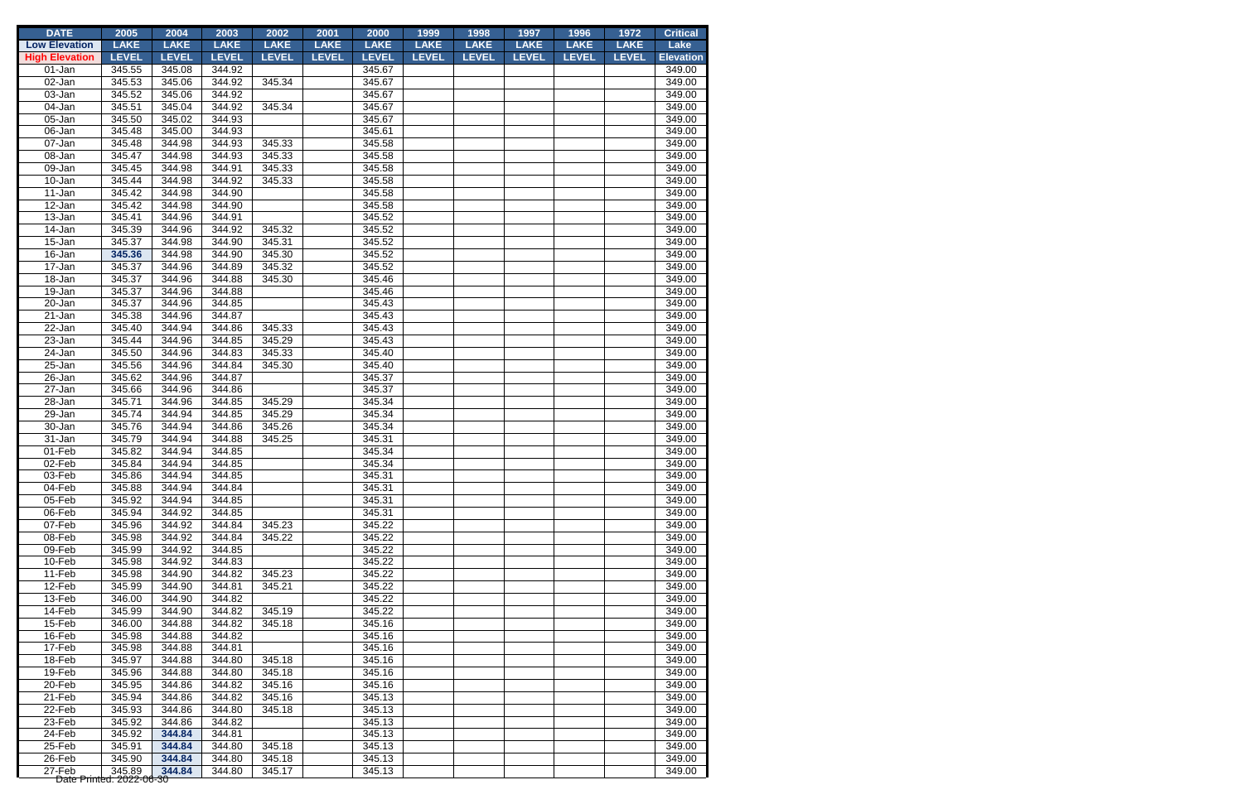| <b>DATE</b>           | 2005                     | 2004             | 2003             | 2002         | 2001         | 2000             | 1999         | 1998         | 1997         | 1996         | 1972         | <b>Critical</b>  |
|-----------------------|--------------------------|------------------|------------------|--------------|--------------|------------------|--------------|--------------|--------------|--------------|--------------|------------------|
| <b>Low Elevation</b>  | <b>LAKE</b>              | <b>LAKE</b>      | <b>LAKE</b>      | <b>LAKE</b>  | <b>LAKE</b>  | <b>LAKE</b>      | <b>LAKE</b>  | <b>LAKE</b>  | <b>LAKE</b>  | <b>LAKE</b>  | <b>LAKE</b>  | Lake             |
| <b>High Elevation</b> | <b>LEVEL</b>             | <b>LEVEL</b>     | <b>LEVEL</b>     | <b>LEVEL</b> | <b>LEVEL</b> | <b>LEVEL</b>     | <b>LEVEL</b> | <b>LEVEL</b> | <b>LEVEL</b> | <b>LEVEL</b> | <b>LEVEL</b> | <b>Elevation</b> |
| 01-Jan                | 345.55                   | 345.08           | 344.92           |              |              | 345.67           |              |              |              |              |              | 349.00           |
| 02-Jan                | 345.53                   | 345.06           | 344.92           | 345.34       |              | 345.67           |              |              |              |              |              | 349.00           |
| 03-Jan                | 345.52                   | 345.06           | 344.92           |              |              | 345.67           |              |              |              |              |              | 349.00           |
| 04-Jan                | 345.51                   | 345.04           | 344.92           | 345.34       |              | 345.67           |              |              |              |              |              | 349.00           |
| 05-Jan                | 345.50                   | 345.02           | 344.93           |              |              | 345.67           |              |              |              |              |              | 349.00           |
| 06-Jan                | 345.48                   | 345.00           | 344.93           |              |              | 345.61           |              |              |              |              |              | 349.00           |
| 07-Jan                | 345.48                   | 344.98           | 344.93           | 345.33       |              | 345.58           |              |              |              |              |              | 349.00           |
| 08-Jan                | 345.47                   | 344.98           | 344.93           | 345.33       |              | 345.58           |              |              |              |              |              | 349.00           |
| 09-Jan                | 345.45                   | 344.98           | 344.91           | 345.33       |              | 345.58           |              |              |              |              |              | 349.00           |
| 10-Jan                | 345.44                   | 344.98           | 344.92           | 345.33       |              | 345.58           |              |              |              |              |              | 349.00           |
| 11-Jan                | 345.42                   | 344.98           | 344.90           |              |              | 345.58           |              |              |              |              |              | 349.00           |
| 12-Jan                | 345.42                   | 344.98           | 344.90           |              |              | 345.58           |              |              |              |              |              | 349.00           |
| 13-Jan                | 345.41                   | 344.96           | 344.91           |              |              | 345.52           |              |              |              |              |              | 349.00           |
| 14-Jan                | 345.39                   | 344.96           | 344.92           | 345.32       |              | 345.52           |              |              |              |              |              | 349.00           |
| 15-Jan                | 345.37                   | 344.98           | 344.90           | 345.31       |              | 345.52           |              |              |              |              |              | 349.00           |
| 16-Jan                | 345.36                   | 344.98           | 344.90           | 345.30       |              | 345.52           |              |              |              |              |              | 349.00           |
| 17-Jan                | 345.37                   | 344.96           | 344.89           | 345.32       |              | 345.52           |              |              |              |              |              | 349.00           |
| 18-Jan                | 345.37                   | 344.96           | 344.88           | 345.30       |              | 345.46           |              |              |              |              |              | 349.00           |
| 19-Jan                | 345.37                   | 344.96           | 344.88           |              |              | 345.46           |              |              |              |              |              | 349.00           |
| 20-Jan                | 345.37                   | 344.96           | 344.85           |              |              | 345.43           |              |              |              |              |              | 349.00           |
| 21-Jan                | 345.38                   | 344.96           | 344.87           |              |              | 345.43           |              |              |              |              |              | 349.00           |
| 22-Jan                | 345.40                   | 344.94           | 344.86           | 345.33       |              | 345.43           |              |              |              |              |              | 349.00           |
| 23-Jan                | 345.44                   | 344.96           | 344.85           | 345.29       |              | 345.43           |              |              |              |              |              | 349.00           |
| 24-Jan                | 345.50                   | 344.96           | 344.83           | 345.33       |              | 345.40           |              |              |              |              |              | 349.00           |
| 25-Jan                | 345.56                   | 344.96           | 344.84           | 345.30       |              | 345.40           |              |              |              |              |              | 349.00           |
| 26-Jan                | 345.62                   | 344.96           | 344.87           |              |              | 345.37           |              |              |              |              |              | 349.00           |
| 27-Jan                | 345.66                   | 344.96           | 344.86           |              |              | 345.37           |              |              |              |              |              | 349.00           |
| 28-Jan                | 345.71                   | 344.96           | 344.85           | 345.29       |              | 345.34           |              |              |              |              |              | 349.00           |
| 29-Jan                | 345.74                   | 344.94           | 344.85           | 345.29       |              | 345.34           |              |              |              |              |              | 349.00           |
| 30-Jan                | 345.76                   | 344.94           | 344.86           | 345.26       |              | 345.34           |              |              |              |              |              | 349.00           |
| 31-Jan                | 345.79                   | 344.94           | 344.88           | 345.25       |              | 345.31           |              |              |              |              |              | 349.00           |
| 01-Feb                | 345.82                   | 344.94           | 344.85           |              |              | 345.34           |              |              |              |              |              | 349.00           |
| 02-Feb                | 345.84                   | 344.94           | 344.85           |              |              | 345.34           |              |              |              |              |              | 349.00           |
| 03-Feb                | 345.86                   | 344.94           | 344.85           |              |              | 345.31           |              |              |              |              |              | 349.00           |
| 04-Feb                | 345.88                   | 344.94           | 344.84           |              |              | 345.31           |              |              |              |              |              | 349.00           |
| 05-Feb                | 345.92                   | 344.94           | 344.85           |              |              | 345.31           |              |              |              |              |              | 349.00           |
| 06-Feb                | 345.94                   | 344.92           | 344.85           |              |              | 345.31           |              |              |              |              |              | 349.00           |
| 07-Feb                | 345.96                   | 344.92           | 344.84           | 345.23       |              | 345.22           |              |              |              |              |              | 349.00           |
| 08-Feb                | 345.98                   | 344.92           | 344.84           | 345.22       |              | 345.22           |              |              |              |              |              | 349.00           |
| 09-Feb                | 345.99                   | 344.92           | 344.85           |              |              | 345.22           |              |              |              |              |              | 349.00           |
| 10-Feb                | 345.98                   | 344.92           | 344.83           |              |              | 345.22           |              |              |              |              |              | 349.00           |
| 11-Feb                | 345.98                   | 344.90           | 344.82           | 345.23       |              | 345.22           |              |              |              |              |              | 349.00           |
| 12-Feb<br>13-Feb      | 345.99<br>346.00         | 344.90<br>344.90 | 344.81<br>344.82 | 345.21       |              | 345.22<br>345.22 |              |              |              |              |              | 349.00<br>349.00 |
| 14-Feb                | 345.99                   | 344.90           | 344.82           | 345.19       |              | 345.22           |              |              |              |              |              | 349.00           |
| 15-Feb                | 346.00                   | 344.88           | 344.82           | 345.18       |              | 345.16           |              |              |              |              |              | 349.00           |
| 16-Feb                | 345.98                   | 344.88           | 344.82           |              |              | 345.16           |              |              |              |              |              | 349.00           |
| 17-Feb                | 345.98                   | 344.88           | 344.81           |              |              | 345.16           |              |              |              |              |              | 349.00           |
| 18-Feb                | 345.97                   | 344.88           | 344.80           | 345.18       |              | 345.16           |              |              |              |              |              | 349.00           |
| 19-Feb                | 345.96                   | 344.88           | 344.80           | 345.18       |              | 345.16           |              |              |              |              |              | 349.00           |
| 20-Feb                | 345.95                   | 344.86           | 344.82           | 345.16       |              | 345.16           |              |              |              |              |              | 349.00           |
| 21-Feb                | 345.94                   | 344.86           | 344.82           | 345.16       |              | 345.13           |              |              |              |              |              | 349.00           |
| 22-Feb                | 345.93                   | 344.86           | 344.80           | 345.18       |              | 345.13           |              |              |              |              |              | 349.00           |
| 23-Feb                | 345.92                   | 344.86           | 344.82           |              |              | 345.13           |              |              |              |              |              | 349.00           |
| 24-Feb                | 345.92                   | 344.84           | 344.81           |              |              | 345.13           |              |              |              |              |              | 349.00           |
| 25-Feb                | 345.91                   | 344.84           | 344.80           | 345.18       |              | 345.13           |              |              |              |              |              | 349.00           |
| 26-Feb                | 345.90                   | 344.84           | 344.80           | 345.18       |              | 345.13           |              |              |              |              |              | 349.00           |
| 27-Feb                | 345.89                   | 344.84           | 344.80           | 345.17       |              | 345.13           |              |              |              |              |              | 349.00           |
|                       | Date Printed: 2022-06-30 |                  |                  |              |              |                  |              |              |              |              |              |                  |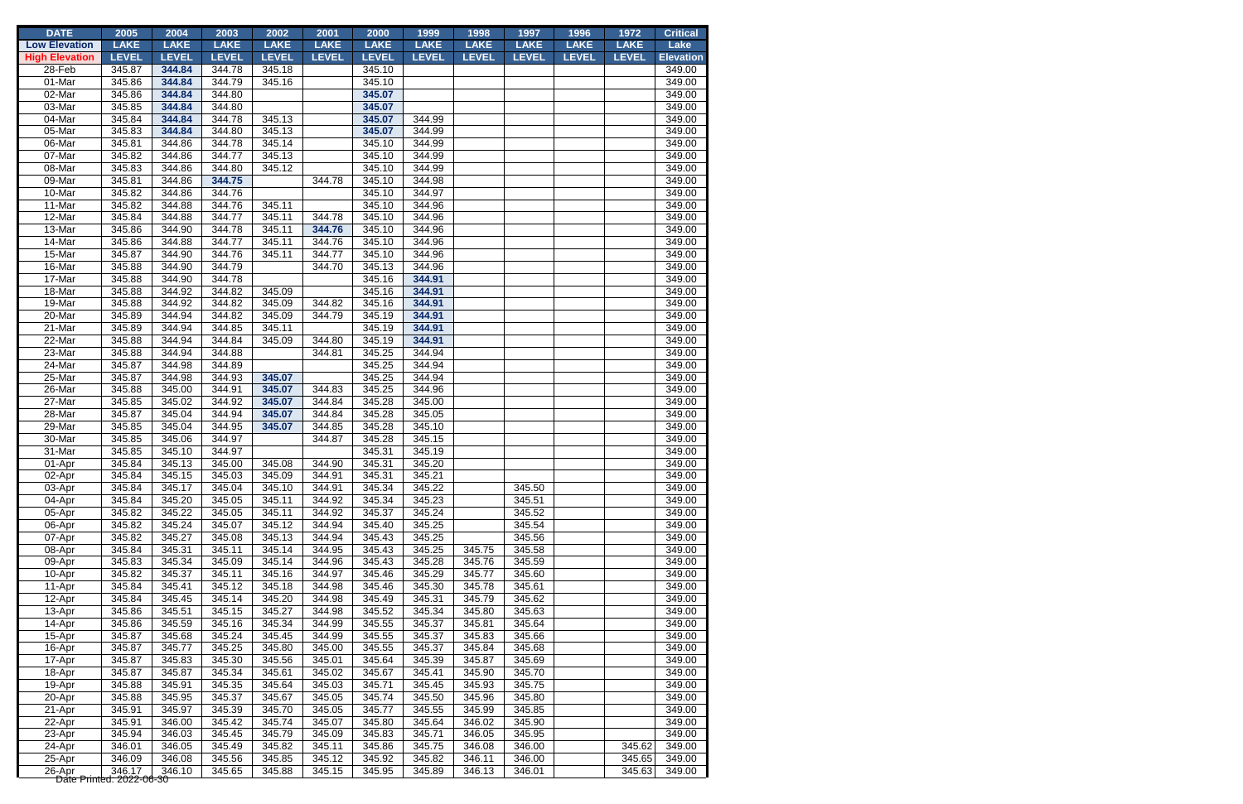| <b>DATE</b>           | 2005                                         | 2004         | 2003         | 2002         | 2001         | 2000         | 1999         | 1998         | 1997         | 1996         | 1972         | <b>Critical</b>  |
|-----------------------|----------------------------------------------|--------------|--------------|--------------|--------------|--------------|--------------|--------------|--------------|--------------|--------------|------------------|
| <b>Low Elevation</b>  | <b>LAKE</b>                                  | <b>LAKE</b>  | <b>LAKE</b>  | <b>LAKE</b>  | <b>LAKE</b>  | <b>LAKE</b>  | <b>LAKE</b>  | <b>LAKE</b>  | <b>LAKE</b>  | <b>LAKE</b>  | <b>LAKE</b>  | Lake             |
| <b>High Elevation</b> | <b>LEVEL</b>                                 | <b>LEVEL</b> | <b>LEVEL</b> | <b>LEVEL</b> | <b>LEVEL</b> | <b>LEVEL</b> | <b>LEVEL</b> | <b>LEVEL</b> | <b>LEVEL</b> | <b>LEVEL</b> | <b>LEVEL</b> | <b>Elevation</b> |
| 28-Feb                | 345.87                                       | 344.84       | 344.78       | 345.18       |              | 345.10       |              |              |              |              |              | 349.00           |
| 01-Mar                | 345.86                                       | 344.84       | 344.79       | 345.16       |              | 345.10       |              |              |              |              |              | 349.00           |
| 02-Mar                | 345.86                                       | 344.84       | 344.80       |              |              | 345.07       |              |              |              |              |              | 349.00           |
| 03-Mar                | 345.85                                       | 344.84       | 344.80       |              |              | 345.07       |              |              |              |              |              | 349.00           |
| 04-Mar                | 345.84                                       | 344.84       | 344.78       | 345.13       |              | 345.07       | 344.99       |              |              |              |              | 349.00           |
| 05-Mar                | 345.83                                       | 344.84       | 344.80       | 345.13       |              | 345.07       | 344.99       |              |              |              |              | 349.00           |
| 06-Mar                | 345.81                                       | 344.86       | 344.78       | 345.14       |              | 345.10       | 344.99       |              |              |              |              | 349.00           |
| 07-Mar                | 345.82                                       | 344.86       | 344.77       | 345.13       |              | 345.10       | 344.99       |              |              |              |              | 349.00           |
| 08-Mar                | 345.83                                       | 344.86       | 344.80       | 345.12       |              | 345.10       | 344.99       |              |              |              |              | 349.00           |
| 09-Mar                | 345.81                                       | 344.86       | 344.75       |              | 344.78       | 345.10       | 344.98       |              |              |              |              | 349.00           |
| 10-Mar                | 345.82                                       | 344.86       | 344.76       |              |              | 345.10       | 344.97       |              |              |              |              | 349.00           |
| 11-Mar                | 345.82                                       | 344.88       | 344.76       | 345.11       |              | 345.10       | 344.96       |              |              |              |              | 349.00           |
| 12-Mar                | 345.84                                       | 344.88       | 344.77       | 345.11       | 344.78       | 345.10       | 344.96       |              |              |              |              | 349.00           |
| 13-Mar                | 345.86                                       | 344.90       | 344.78       | 345.11       | 344.76       | 345.10       | 344.96       |              |              |              |              | 349.00           |
| 14-Mar                | 345.86                                       | 344.88       | 344.77       | 345.11       | 344.76       | 345.10       | 344.96       |              |              |              |              | 349.00           |
| 15-Mar                | 345.87                                       | 344.90       | 344.76       | 345.11       | 344.77       | 345.10       | 344.96       |              |              |              |              | 349.00           |
| 16-Mar                | 345.88                                       | 344.90       | 344.79       |              | 344.70       | 345.13       | 344.96       |              |              |              |              | 349.00           |
| 17-Mar                | 345.88                                       | 344.90       | 344.78       |              |              | 345.16       | 344.91       |              |              |              |              | 349.00           |
| 18-Mar                | 345.88                                       | 344.92       | 344.82       | 345.09       |              | 345.16       | 344.91       |              |              |              |              | 349.00           |
| 19-Mar                | 345.88                                       | 344.92       | 344.82       | 345.09       | 344.82       | 345.16       | 344.91       |              |              |              |              | 349.00           |
| 20-Mar                | 345.89                                       | 344.94       | 344.82       | 345.09       | 344.79       | 345.19       | 344.91       |              |              |              |              | 349.00           |
| 21-Mar                | 345.89                                       | 344.94       | 344.85       | 345.11       |              | 345.19       | 344.91       |              |              |              |              | 349.00           |
| 22-Mar                | 345.88                                       | 344.94       | 344.84       | 345.09       | 344.80       | 345.19       | 344.91       |              |              |              |              | 349.00           |
| 23-Mar                | 345.88                                       | 344.94       | 344.88       |              | 344.81       | 345.25       | 344.94       |              |              |              |              | 349.00           |
| 24-Mar                | 345.87                                       | 344.98       | 344.89       |              |              | 345.25       | 344.94       |              |              |              |              | 349.00           |
| 25-Mar                | 345.87                                       | 344.98       | 344.93       | 345.07       |              | 345.25       | 344.94       |              |              |              |              | 349.00           |
| 26-Mar                | 345.88                                       | 345.00       | 344.91       | 345.07       | 344.83       | 345.25       | 344.96       |              |              |              |              | 349.00           |
| 27-Mar                | 345.85                                       | 345.02       | 344.92       | 345.07       | 344.84       | 345.28       | 345.00       |              |              |              |              | 349.00           |
| 28-Mar                | 345.87                                       | 345.04       | 344.94       | 345.07       | 344.84       | 345.28       | 345.05       |              |              |              |              | 349.00           |
| 29-Mar                | 345.85                                       | 345.04       | 344.95       | 345.07       | 344.85       | 345.28       | 345.10       |              |              |              |              | 349.00           |
| 30-Mar                | 345.85                                       | 345.06       | 344.97       |              | 344.87       | 345.28       | 345.15       |              |              |              |              | 349.00           |
| 31-Mar                | 345.85                                       | 345.10       | 344.97       |              |              | 345.31       | 345.19       |              |              |              |              | 349.00           |
| 01-Apr                | 345.84                                       | 345.13       | 345.00       | 345.08       | 344.90       | 345.31       | 345.20       |              |              |              |              | 349.00           |
| 02-Apr                | 345.84                                       | 345.15       | 345.03       | 345.09       | 344.91       | 345.31       | 345.21       |              |              |              |              | 349.00           |
| 03-Apr                | 345.84                                       | 345.17       | 345.04       | 345.10       | 344.91       | 345.34       | 345.22       |              | 345.50       |              |              | 349.00           |
| 04-Apr                | 345.84                                       | 345.20       | 345.05       | 345.11       | 344.92       | 345.34       | 345.23       |              | 345.51       |              |              | 349.00           |
| 05-Apr                | 345.82                                       | 345.22       | 345.05       | 345.11       | 344.92       | 345.37       | 345.24       |              | 345.52       |              |              | 349.00           |
| 06-Apr                | 345.82                                       | 345.24       | 345.07       | 345.12       | 344.94       | 345.40       | 345.25       |              | 345.54       |              |              | 349.00           |
| 07-Apr                | 345.82                                       | 345.27       | 345.08       | 345.13       | 344.94       | 345.43       | 345.25       |              | 345.56       |              |              | 349.00           |
| 08-Apr                | 345.84                                       | 345.31       | 345.11       | 345.14       | 344.95       | 345.43       | 345.25       | 345.75       | 345.58       |              |              | 349.00           |
| 09-Apr                | 345.83                                       | 345.34       | 345.09       | 345.14       | 344.96       | 345.43       | 345.28       | 345.76       | 345.59       |              |              | 349.00           |
| 10-Apr                | 345.82                                       | 345.37       | 345.11       | 345.16       | 344.97       | 345.46       | 345.29       | 345.77       | 345.60       |              |              | 349.00           |
| 11-Apr                | 345.84                                       | 345.41       | 345.12       | 345.18       | 344.98       | 345.46       | 345.30       | 345.78       | 345.61       |              |              | 349.00           |
| 12-Apr                | 345.84                                       | 345.45       | 345.14       | 345.20       | 344.98       | 345.49       | 345.31       | 345.79       | 345.62       |              |              | 349.00           |
| 13-Apr                | 345.86                                       | 345.51       | 345.15       | 345.27       | 344.98       | 345.52       | 345.34       | 345.80       | 345.63       |              |              | 349.00           |
| 14-Apr                | 345.86                                       | 345.59       | 345.16       | 345.34       | 344.99       | 345.55       | 345.37       | 345.81       | 345.64       |              |              | 349.00           |
| 15-Apr                | 345.87                                       | 345.68       | 345.24       | 345.45       | 344.99       | 345.55       | 345.37       | 345.83       | 345.66       |              |              | 349.00           |
| 16-Apr                | 345.87                                       | 345.77       | 345.25       | 345.80       | 345.00       | 345.55       | 345.37       | 345.84       | 345.68       |              |              | 349.00           |
| 17-Apr                | 345.87                                       | 345.83       | 345.30       | 345.56       | 345.01       | 345.64       | 345.39       | 345.87       | 345.69       |              |              | 349.00           |
| 18-Apr                | 345.87                                       | 345.87       | 345.34       | 345.61       | 345.02       | 345.67       | 345.41       | 345.90       | 345.70       |              |              | 349.00           |
| 19-Apr                | 345.88                                       | 345.91       | 345.35       | 345.64       | 345.03       | 345.71       | 345.45       | 345.93       | 345.75       |              |              | 349.00           |
| 20-Apr                | 345.88                                       | 345.95       | 345.37       | 345.67       | 345.05       | 345.74       | 345.50       | 345.96       | 345.80       |              |              | 349.00           |
| 21-Apr                | 345.91                                       | 345.97       | 345.39       | 345.70       | 345.05       | 345.77       | 345.55       | 345.99       | 345.85       |              |              | 349.00           |
| 22-Apr                | 345.91                                       | 346.00       | 345.42       | 345.74       | 345.07       | 345.80       | 345.64       | 346.02       | 345.90       |              |              | 349.00           |
| 23-Apr                | 345.94                                       | 346.03       | 345.45       | 345.79       | 345.09       | 345.83       | 345.71       | 346.05       | 345.95       |              |              | 349.00           |
| 24-Apr                | 346.01                                       | 346.05       | 345.49       | 345.82       | 345.11       | 345.86       | 345.75       | 346.08       | 346.00       |              | 345.62       | 349.00           |
| 25-Apr                | 346.09                                       | 346.08       | 345.56       | 345.85       | 345.12       | 345.92       | 345.82       | 346.11       | 346.00       |              | 345.65       | 349.00           |
| $26 -$ Apr            | 346.17 346.17 34<br>Date Printed: 2022-06-30 | 346.10       | 345.65       | 345.88       | 345.15       | 345.95       | 345.89       | 346.13       | 346.01       |              | 345.63       | 349.00           |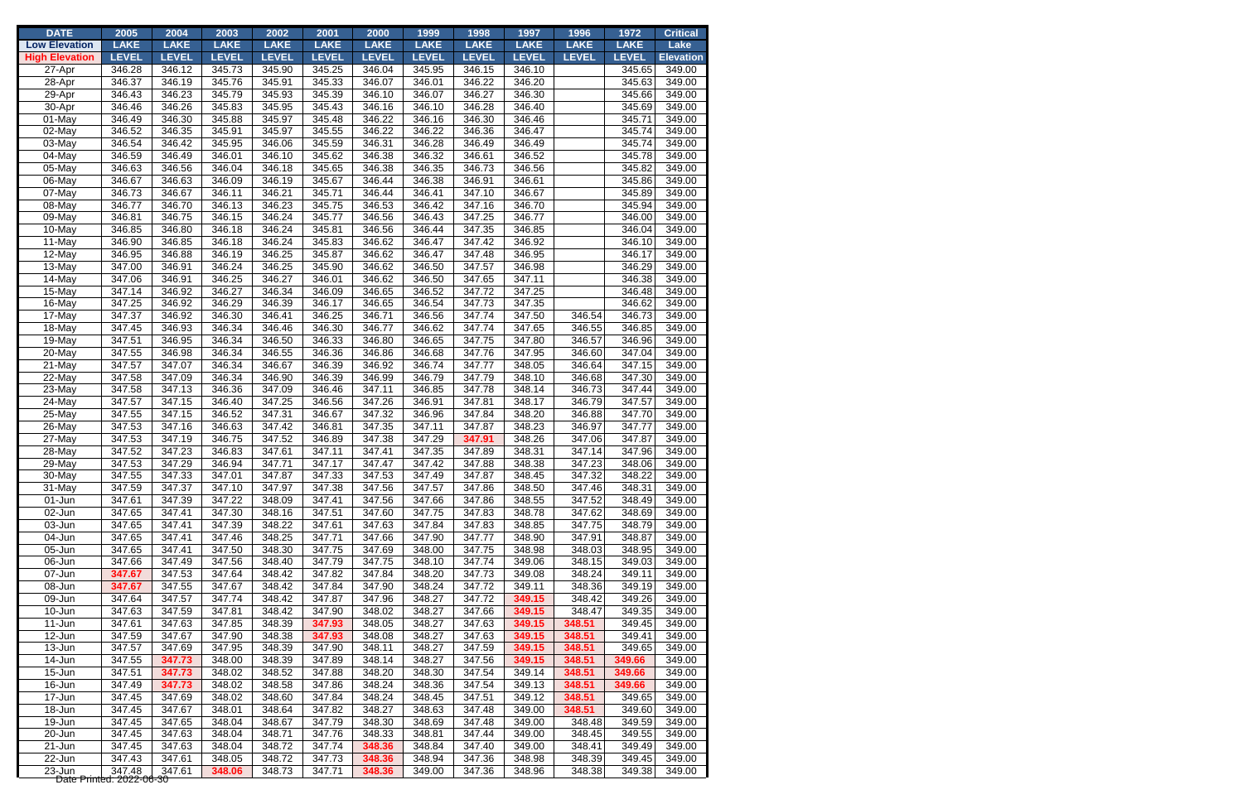| <b>DATE</b>           | 2005                     | 2004             | 2003             | 2002             | 2001             | 2000             | 1999             | 1998             | 1997             | 1996             | 1972             | <b>Critical</b>  |
|-----------------------|--------------------------|------------------|------------------|------------------|------------------|------------------|------------------|------------------|------------------|------------------|------------------|------------------|
| <b>Low Elevation</b>  | <b>LAKE</b>              | <b>LAKE</b>      | <b>LAKE</b>      | <b>LAKE</b>      | <b>LAKE</b>      | <b>LAKE</b>      | <b>LAKE</b>      | <b>LAKE</b>      | <b>LAKE</b>      | <b>LAKE</b>      | <b>LAKE</b>      | Lake             |
| <b>High Elevation</b> | <b>LEVEL</b>             | <b>LEVEL</b>     | <b>LEVEL</b>     | <b>LEVEL</b>     | <b>LEVEL</b>     | <b>LEVEL</b>     | <b>LEVEL</b>     | <b>LEVEL</b>     | <b>LEVEL</b>     | <b>LEVEL</b>     | <b>LEVEL</b>     | <b>Elevation</b> |
| 27-Apr                | 346.28                   | 346.12           | 345.73           | 345.90           | 345.25           | 346.04           | 345.95           | 346.15           | 346.10           |                  | 345.65           | 349.00           |
| 28-Apr                | 346.37                   | 346.19           | 345.76           | 345.91           | 345.33           | 346.07           | 346.01           | 346.22           | 346.20           |                  | 345.63           | 349.00           |
| 29-Apr                | 346.43                   | 346.23           | 345.79           | 345.93           | 345.39           | 346.10           | 346.07           | 346.27           | 346.30           |                  | 345.66           | 349.00           |
| 30-Apr                | 346.46                   | 346.26           | 345.83           | 345.95           | 345.43           | 346.16           | 346.10           | 346.28           | 346.40           |                  | 345.69           | 349.00           |
| 01-May                | 346.49                   | 346.30           | 345.88           | 345.97           | 345.48           | 346.22           | 346.16           | 346.30           | 346.46           |                  | 345.71           | 349.00           |
| 02-May                | 346.52                   | 346.35           | 345.91           | 345.97           | 345.55           | 346.22           | 346.22           | 346.36           | 346.47           |                  | 345.74           | 349.00           |
| 03-May                | 346.54                   | 346.42           | 345.95           | 346.06           | 345.59           | 346.31           | 346.28           | 346.49           | 346.49           |                  | 345.74           | 349.00           |
| 04-May                | 346.59                   | 346.49           | 346.01           | 346.10           | 345.62           | 346.38           | 346.32           | 346.61           | 346.52           |                  | 345.78           | 349.00           |
| 05-May                | 346.63                   | 346.56           | 346.04           | 346.18           | 345.65           | 346.38           | 346.35           | 346.73           | 346.56           |                  | 345.82           | 349.00           |
| 06-May                | 346.67                   | 346.63           | 346.09           | 346.19           | 345.67           | 346.44           | 346.38           | 346.91           | 346.61           |                  | 345.86           | 349.00           |
| 07-May                | 346.73                   | 346.67           | 346.11           | 346.21           | 345.71           | 346.44           | 346.41           | 347.10           | 346.67           |                  | 345.89           | 349.00           |
| 08-May                | 346.77                   | 346.70           | 346.13           | 346.23           | 345.75           | 346.53           | 346.42           | 347.16           | 346.70           |                  | 345.94           | 349.00           |
| 09-May                | 346.81                   | 346.75           | 346.15           | 346.24           | 345.77           | 346.56           | 346.43           | 347.25           | 346.77           |                  | 346.00           | 349.00           |
| 10-May                | 346.85                   | 346.80           | 346.18           | 346.24           | 345.81           | 346.56           | 346.44           | 347.35           | 346.85           |                  | 346.04           | 349.00           |
| 11-May                | 346.90                   | 346.85           | 346.18           | 346.24           | 345.83           | 346.62           | 346.47           | 347.42           | 346.92           |                  | 346.10           | 349.00           |
| 12-May                | 346.95                   | 346.88           | 346.19           | 346.25           | 345.87           | 346.62           | 346.47           | 347.48           | 346.95           |                  | 346.17           | 349.00           |
| 13-May                | 347.00                   | 346.91           | 346.24           | 346.25           | 345.90           | 346.62           | 346.50           | 347.57           | 346.98           |                  | 346.29           | 349.00           |
| 14-May                | 347.06                   | 346.91           | 346.25           | 346.27           | 346.01           | 346.62           | 346.50           | 347.65           | 347.11           |                  | 346.38           | 349.00           |
| 15-May                | 347.14                   | 346.92           | 346.27           | 346.34           | 346.09           | 346.65           | 346.52           | 347.72           | 347.25           |                  | 346.48           | 349.00           |
| 16-May                | 347.25                   | 346.92           | 346.29           | 346.39           | 346.17           | 346.65           | 346.54           | 347.73           | 347.35           |                  | 346.62           | 349.00           |
| 17-May                | 347.37                   | 346.92           | 346.30           | 346.41           | 346.25           | 346.71           | 346.56           | 347.74           | 347.50           | 346.54           | 346.73           | 349.00           |
| 18-May                | 347.45                   | 346.93           | 346.34           | 346.46           | 346.30           | 346.77           | 346.62           | 347.74           | 347.65           | 346.55           | 346.85           | 349.00           |
| 19-May                | 347.51                   | 346.95           | 346.34           | 346.50           | 346.33           | 346.80           | 346.65           | 347.75           | 347.80           | 346.57           | 346.96           | 349.00           |
| 20-May                | 347.55                   | 346.98           | 346.34           | 346.55           | 346.36           | 346.86           | 346.68           | 347.76           | 347.95           | 346.60           | 347.04           | 349.00           |
| 21-May                | 347.57                   | 347.07           | 346.34           | 346.67           | 346.39           | 346.92           | 346.74           | 347.77           | 348.05           | 346.64           | 347.15           | 349.00           |
| 22-May                | 347.58                   | 347.09           | 346.34           | 346.90           | 346.39           | 346.99           | 346.79           | 347.79           | 348.10           | 346.68           | 347.30           | 349.00           |
| 23-May                | 347.58                   | 347.13           | 346.36           | 347.09           | 346.46           | 347.11           | 346.85           | 347.78           | 348.14           | 346.73           | 347.44           | 349.00           |
| $24$ -May             | 347.57                   | 347.15           | 346.40           | 347.25           | 346.56           | 347.26           | 346.91           | 347.81           | 348.17           | 346.79           | 347.57           | 349.00           |
| 25-May                | 347.55                   | 347.15           | 346.52           | 347.31           | 346.67           | 347.32           | 346.96           | 347.84           | 348.20           | 346.88           | 347.70           | 349.00           |
| 26-May                | 347.53                   | 347.16           | 346.63           | 347.42           | 346.81           | 347.35           | 347.11           | 347.87           | 348.23           | 346.97           | 347.77           | 349.00           |
| 27-May                | 347.53                   | 347.19           | 346.75           | 347.52           | 346.89           | 347.38           | 347.29           | 347.91           | 348.26           | 347.06           | 347.87           | 349.00           |
| 28-May                | 347.52                   | 347.23           | 346.83           | 347.61           | 347.11           | 347.41           | 347.35           | 347.89           | 348.31           | 347.14           | 347.96           | 349.00           |
| $29$ -May             | 347.53                   | 347.29           | 346.94           | 347.71           | 347.17           | 347.47           | 347.42           | 347.88           | 348.38           | 347.23           | 348.06           | 349.00           |
| 30-May                | 347.55                   | 347.33           | 347.01           | 347.87           | 347.33           | 347.53           | 347.49           | 347.87           | 348.45           | 347.32           | 348.22           | 349.00           |
| 31-May                | 347.59                   | 347.37           | 347.10           | 347.97           | 347.38           | 347.56           | 347.57           | 347.86           | 348.50           | 347.46           | 348.31           | 349.00           |
| 01-Jun                | 347.61                   | 347.39           | 347.22           | 348.09           | 347.41           | 347.56           | 347.66           | 347.86           | 348.55           | 347.52           | 348.49           | 349.00           |
| 02-Jun                | 347.65                   | 347.41           | 347.30           | 348.16           | 347.51           | 347.60           | 347.75           | 347.83           | 348.78           | 347.62           | 348.69           | 349.00           |
| 03-Jun                | 347.65                   | 347.41           | 347.39           | 348.22           | 347.61           | 347.63           | 347.84           | 347.83           | 348.85           | 347.75           | 348.79           | 349.00           |
| 04-Jun                | 347.65                   | 347.41           | 347.46           | 348.25           | 347.71           | 347.66           | 347.90           | 347.77           | 348.90           | 347.91           | 348.87           | 349.00           |
| 05-Jun                | 347.65                   | 347.41           | 347.50           | 348.30           | 347.75           | 347.69           | 348.00           | 347.75           | 348.98           | 348.03           | 348.95           | 349.00           |
| 06-Jun                | 347.66                   | 347.49           | 347.56           | 348.40           | 347.79           | 347.75           | 348.10           | 347.74           | 349.06           | 348.15           | 349.03           | 349.00           |
| 07-Jun                | 347.67                   | 347.53           | 347.64           | 348.42           | 347.82           | 347.84           | 348.20           | 347.73           | 349.08           | 348.24           | 349.11           | 349.00           |
| 08-Jun                | 347.67                   | 347.55           | 347.67           | 348.42           | 347.84           | 347.90           | 348.24           | 347.72           | 349.11           | 348.36           | 349.19           | 349.00           |
| 09-Jun                | 347.64                   | 347.57           | 347.74           | 348.42           | 347.87           | 347.96           | 348.27           | 347.72           | 349.15           | 348.42           | 349.26           | 349.00           |
| 10-Jun                | 347.63                   | 347.59           | 347.81           | 348.42           | 347.90           | 348.02           | 348.27           | 347.66           | 349.15           | 348.47           | 349.35           | 349.00           |
| 11-Jun                | 347.61                   | 347.63           | 347.85           | 348.39           | 347.93           | 348.05           | 348.27           | 347.63           | 349.15           | 348.51           | 349.45           | 349.00           |
| 12-Jun                | 347.59                   | 347.67           | 347.90           | 348.38           | 347.93           | 348.08           | 348.27           | 347.63           | 349.15           | 348.51           | 349.41           | 349.00           |
| 13-Jun                | 347.57                   | 347.69           | 347.95           | 348.39           | 347.90           | 348.11           | 348.27           | 347.59           | 349.15           | 348.51           | 349.65           | 349.00           |
| 14-Jun<br>15-Jun      | 347.55<br>347.51         | 347.73<br>347.73 | 348.00<br>348.02 | 348.39<br>348.52 | 347.89<br>347.88 | 348.14<br>348.20 | 348.27<br>348.30 | 347.56<br>347.54 | 349.15<br>349.14 | 348.51<br>348.51 | 349.66<br>349.66 | 349.00<br>349.00 |
| 16-Jun                | 347.49                   | 347.73           | 348.02           | 348.58           | 347.86           | 348.24           | 348.36           | 347.54           | 349.13           | 348.51           | 349.66           | 349.00           |
| 17-Jun                | 347.45                   | 347.69           | 348.02           | 348.60           | 347.84           | 348.24           | 348.45           | 347.51           | 349.12           | 348.51           | 349.65           | 349.00           |
| 18-Jun                | 347.45                   | 347.67           | 348.01           | 348.64           | 347.82           | 348.27           | 348.63           | 347.48           | 349.00           | 348.51           | 349.60           | 349.00           |
| 19-Jun                | 347.45                   | 347.65           | 348.04           | 348.67           | 347.79           | 348.30           | 348.69           | 347.48           | 349.00           | 348.48           | 349.59           | 349.00           |
| 20-Jun                | 347.45                   | 347.63           | 348.04           | 348.71           | 347.76           | 348.33           | 348.81           | 347.44           | 349.00           | 348.45           | 349.55           | 349.00           |
| 21-Jun                | 347.45                   | 347.63           | 348.04           | 348.72           | 347.74           | 348.36           | 348.84           | 347.40           | 349.00           | 348.41           | 349.49           | 349.00           |
| 22-Jun                | 347.43                   | 347.61           | 348.05           | 348.72           | 347.73           | 348.36           | 348.94           | 347.36           | 348.98           | 348.39           | 349.45           | 349.00           |
| $23 - Jun$            | 347.48                   | 347.61           | 348.06           | 348.73           | 347.71           | 348.36           | 349.00           | 347.36           | 348.96           | 348.38           | 349.38           | 349.00           |
|                       | Date Printed: 2022-06-30 |                  |                  |                  |                  |                  |                  |                  |                  |                  |                  |                  |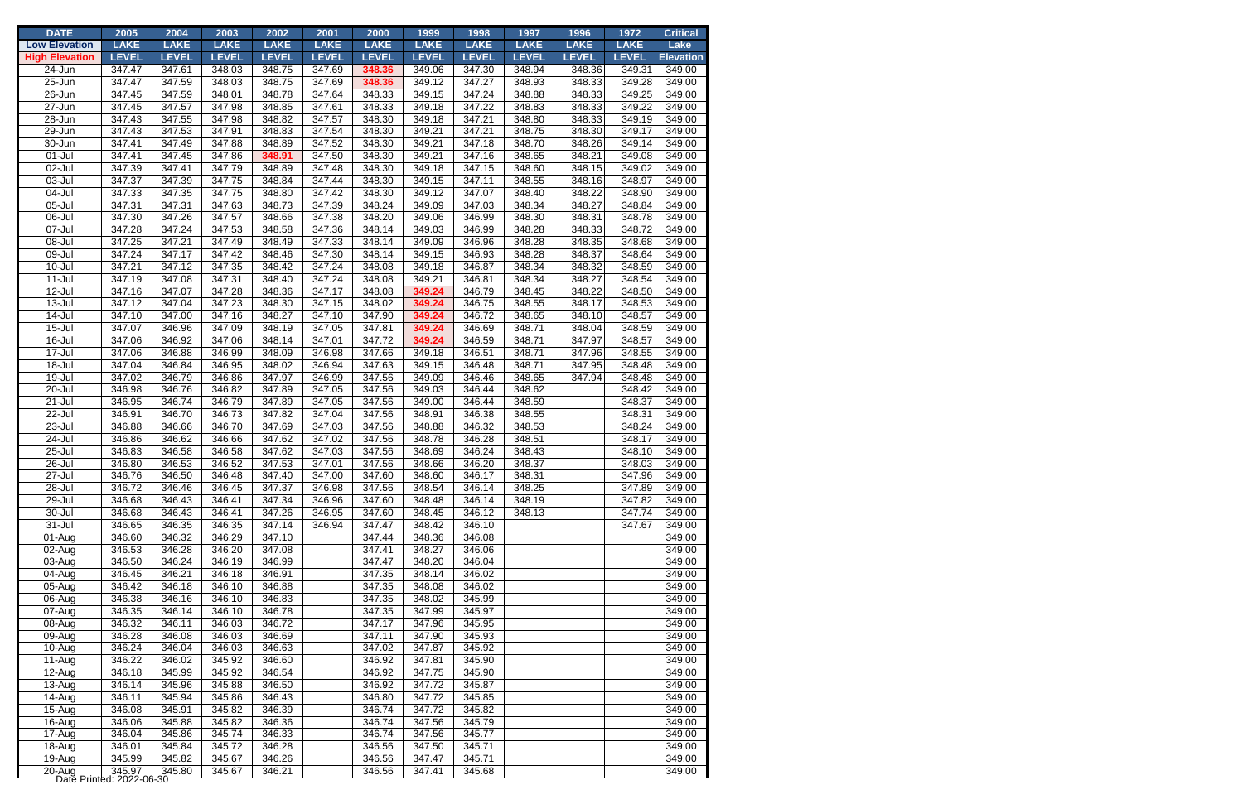| <b>DATE</b>           | 2005         | 2004         | 2003         | 2002         | 2001         | 2000         | 1999         | 1998         | 1997         | 1996         | 1972         | <b>Critical</b>  |
|-----------------------|--------------|--------------|--------------|--------------|--------------|--------------|--------------|--------------|--------------|--------------|--------------|------------------|
| <b>Low Elevation</b>  | <b>LAKE</b>  | <b>LAKE</b>  | <b>LAKE</b>  | <b>LAKE</b>  | <b>LAKE</b>  | <b>LAKE</b>  | <b>LAKE</b>  | <b>LAKE</b>  | <b>LAKE</b>  | <b>LAKE</b>  | <b>LAKE</b>  | <b>Lake</b>      |
| <b>High Elevation</b> | <b>LEVEL</b> | <b>LEVEL</b> | <b>LEVEL</b> | <b>LEVEL</b> | <b>LEVEL</b> | <b>LEVEL</b> | <b>LEVEL</b> | <b>LEVEL</b> | <b>LEVEL</b> | <b>LEVEL</b> | <b>LEVEL</b> | <b>Elevation</b> |
| 24-Jun                | 347.47       | 347.61       | 348.03       | 348.75       | 347.69       | 348.36       | 349.06       | 347.30       | 348.94       | 348.36       | 349.31       | 349.00           |
| 25-Jun                | 347.47       | 347.59       | 348.03       | 348.75       | 347.69       | 348.36       | 349.12       | 347.27       | 348.93       | 348.33       | 349.28       | 349.00           |
| 26-Jun                | 347.45       | 347.59       | 348.01       | 348.78       | 347.64       | 348.33       | 349.15       | 347.24       | 348.88       | 348.33       | 349.25       | 349.00           |
| 27-Jun                | 347.45       | 347.57       | 347.98       | 348.85       | 347.61       | 348.33       | 349.18       | 347.22       | 348.83       | 348.33       | 349.22       | 349.00           |
| 28-Jun                | 347.43       | 347.55       | 347.98       | 348.82       | 347.57       | 348.30       | 349.18       | 347.21       | 348.80       | 348.33       | 349.19       | 349.00           |
| 29-Jun                | 347.43       | 347.53       | 347.91       | 348.83       | 347.54       | 348.30       | 349.21       | 347.21       | 348.75       | 348.30       | 349.17       | 349.00           |
| 30-Jun                | 347.41       | 347.49       | 347.88       | 348.89       | 347.52       | 348.30       | 349.21       | 347.18       | 348.70       | 348.26       | 349.14       | 349.00           |
| $01 -$ Jul            | 347.41       | 347.45       | 347.86       | 348.91       | 347.50       | 348.30       | 349.21       | 347.16       | 348.65       | 348.21       | 349.08       | 349.00           |
| 02-Jul                | 347.39       | 347.41       | 347.79       | 348.89       | 347.48       | 348.30       | 349.18       | 347.15       | 348.60       | 348.15       | 349.02       | 349.00           |
| 03-Jul                | 347.37       | 347.39       | 347.75       | 348.84       | 347.44       | 348.30       | 349.15       | 347.11       | 348.55       | 348.16       | 348.97       | 349.00           |
| 04-Jul                | 347.33       | 347.35       | 347.75       | 348.80       | 347.42       | 348.30       | 349.12       | 347.07       | 348.40       | 348.22       | 348.90       | 349.00           |
| $05 -$ Jul            | 347.31       | 347.31       | 347.63       | 348.73       | 347.39       | 348.24       | 349.09       | 347.03       | 348.34       | 348.27       | 348.84       | 349.00           |
| 06-Jul                | 347.30       | 347.26       | 347.57       | 348.66       | 347.38       | 348.20       | 349.06       | 346.99       | 348.30       | 348.31       | 348.78       | 349.00           |
| 07-Jul                | 347.28       | 347.24       | 347.53       | 348.58       | 347.36       | 348.14       | 349.03       | 346.99       | 348.28       | 348.33       | 348.72       | 349.00           |
| 08-Jul                | 347.25       | 347.21       | 347.49       | 348.49       | 347.33       | 348.14       | 349.09       | 346.96       | 348.28       | 348.35       | 348.68       | 349.00           |
| 09-Jul                | 347.24       | 347.17       | 347.42       | 348.46       | 347.30       | 348.14       | 349.15       | 346.93       | 348.28       | 348.37       | 348.64       | 349.00           |
| $10 -$ Jul            | 347.21       | 347.12       | 347.35       | 348.42       | 347.24       | 348.08       | 349.18       | 346.87       | 348.34       | 348.32       | 348.59       | 349.00           |
| $11 -$ Jul            | 347.19       | 347.08       | 347.31       | 348.40       | 347.24       | 348.08       | 349.21       | 346.81       | 348.34       | 348.27       | 348.54       | 349.00           |
| $12$ -Jul             | 347.16       | 347.07       | 347.28       | 348.36       | 347.17       | 348.08       | 349.24       | 346.79       | 348.45       | 348.22       | 348.50       | 349.00           |
| $13 -$ Jul            | 347.12       | 347.04       | 347.23       | 348.30       | 347.15       | 348.02       | 349.24       | 346.75       | 348.55       | 348.17       | 348.53       | 349.00           |
| $14$ -Jul             | 347.10       | 347.00       | 347.16       | 348.27       | 347.10       | 347.90       | 349.24       | 346.72       | 348.65       | 348.10       | 348.57       | 349.00           |
| $15 -$ Jul            | 347.07       | 346.96       | 347.09       | 348.19       | 347.05       | 347.81       | 349.24       | 346.69       | 348.71       | 348.04       | 348.59       | 349.00           |
| 16-Jul                | 347.06       | 346.92       | 347.06       | 348.14       | 347.01       | 347.72       | 349.24       | 346.59       | 348.71       | 347.97       | 348.57       | 349.00           |
| 17-Jul                | 347.06       | 346.88       | 346.99       | 348.09       | 346.98       | 347.66       | 349.18       | 346.51       | 348.71       | 347.96       | 348.55       | 349.00           |
| 18-Jul                | 347.04       | 346.84       | 346.95       | 348.02       | 346.94       | 347.63       | 349.15       | 346.48       | 348.71       | 347.95       | 348.48       | 349.00           |
| 19-Jul                | 347.02       | 346.79       | 346.86       | 347.97       | 346.99       | 347.56       | 349.09       | 346.46       | 348.65       | 347.94       | 348.48       | 349.00           |
| 20-Jul                | 346.98       | 346.76       | 346.82       | 347.89       | 347.05       | 347.56       | 349.03       | 346.44       | 348.62       |              | 348.42       | 349.00           |
| $21 -$ Jul            | 346.95       | 346.74       | 346.79       | 347.89       | 347.05       | 347.56       | 349.00       | 346.44       | 348.59       |              | 348.37       | 349.00           |
| 22-Jul                | 346.91       | 346.70       | 346.73       | 347.82       | 347.04       | 347.56       | 348.91       | 346.38       | 348.55       |              | 348.31       | 349.00           |
| 23-Jul                | 346.88       | 346.66       | 346.70       | 347.69       | 347.03       | 347.56       | 348.88       | 346.32       | 348.53       |              | 348.24       | 349.00           |
| 24-Jul                | 346.86       | 346.62       | 346.66       | 347.62       | 347.02       | 347.56       | 348.78       | 346.28       | 348.51       |              | 348.17       | 349.00           |
| $25 -$ Jul            | 346.83       | 346.58       | 346.58       | 347.62       | 347.03       | 347.56       | 348.69       | 346.24       | 348.43       |              | 348.10       | 349.00           |
| 26-Jul                | 346.80       | 346.53       | 346.52       | 347.53       | 347.01       | 347.56       | 348.66       | 346.20       | 348.37       |              | 348.03       | 349.00           |
| 27-Jul                | 346.76       | 346.50       | 346.48       | 347.40       | 347.00       | 347.60       | 348.60       | 346.17       | 348.31       |              | 347.96       | 349.00           |
| 28-Jul                | 346.72       | 346.46       | 346.45       | 347.37       | 346.98       | 347.56       | 348.54       | 346.14       | 348.25       |              | 347.89       | 349.00           |
| 29-Jul                | 346.68       | 346.43       | 346.41       | 347.34       | 346.96       | 347.60       | 348.48       | 346.14       | 348.19       |              | 347.82       | 349.00           |
| 30-Jul                | 346.68       | 346.43       | 346.41       | 347.26       | 346.95       | 347.60       | 348.45       | 346.12       | 348.13       |              | 347.74       | 349.00           |
| $31 -$ Jul            | 346.65       | 346.35       | 346.35       | 347.14       | 346.94       | 347.47       | 348.42       | 346.10       |              |              | 347.67       | 349.00           |
| $01-Aug$              | 346.60       | 346.32       | 346.29       | 347.10       |              | 347.44       | 348.36       | 346.08       |              |              |              | 349.00           |
| 02-Aug                | 346.53       | 346.28       | 346.20       | 347.08       |              | 347.41       | 348.27       | 346.06       |              |              |              | 349.00           |
| 03-Aug                | 346.50       | 346.24       | 346.19       | 346.99       |              | 347.47       | 348.20       | 346.04       |              |              |              | 349.00           |
| 04-Aug                | 346.45       | 346.21       | 346.18       | 346.91       |              | 347.35       | 348.14       | 346.02       |              |              |              | 349.00           |
| 05-Aug                | 346.42       | 346.18       | 346.10       | 346.88       |              | 347.35       | 348.08       | 346.02       |              |              |              | 349.00           |
| 06-Aug                | 346.38       | 346.16       | 346.10       | 346.83       |              | 347.35       | 348.02       | 345.99       |              |              |              | 349.00           |
| 07-Aug                | 346.35       | 346.14       | 346.10       | 346.78       |              | 347.35       | 347.99       | 345.97       |              |              |              | 349.00           |
| 08-Aug                | 346.32       | 346.11       | 346.03       | 346.72       |              | 347.17       | 347.96       | 345.95       |              |              |              | 349.00           |
| 09-Aug                | 346.28       | 346.08       | 346.03       | 346.69       |              | 347.11       | 347.90       | 345.93       |              |              |              | 349.00           |
| 10-Aug                | 346.24       | 346.04       | 346.03       | 346.63       |              | 347.02       | 347.87       | 345.92       |              |              |              | 349.00           |
| 11-Aug                | 346.22       | 346.02       | 345.92       | 346.60       |              | 346.92       | 347.81       | 345.90       |              |              |              | 349.00           |
| 12-Aug                | 346.18       | 345.99       | 345.92       | 346.54       |              | 346.92       | 347.75       | 345.90       |              |              |              | 349.00           |
| 13-Aug                | 346.14       | 345.96       | 345.88       | 346.50       |              | 346.92       | 347.72       | 345.87       |              |              |              | 349.00           |
| 14-Aug                | 346.11       | 345.94       | 345.86       | 346.43       |              | 346.80       | 347.72       | 345.85       |              |              |              | 349.00           |
| $15-Aug$              | 346.08       | 345.91       | 345.82       | 346.39       |              | 346.74       | 347.72       | 345.82       |              |              |              | 349.00           |
| 16-Aug                | 346.06       | 345.88       | 345.82       | 346.36       |              | 346.74       | 347.56       | 345.79       |              |              |              | 349.00           |
| 17-Aug                | 346.04       | 345.86       | 345.74       | 346.33       |              | 346.74       | 347.56       | 345.77       |              |              |              | 349.00           |
| 18-Aug                | 346.01       | 345.84       | 345.72       | 346.28       |              | 346.56       | 347.50       | 345.71       |              |              |              | 349.00           |
| 19-Aug                | 345.99       | 345.82       | 345.67       | 346.26       |              | 346.56       | 347.47       | 345.71       |              |              |              | 349.00           |
| 20-Aug                | 345.97       | 345.80       | 345.67       | 346.21       |              | 346.56       | 347.41       | 345.68       |              |              |              | 349.00           |

Date Printed: 2022-06-30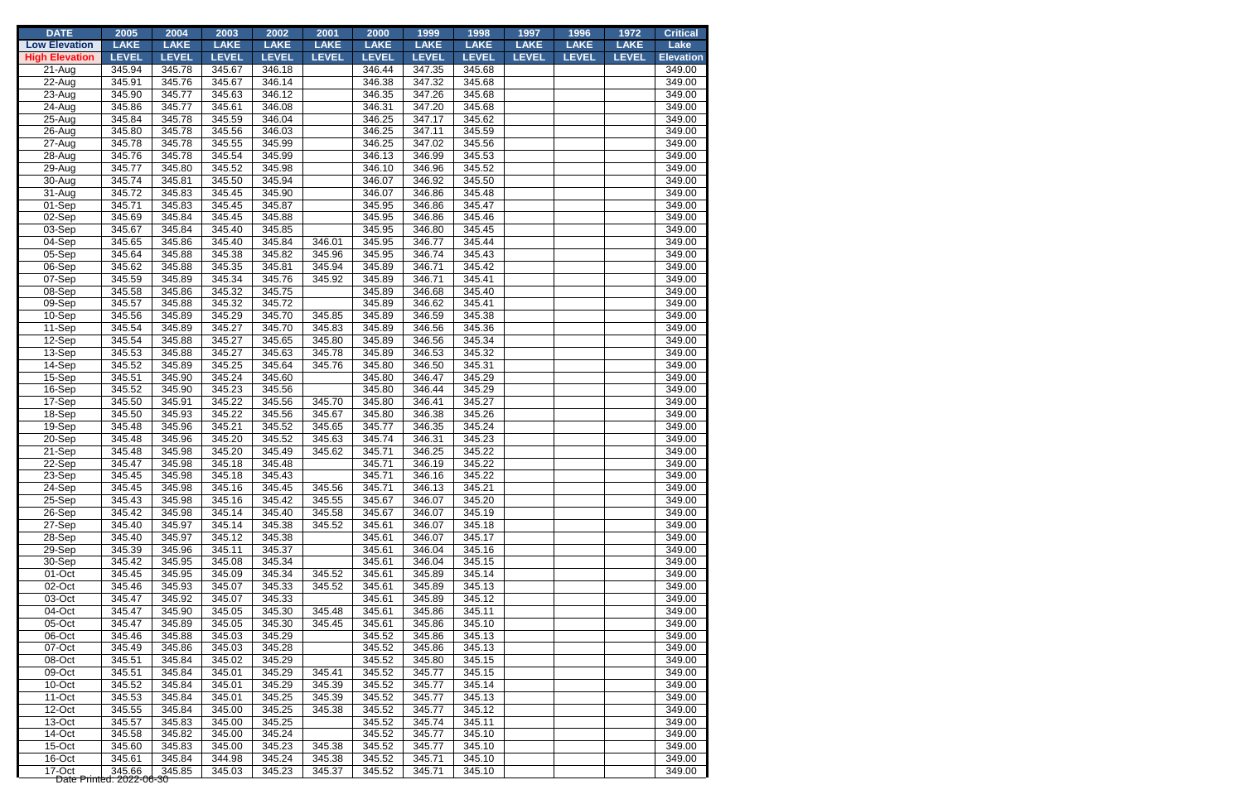| <b>LAKE</b><br><b>LAKE</b><br><b>LAKE</b><br><b>LAKE</b><br><b>LAKE</b><br><b>LAKE</b><br><b>LAKE</b><br><b>Low Elevation</b><br><b>LEVEL</b><br><b>LEVEL</b><br><b>LEVEL</b><br><b>LEVEL</b><br><b>LEVEL</b><br><b>LEVEL</b><br><b>LEVEL</b><br><b>High Elevation</b><br>345.94<br>345.78<br>345.67<br>346.18<br>346.44<br>347.35 | <b>LAKE</b><br><b>LEVEL</b><br>345.68 | <b>LAKE</b><br><b>LEVEL</b> | <b>LAKE</b><br><b>LEVEL</b> | <b>LAKE</b>  | Lake             |
|------------------------------------------------------------------------------------------------------------------------------------------------------------------------------------------------------------------------------------------------------------------------------------------------------------------------------------|---------------------------------------|-----------------------------|-----------------------------|--------------|------------------|
|                                                                                                                                                                                                                                                                                                                                    |                                       |                             |                             |              |                  |
|                                                                                                                                                                                                                                                                                                                                    |                                       |                             |                             | <b>LEVEL</b> | <b>Elevation</b> |
| 21-Aug                                                                                                                                                                                                                                                                                                                             |                                       |                             |                             |              | 349.00           |
| 22-Aug<br>345.91<br>345.76<br>345.67<br>346.38<br>347.32<br>346.14                                                                                                                                                                                                                                                                 | 345.68                                |                             |                             |              | 349.00           |
| 23-Aug<br>345.90<br>345.77<br>345.63<br>346.12<br>346.35<br>347.26                                                                                                                                                                                                                                                                 | 345.68                                |                             |                             |              | 349.00           |
| 24-Aug<br>345.86<br>345.77<br>347.20<br>345.61<br>346.08<br>346.31                                                                                                                                                                                                                                                                 | 345.68                                |                             |                             |              | 349.00           |
| 25-Aug<br>347.17<br>345.84<br>345.78<br>345.59<br>346.04<br>346.25                                                                                                                                                                                                                                                                 | 345.62                                |                             |                             |              | 349.00           |
| 26-Aug<br>345.80<br>345.78<br>345.56<br>346.03<br>346.25<br>347.11                                                                                                                                                                                                                                                                 | 345.59                                |                             |                             |              | 349.00           |
| 27-Aug<br>345.78<br>345.78<br>345.55<br>345.99<br>346.25<br>347.02                                                                                                                                                                                                                                                                 | 345.56                                |                             |                             |              | 349.00           |
| 28-Aug<br>345.76<br>345.78<br>345.54<br>345.99<br>346.13<br>346.99                                                                                                                                                                                                                                                                 | 345.53                                |                             |                             |              | 349.00           |
| 29-Aug<br>345.77<br>345.80<br>345.52<br>345.98<br>346.10<br>346.96                                                                                                                                                                                                                                                                 | 345.52                                |                             |                             |              | 349.00           |
| 30-Aug<br>345.74<br>345.81<br>345.50<br>345.94<br>346.07<br>346.92                                                                                                                                                                                                                                                                 | 345.50                                |                             |                             |              | 349.00           |
| $\overline{3}$ 1-Aug<br>345.72<br>345.83<br>345.45<br>345.90<br>346.07<br>346.86                                                                                                                                                                                                                                                   | 345.48                                |                             |                             |              | 349.00           |
| $01-Sep$<br>345.71<br>345.83<br>345.45<br>345.95<br>346.86<br>345.87                                                                                                                                                                                                                                                               | 345.47                                |                             |                             |              | 349.00           |
| 02-Sep<br>345.69<br>345.84<br>345.45<br>345.95<br>346.86<br>345.88                                                                                                                                                                                                                                                                 | 345.46                                |                             |                             |              | 349.00           |
| 03-Sep<br>345.67<br>345.84<br>345.40<br>345.95<br>346.80<br>345.85                                                                                                                                                                                                                                                                 | 345.45                                |                             |                             |              | 349.00           |
| 04-Sep<br>345.65<br>345.86<br>345.40<br>346.01<br>345.95<br>346.77<br>345.84                                                                                                                                                                                                                                                       | 345.44                                |                             |                             |              | 349.00           |
| $05-Sep$<br>345.64<br>345.88<br>345.38<br>345.82<br>345.96<br>345.95<br>346.74                                                                                                                                                                                                                                                     | 345.43                                |                             |                             |              | 349.00           |
| 06-Sep<br>345.62<br>345.88<br>345.35<br>345.81<br>345.94<br>345.89<br>346.71                                                                                                                                                                                                                                                       | 345.42                                |                             |                             |              | 349.00           |
| $07-Sep$<br>345.59<br>345.89<br>345.34<br>345.76<br>345.92<br>345.89<br>346.71                                                                                                                                                                                                                                                     | 345.41                                |                             |                             |              | 349.00           |
| 08-Sep<br>345.58<br>345.86<br>345.32<br>345.75<br>345.89<br>346.68                                                                                                                                                                                                                                                                 | 345.40                                |                             |                             |              | 349.00           |
| $09-Sep$<br>345.57<br>345.88<br>345.32<br>345.72<br>345.89<br>346.62                                                                                                                                                                                                                                                               | 345.41                                |                             |                             |              | 349.00           |
| 345.29<br>10-Sep<br>345.56<br>345.89<br>345.70<br>345.85<br>345.89<br>346.59                                                                                                                                                                                                                                                       | 345.38                                |                             |                             |              | 349.00           |
| 11-Sep<br>345.54<br>345.89<br>345.27<br>345.70<br>345.83<br>345.89<br>346.56                                                                                                                                                                                                                                                       | 345.36                                |                             |                             |              | 349.00           |
| 12-Sep<br>345.54<br>345.88<br>345.27<br>345.65<br>345.80<br>345.89<br>346.56<br>345.27<br>345.63<br>345.78<br>346.53                                                                                                                                                                                                               | 345.34<br>345.32                      |                             |                             |              | 349.00<br>349.00 |
| 13-Sep<br>345.53<br>345.88<br>345.89<br>345.89<br>345.25<br>345.64                                                                                                                                                                                                                                                                 |                                       |                             |                             |              |                  |
| 14-Sep<br>345.52<br>345.76<br>345.80<br>346.50<br>15-Sep<br>345.24<br>345.51<br>345.90<br>345.60<br>345.80<br>346.47                                                                                                                                                                                                               | 345.31<br>345.29                      |                             |                             |              | 349.00<br>349.00 |
| 16-Sep<br>345.23<br>345.52<br>345.90<br>345.56<br>345.80<br>346.44                                                                                                                                                                                                                                                                 | 345.29                                |                             |                             |              | 349.00           |
| $17-$ Sep<br>345.22<br>345.50<br>345.91<br>345.56<br>345.70<br>345.80<br>346.41                                                                                                                                                                                                                                                    | 345.27                                |                             |                             |              | 349.00           |
| 18-Sep<br>345.50<br>345.93<br>345.22<br>345.56<br>345.67<br>345.80<br>346.38                                                                                                                                                                                                                                                       | 345.26                                |                             |                             |              | 349.00           |
| 19-Sep<br>345.48<br>345.96<br>345.21<br>345.52<br>345.65<br>345.77<br>346.35                                                                                                                                                                                                                                                       | 345.24                                |                             |                             |              | 349.00           |
| 20-Sep<br>345.48<br>345.96<br>345.20<br>345.52<br>345.63<br>345.74<br>346.31                                                                                                                                                                                                                                                       | 345.23                                |                             |                             |              | 349.00           |
| 21-Sep<br>345.48<br>345.98<br>345.20<br>345.49<br>345.62<br>345.71<br>346.25                                                                                                                                                                                                                                                       | 345.22                                |                             |                             |              | 349.00           |
| 22-Sep<br>345.47<br>345.98<br>345.18<br>345.48<br>345.71<br>346.19                                                                                                                                                                                                                                                                 | 345.22                                |                             |                             |              | 349.00           |
| 23-Sep<br>345.45<br>345.98<br>345.18<br>345.43<br>345.71<br>346.16                                                                                                                                                                                                                                                                 | 345.22                                |                             |                             |              | 349.00           |
| 24-Sep<br>345.45<br>345.98<br>345.16<br>345.45<br>345.56<br>345.71<br>346.13                                                                                                                                                                                                                                                       | 345.21                                |                             |                             |              | 349.00           |
| 25-Sep<br>345.43<br>345.98<br>345.16<br>345.55<br>345.67<br>345.42<br>346.07                                                                                                                                                                                                                                                       | 345.20                                |                             |                             |              | 349.00           |
| 26-Sep<br>345.42<br>345.98<br>345.14<br>345.40<br>345.58<br>345.67<br>346.07                                                                                                                                                                                                                                                       | 345.19                                |                             |                             |              | 349.00           |
| 27-Sep<br>345.40<br>345.97<br>345.14<br>345.38<br>346.07<br>345.52<br>345.61                                                                                                                                                                                                                                                       | 345.18                                |                             |                             |              | 349.00           |
| 28-Sep<br>345.40<br>345.97<br>345.12<br>345.38<br>346.07<br>345.61                                                                                                                                                                                                                                                                 | 345.17                                |                             |                             |              | 349.00           |
| 29-Sep<br>345.39<br>345.96<br>345.11<br>345.37<br>345.61<br>346.04                                                                                                                                                                                                                                                                 | 345.16                                |                             |                             |              | 349.00           |
| 30-Sep<br>345.08<br>345.42<br>345.95<br>345.34<br>345.61<br>346.04                                                                                                                                                                                                                                                                 | 345.15                                |                             |                             |              | 349.00           |
| 01-Oct<br>345.09<br>345.89<br>345.45<br>345.95<br>345.34<br>345.52<br>345.61                                                                                                                                                                                                                                                       | 345.14                                |                             |                             |              | 349.00           |
| 02-Oct<br>345.07<br>345.46<br>345.93<br>345.33<br>345.52<br>345.61<br>345.89                                                                                                                                                                                                                                                       | 345.13                                |                             |                             |              | 349.00           |
| 03-Oct<br>345.07<br>345.89<br>345.47<br>345.92<br>345.33<br>345.61                                                                                                                                                                                                                                                                 | 345.12                                |                             |                             |              | 349.00           |
| 04-Oct<br>345.05<br>345.86<br>345.47<br>345.90<br>345.30<br>345.48<br>345.61                                                                                                                                                                                                                                                       | 345.11                                |                             |                             |              | 349.00           |
| 05-Oct<br>345.86<br>345.47<br>345.89<br>345.05<br>345.30<br>345.45<br>345.61                                                                                                                                                                                                                                                       | 345.10                                |                             |                             |              | 349.00           |
| 06-Oct<br>345.46<br>345.88<br>345.03<br>345.29<br>345.52<br>345.86                                                                                                                                                                                                                                                                 | 345.13                                |                             |                             |              | 349.00           |
| 07-Oct<br>345.49<br>345.86<br>345.03<br>345.28<br>345.52<br>345.86                                                                                                                                                                                                                                                                 | 345.13                                |                             |                             |              | 349.00           |
| 08-Oct<br>345.51<br>345.84<br>345.02<br>345.29<br>345.52<br>345.80                                                                                                                                                                                                                                                                 | 345.15                                |                             |                             |              | 349.00           |
| 09-Oct<br>345.51<br>345.84<br>345.01<br>345.29<br>345.41<br>345.52<br>345.77                                                                                                                                                                                                                                                       | 345.15                                |                             |                             |              | 349.00           |
| 10-Oct<br>345.52<br>345.84<br>345.01<br>345.29<br>345.39<br>345.52<br>345.77                                                                                                                                                                                                                                                       | 345.14                                |                             |                             |              | 349.00           |
| 11-Oct<br>345.53<br>345.84<br>345.01<br>345.25<br>345.39<br>345.52<br>345.77                                                                                                                                                                                                                                                       | 345.13                                |                             |                             |              | 349.00           |
| 12-Oct<br>345.55<br>345.84<br>345.00<br>345.25<br>345.77<br>345.38<br>345.52                                                                                                                                                                                                                                                       | 345.12                                |                             |                             |              | 349.00           |
| 13-Oct<br>345.57<br>345.83<br>345.00<br>345.25<br>345.74<br>345.52                                                                                                                                                                                                                                                                 | 345.11                                |                             |                             |              | 349.00           |
| 14-Oct<br>345.58<br>345.82<br>345.00<br>345.24<br>345.52<br>345.77                                                                                                                                                                                                                                                                 | 345.10                                |                             |                             |              | 349.00           |
| 15-Oct<br>345.60<br>345.83<br>345.00<br>345.23<br>345.38<br>345.52<br>345.77                                                                                                                                                                                                                                                       | 345.10                                |                             |                             |              | 349.00           |
| 16-Oct<br>345.61<br>345.84<br>344.98<br>345.24<br>345.38<br>345.52<br>345.71                                                                                                                                                                                                                                                       | 345.10                                |                             |                             |              | 349.00           |
| 17-Oct<br>345.66<br>345.85<br>345.03<br>345.23<br>345.37<br>345.52<br>345.71<br>Date Printed: 2022-06-30                                                                                                                                                                                                                           | 345.10                                |                             |                             |              | 349.00           |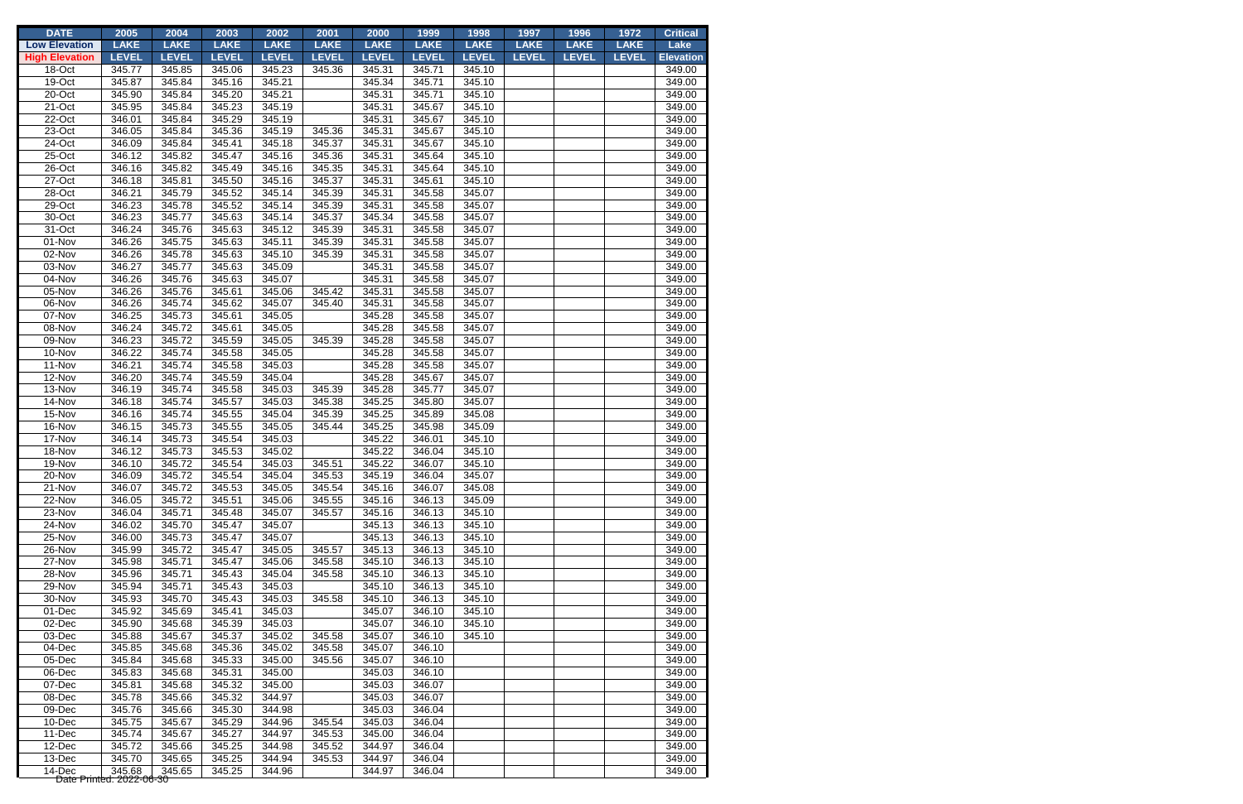| <b>DATE</b>           | 2005                               | 2004             | 2003         | 2002         | 2001         | 2000        | 1999         | 1998         | 1997         | 1996         | 1972         | <b>Critical</b>  |
|-----------------------|------------------------------------|------------------|--------------|--------------|--------------|-------------|--------------|--------------|--------------|--------------|--------------|------------------|
| <b>Low Elevation</b>  | <b>LAKE</b>                        | <b>LAKE</b>      | <b>LAKE</b>  | <b>LAKE</b>  | <b>LAKE</b>  | <b>LAKE</b> | <b>LAKE</b>  | <b>LAKE</b>  | <b>LAKE</b>  | <b>LAKE</b>  | <b>LAKE</b>  | Lake             |
| <b>High Elevation</b> | <b>LEVEL</b>                       | <b>LEVEL</b>     | <b>LEVEL</b> | <b>LEVEL</b> | <b>LEVEL</b> | LEVEL       | <b>LEVEL</b> | <b>LEVEL</b> | <b>LEVEL</b> | <b>LEVEL</b> | <b>LEVEL</b> | <b>Elevation</b> |
| 18-Oct                | 345.77                             | 345.85           | 345.06       | 345.23       | 345.36       | 345.31      | 345.71       | 345.10       |              |              |              | 349.00           |
| 19-Oct                | 345.87                             | 345.84           | 345.16       | 345.21       |              | 345.34      | 345.71       | 345.10       |              |              |              | 349.00           |
| 20-Oct                | 345.90                             | 345.84           | 345.20       | 345.21       |              | 345.31      | 345.71       | 345.10       |              |              |              | 349.00           |
| 21-Oct                | 345.95                             | 345.84           | 345.23       | 345.19       |              | 345.31      | 345.67       | 345.10       |              |              |              | 349.00           |
| 22-Oct                | 346.01                             | 345.84           | 345.29       | 345.19       |              | 345.31      | 345.67       | 345.10       |              |              |              | 349.00           |
| 23-Oct                | 346.05                             | 345.84           | 345.36       | 345.19       | 345.36       | 345.31      | 345.67       | 345.10       |              |              |              | 349.00           |
| 24-Oct                | 346.09                             | 345.84           | 345.41       | 345.18       | 345.37       | 345.31      | 345.67       | 345.10       |              |              |              | 349.00           |
| 25-Oct                | 346.12                             | 345.82           | 345.47       | 345.16       | 345.36       | 345.31      | 345.64       | 345.10       |              |              |              | 349.00           |
| 26-Oct                | 346.16                             | 345.82           | 345.49       | 345.16       | 345.35       | 345.31      | 345.64       | 345.10       |              |              |              | 349.00           |
| 27-Oct                | 346.18                             | 345.81           | 345.50       | 345.16       | 345.37       | 345.31      | 345.61       | 345.10       |              |              |              | 349.00           |
| 28-Oct                | 346.21                             | 345.79           | 345.52       | 345.14       | 345.39       | 345.31      | 345.58       | 345.07       |              |              |              | 349.00           |
| 29-Oct                | 346.23                             | 345.78           | 345.52       | 345.14       | 345.39       | 345.31      | 345.58       | 345.07       |              |              |              | 349.00           |
| 30-Oct                | 346.23                             | 345.77           | 345.63       | 345.14       | 345.37       | 345.34      | 345.58       | 345.07       |              |              |              | 349.00           |
| 31-Oct                | 346.24                             | 345.76           | 345.63       | 345.12       | 345.39       | 345.31      | 345.58       | 345.07       |              |              |              | 349.00           |
| 01-Nov                | 346.26                             | 345.75           | 345.63       | 345.11       | 345.39       | 345.31      | 345.58       | 345.07       |              |              |              | 349.00           |
| 02-Nov                | 346.26                             | 345.78           | 345.63       | 345.10       | 345.39       | 345.31      | 345.58       | 345.07       |              |              |              | 349.00           |
| 03-Nov                | 346.27                             | 345.77           | 345.63       | 345.09       |              | 345.31      | 345.58       | 345.07       |              |              |              | 349.00           |
| 04-Nov                | 346.26                             | 345.76           | 345.63       | 345.07       |              | 345.31      | 345.58       | 345.07       |              |              |              | 349.00           |
| 05-Nov                | 346.26                             | 345.76           | 345.61       | 345.06       | 345.42       | 345.31      | 345.58       | 345.07       |              |              |              | 349.00           |
| 06-Nov                | 346.26                             | 345.74           | 345.62       | 345.07       | 345.40       | 345.31      | 345.58       | 345.07       |              |              |              | 349.00           |
| 07-Nov                | 346.25                             | 345.73           | 345.61       | 345.05       |              | 345.28      | 345.58       | 345.07       |              |              |              | 349.00           |
| 08-Nov                | 346.24                             | 345.72           | 345.61       | 345.05       |              | 345.28      | 345.58       | 345.07       |              |              |              | 349.00           |
| 09-Nov                | 346.23                             | 345.72           | 345.59       | 345.05       | 345.39       | 345.28      | 345.58       | 345.07       |              |              |              | 349.00           |
| 10-Nov                | 346.22                             | 345.74           | 345.58       | 345.05       |              | 345.28      | 345.58       | 345.07       |              |              |              | 349.00           |
| 11-Nov                | 346.21                             | 345.74           | 345.58       | 345.03       |              | 345.28      | 345.58       | 345.07       |              |              |              | 349.00           |
| 12-Nov                | 346.20                             | 345.74           | 345.59       | 345.04       |              | 345.28      | 345.67       | 345.07       |              |              |              | 349.00           |
| 13-Nov                | 346.19                             | 345.74           | 345.58       | 345.03       | 345.39       | 345.28      | 345.77       | 345.07       |              |              |              | 349.00           |
| 14-Nov                | 346.18                             | 345.74           | 345.57       | 345.03       | 345.38       | 345.25      | 345.80       | 345.07       |              |              |              | 349.00           |
| 15-Nov                | 346.16                             | 345.74           | 345.55       | 345.04       | 345.39       | 345.25      | 345.89       | 345.08       |              |              |              | 349.00           |
| 16-Nov                | 346.15                             | 345.73           | 345.55       | 345.05       | 345.44       | 345.25      | 345.98       | 345.09       |              |              |              | 349.00           |
| 17-Nov                | 346.14                             | 345.73           | 345.54       | 345.03       |              | 345.22      | 346.01       | 345.10       |              |              |              | 349.00           |
| 18-Nov                | 346.12                             | 345.73           | 345.53       | 345.02       |              | 345.22      | 346.04       | 345.10       |              |              |              | 349.00           |
| 19-Nov                | 346.10                             | 345.72           | 345.54       | 345.03       | 345.51       | 345.22      | 346.07       | 345.10       |              |              |              | 349.00           |
| 20-Nov                | 346.09                             | 345.72           | 345.54       | 345.04       | 345.53       | 345.19      | 346.04       | 345.07       |              |              |              | 349.00           |
| 21-Nov                | 346.07                             | 345.72           | 345.53       | 345.05       | 345.54       | 345.16      | 346.07       | 345.08       |              |              |              | 349.00           |
| 22-Nov                | 346.05                             | 345.72           | 345.51       | 345.06       | 345.55       | 345.16      | 346.13       | 345.09       |              |              |              | 349.00           |
| 23-Nov                | 346.04                             | 345.71           | 345.48       | 345.07       | 345.57       | 345.16      | 346.13       | 345.10       |              |              |              | 349.00           |
| 24-Nov                | 346.02                             | 345.70           | 345.47       | 345.07       |              | 345.13      | 346.13       | 345.10       |              |              |              | 349.00           |
| 25-Nov                | 346.00                             | 345.73           | 345.47       | 345.07       |              | 345.13      | 346.13       | 345.10       |              |              |              | 349.00           |
| 26-Nov                | 345.99                             | 345.72           | 345.47       | 345.05       | 345.57       | 345.13      | 346.13       | 345.10       |              |              |              | 349.00           |
| 27-Nov                | 345.98                             | 345.71           | 345.47       | 345.06       | 345.58       | 345.10      | 346.13       | 345.10       |              |              |              | 349.00           |
| 28-Nov                | 345.96                             | 345.71           | 345.43       | 345.04       | 345.58       | 345.10      | 346.13       | 345.10       |              |              |              | 349.00           |
| 29-Nov                | 345.94                             | 345.71           | 345.43       | 345.03       |              | 345.10      | 346.13       | 345.10       |              |              |              | 349.00           |
| 30-Nov                | 345.93                             | 345.70           | 345.43       | 345.03       | 345.58       | 345.10      | 346.13       | 345.10       |              |              |              | 349.00           |
| 01-Dec                | 345.92                             | 345.69           | 345.41       | 345.03       |              | 345.07      | 346.10       | 345.10       |              |              |              | 349.00           |
| 02-Dec                | 345.90                             | 345.68           | 345.39       | 345.03       |              | 345.07      | 346.10       | 345.10       |              |              |              | 349.00           |
| 03-Dec                | 345.88                             | 345.67           | 345.37       | 345.02       | 345.58       | 345.07      | 346.10       | 345.10       |              |              |              | 349.00           |
| 04-Dec                | 345.85                             | 345.68           | 345.36       | 345.02       | 345.58       | 345.07      | 346.10       |              |              |              |              | 349.00           |
| 05-Dec                | 345.84                             | 345.68           | 345.33       | 345.00       | 345.56       | 345.07      | 346.10       |              |              |              |              | 349.00           |
| 06-Dec                | 345.83                             | 345.68           | 345.31       | 345.00       |              | 345.03      | 346.10       |              |              |              |              | 349.00           |
| 07-Dec                | 345.81                             | 345.68           | 345.32       | 345.00       |              | 345.03      | 346.07       |              |              |              |              | 349.00           |
| 08-Dec                | 345.78                             | 345.66           | 345.32       | 344.97       |              | 345.03      | 346.07       |              |              |              |              | 349.00           |
| 09-Dec                | 345.76                             | 345.66           | 345.30       | 344.98       |              | 345.03      | 346.04       |              |              |              |              | 349.00           |
| 10-Dec                | 345.75                             | 345.67           | 345.29       | 344.96       | 345.54       | 345.03      | 346.04       |              |              |              |              | 349.00           |
| 11-Dec                | 345.74                             | 345.67           | 345.27       | 344.97       | 345.53       | 345.00      | 346.04       |              |              |              |              | 349.00           |
| 12-Dec                | 345.72                             | 345.66           | 345.25       | 344.98       | 345.52       | 344.97      | 346.04       |              |              |              |              | 349.00           |
| 13-Dec<br>14-Dec      | 345.70                             | 345.65<br>345.65 | 345.25       | 344.94       | 345.53       | 344.97      | 346.04       |              |              |              |              | 349.00           |
|                       | 345.68<br>Date Printed: 2022-06-30 |                  | 345.25       | 344.96       |              | 344.97      | 346.04       |              |              |              |              | 349.00           |